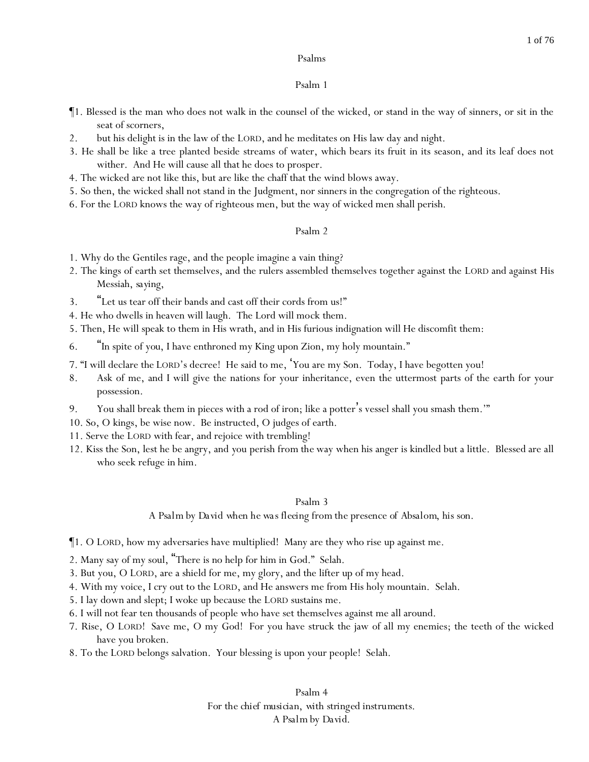### Psalm 1

- ¶1. Blessed is the man who does not walk in the counsel of the wicked, or stand in the way of sinners, or sit in the seat of scorners,
- 2. but his delight is in the law of the LORD, and he meditates on His law day and night.
- 3. He shall be like a tree planted beside streams of water, which bears its fruit in its season, and its leaf does not wither. And He will cause all that he does to prosper.
- 4. The wicked are not like this, but are like the chaff that the wind blows away.
- 5. So then, the wicked shall not stand in the Judgment, nor sinners in the congregation of the righteous.
- 6. For the LORD knows the way of righteous men, but the way of wicked men shall perish.

### Psalm 2

- 1. Why do the Gentiles rage, and the people imagine a vain thing?
- 2. The kings of earth set themselves, and the rulers assembled themselves together against the LORD and against His Messiah, *saying*,
- 3. "Let us tear off their bands and cast off their cords from us!"
- 4. He who dwells in heaven will laugh. The Lord will mock them.
- 5. Then, He will speak to them in His wrath, and in His furious indignation will He discomfit them:
- 6. "In spite of *you*, I have enthroned my King upon Zion, my holy mountain."
- 7. "I will declare the LORD's decree! He said to me, 'You are my Son. Today, I have begotten you!
- 8. Ask of me, and I will give the nations for your inheritance, even the uttermost parts of the earth for your possession.
- 9. You shall break them in pieces with a rod of iron; like a potter's vessel shall you smash them.'"
- 10. So, O kings, be wise now. Be instructed, O judges of earth.
- 11. Serve the LORD with fear, and rejoice with trembling!
- 12. Kiss the Son, lest he be angry, and *y*ou perish *from the* way when his anger is kindled but a little. Blessed are all who seek refuge in him.

### Psalm 3

*A Psalm by David when he was fleeing from the presence of Absalom, his son.*

¶1. O LORD, how my adversaries have multiplied! Many are they who rise up against me.

- 2. Many say of my soul, "There is no help for him in God." Selah.
- 3. But you, O LORD, are a shield for me, my glory, and the lifter up of my head.
- 4. With my voice, I cry out to the LORD, and He answers me from His holy mountain. Selah.
- 5. I lay down and slept; I woke up because the LORD sustains me.
- 6. I will not fear ten thousands of people who have set themselves against me all around.
- 7. Rise, O LORD! Save me, O my God! For you have struck the jaw of all my enemies; the teeth of the wicked have you broken.
- 8. To the LORD belongs salvation. Your blessing is upon your people! Selah.

Psalm 4 *For the chief musician, with stringed instruments. A Psalm by David.*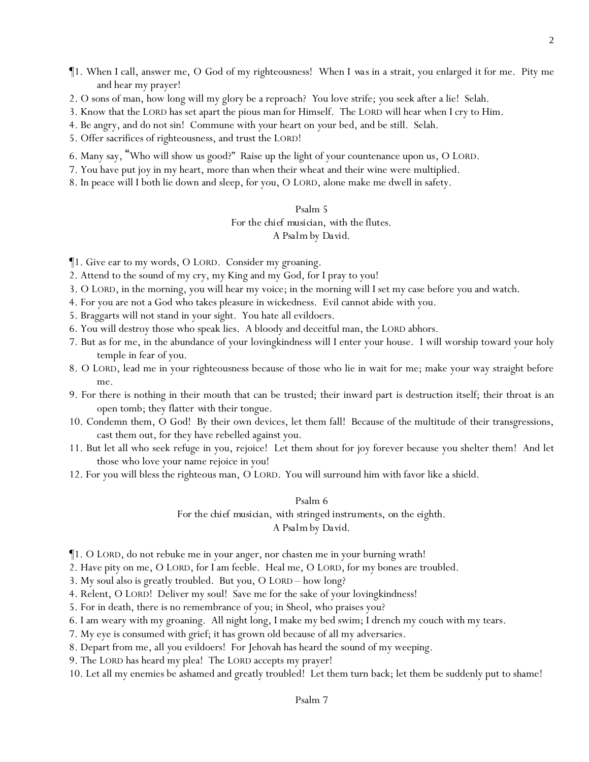- ¶1. When I call, answer me, O God of my righteousness! When *I was* in a strait, you enlarged *it* for me. Pity me and hear my prayer!
- 2. O sons of man, how long will my glory be a reproach? *Y*ou love strife; *y*ou seek after a lie! Selah.
- 3. Know that the LORD has set apart the pious man for Himself. The LORD will hear when I cry to Him.
- 4. Be angry, and do not sin! Commune with *y*our heart on *y*our bed, and be still. Selah.
- 5. Offer sacrifices of righteousness, and trust the LORD!
- 6. Many say, "Who will show us good?" Raise up the light of your countenance upon us, O LORD.
- 7. You have put joy in my heart, more than when their wheat and their wine were multiplied.
- 8. In peace will I both lie down and sleep, for you, O LORD, alone make me dwell in safety.

### Psalm 5 *For the chief musician, with the flutes. A Psalm by David.*

¶1. Give ear to my words, O LORD. Consider my groaning.

- 2. Attend to the sound of my cry, my King and my God, for I pray to you!
- 3. O LORD, in the morning, you will hear my voice; in the morning will I set my case before you and watch.
- 4. For you are not a God who takes pleasure in wickedness. Evil cannot abide with you.
- 5. Braggarts will not stand in your sight. You hate all evildoers.
- 6. You will destroy those who speak lies. A bloody and deceitful man, the LORD abhors.
- 7. But as for me, in the abundance of your lovingkindness will I enter your house. I will worship toward your holy temple in fear of you.
- 8. O LORD, lead me in your righteousness because of those who lie in wait for me; make your way straight before me.
- 9. For there is nothing in their mouth that can be trusted; their inward part is destruction itself; their throat is an open tomb; they flatter *with* their tongue.
- 10. Condemn them, O God! By their own devices, let them fall! Because of the multitude of their transgressions, cast them out, for they have rebelled against you.
- 11. But let all who seek refuge in you, rejoice! Let them shout for joy forever because you shelter them! And let those who love your name rejoice in you!
- 12. For you will bless the righteous man, O LORD. You will surround him with favor like a shield.

#### Psalm 6

*For the chief musician, with stringed instruments, on the eighth.*

#### *A Psalm by David.*

¶1. O LORD, do not rebuke me in your anger, nor chasten me in your burning wrath!

2. Have pity on me, O LORD, for I am feeble. Heal me, O LORD, for my bones are troubled.

3. My soul also is greatly troubled. But you, O LORD – how long?

- 4. Relent, O LORD! Deliver my soul! Save me for the sake of your lovingkindness!
- 5. For in death, there is no remembrance of you; in Sheol, who praises you?
- 6. I am weary with my groaning. All night long, I make my bed swim; I drench my couch with my tears.
- 7. My eye is consumed with grief; it has grown old because of all my adversaries.
- 8. Depart from me, all *y*ou evildoers! For Jehovah has heard the sound of my weeping.
- 9. The LORD has heard my plea! The LORD accepts my prayer!
- 10. Let all my enemies be ashamed and greatly troubled! Let them turn back; let them be suddenly put to shame!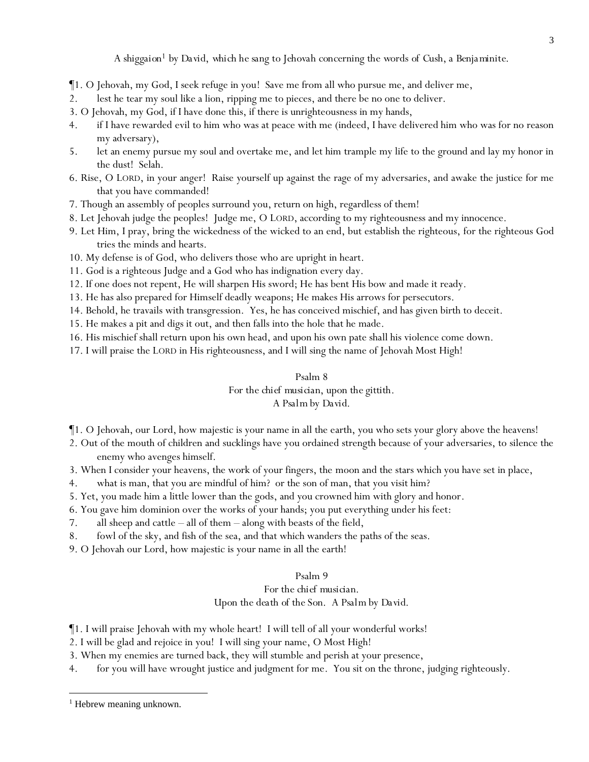*A shiggaion<sup>1</sup> by David, which he sang to Jehovah concerning the words of Cush, a Benjaminite.*

- ¶1. O Jehovah, my God, I seek refuge in you! Save me from all who pursue me, and deliver me,
- 2. lest he tear my soul like a lion, ripping me to pieces, and there be no one to deliver.
- 3. O Jehovah, my God, if I have done this, if there is unrighteousness in my hands,
- 4. if I have rewarded evil to him who was at peace with me (indeed, I have delivered him who was for no reason my adversary),
- 5. let an enemy pursue my soul and overtake me, and let him trample my life to the ground and lay my honor in the dust! Selah.
- 6. Rise, O LORD, in your anger! Raise yourself up against the rage of my adversaries, and awake the justice for me that you have commanded!
- 7. Though an assembly of peoples surround you, return on high, regardless of them!
- 8. Let Jehovah judge the peoples! Judge me, O LORD, according to my righteousness and my innocence.
- 9. Let Him, I pray, bring the wickedness of the wicked to an end, but establish the righteous, for the righteous God tries the minds and hearts.
- 10. My defense is of God, who delivers those who are upright in heart.
- 11. God is a righteous Judge and a God who has indignation every day.
- 12. If one does not repent, He will sharpen His sword; He has bent His bow and made it ready.
- 13. He has also prepared for Himself deadly weapons; He makes His arrows for persecutors.
- 14. Behold, he travails with transgression. Yes, he has conceived mischief, and has given birth to deceit.
- 15. He makes a pit and digs it out, and then falls into the hole that he made.
- 16. His mischief shall return upon his own head, and upon his own pate shall his violence come down.
- 17. I will praise the LORD in His righteousness, and I will sing the name of Jehovah Most High!

### Psalm 8 *For the chief musician, upon the gittith. A Psalm by David.*

- ¶1. O Jehovah, our Lord, how majestic is your name in all the earth, you who sets your glory above the heavens!
- 2. Out of the mouth of children and sucklings have you ordained strength because of your adversaries, to silence the enemy who avenges himself.
- 3. When I consider your heavens, the work of your fingers, the moon and the stars which you have set in place,
- 4. what is man, that you are mindful of him? or the son of man, that you visit him?
- 5. Yet, you made him a little lower than the gods, and you crowned him with glory and honor.
- 6. You gave him dominion over the works of your hands; you put everything under his feet:
- 7. all sheep and cattle all of them along with beasts of the field,
- 8. fowl of the sky, and fish of the sea, and that which wanders the paths of the seas.
- 9. O Jehovah our Lord, how majestic is your name in all the earth!

# Psalm 9

### *For the chief musician. Upon the death of the Son. A Psalm by David.*

- ¶1. I will praise Jehovah with my whole heart! I will tell of all your wonderful works!
- 2. I will be glad and rejoice in you! I will sing your name, O Most High!
- 3. When my enemies are turned back, they will stumble and perish at your presence,
- 4. for you will have wrought justice and judgment for me. You sit on the throne, judging righteously.

 $<sup>1</sup>$  Hebrew meaning unknown.</sup>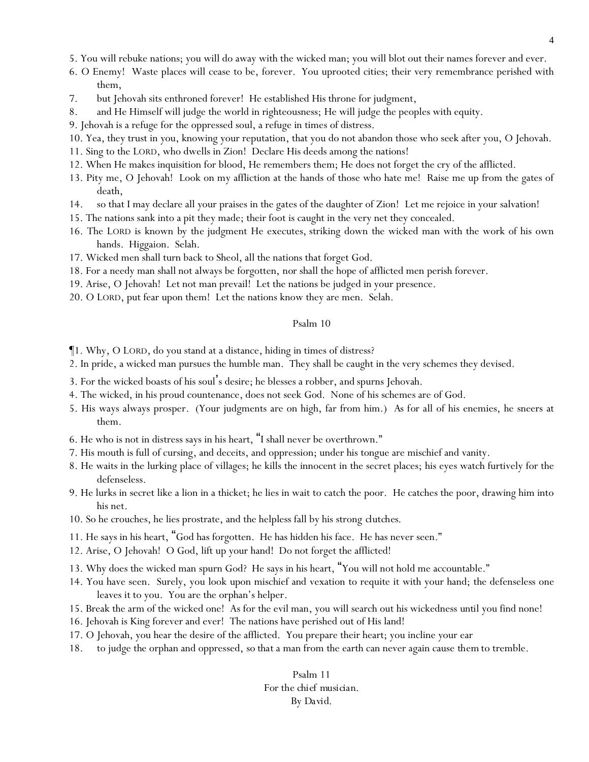- 5. You will rebuke nations; you will do away with the wicked man; you will blot out their names forever and ever.
- 6. O Enemy! Waste places will cease to be, forever. You uprooted cities; their very remembrance perished with them,
- 7. but Jehovah sits enthroned forever! He established His throne for judgment,
- 8. and He Himself will judge the world in righteousness; He will judge the peoples with equity.
- 9. Jehovah is a refuge for the oppressed soul, a refuge in times of distress.
- 10. Yea, they trust in you, knowing your reputation, that you do not abandon those who seek after you, O Jehovah.
- 11. Sing to the LORD, who dwells in Zion! Declare His deeds among the nations!
- 12. When He makes inquisition for blood, He remembers them; He does not forget the cry of the afflicted.
- 13. Pity me, O Jehovah! Look on my affliction at the hands of those who hate me! Raise me up from the gates of death,
- 14. so that I may declare all your praises in the gates of the daughter of Zion! Let me rejoice in your salvation!
- 15. The nations sank into a pit they made; their foot is caught in the very net they concealed.
- 16. The LORD is known *by the* judgment He executes, striking down the wicked man with the work of his own hands. Higgaion. Selah.
- 17. Wicked men shall turn back to Sheol, all the nations that forget God.
- 18. For a needy man shall not always be forgotten, *nor* shall the hope of afflicted men perish forever.
- 19. Arise, O Jehovah! Let not man prevail! Let the nations be judged in your presence.
- 20. O LORD, put fear upon them! Let the nations know they are men. Selah.

- ¶1. Why, O LORD, do you stand at a distance, hiding in times of distress?
- 2. In pride, a wicked man pursues the humble man. They shall be caught in the very schemes they devised.
- 3. For the wicked boasts of his soul's desire; he blesses a robber, *and* spurns Jehovah.
- 4. The wicked, in his proud countenance, does not seek *God*. None of his schemes are of God.
- 5. His ways always prosper. (Your judgments are on high, far from him.) *As for* all of his enemies, he sneers at them.
- 6. He who is not in distress says in his heart, "I shall never be overthrown."
- 7. His mouth is full of cursing, and deceits, and oppression; under his tongue are mischief and vanity.
- 8. He waits in the lurking place of villages; he kills the innocent in the secret places; his eyes watch furtively for the defenseless.
- 9. He lurks in secret like a lion in a thicket; he lies in wait to catch the poor. He catches the poor, drawing him into his net.
- 10. So he crouches, he lies prostrate, and the helpless fall by his strong *clutches*.
- 11. He says in his heart, "God has forgotten. He has hidden his face. He has never seen."
- 12. Arise, O Jehovah! O God, lift up your hand! Do not forget the afflicted!
- 13. Why does the wicked man spurn God? He says in his heart, "You will not hold me accountable."
- 14. You have seen. Surely, you look upon mischief and vexation to requite it with your hand; the defenseless one leaves *it* to you. You are the orphan's helper.
- 15. Break the arm of the wicked one! As for the evil man, you will search out his wickedness *until* you find none!
- 16. Jehovah is King forever and ever! The nations have perished out of His land!
- 17. O Jehovah, you hear the desire of the afflicted. You prepare their heart; you incline your ear
- 18. to judge the orphan and oppressed, *so that* a man from the earth can never again cause *them* to tremble.

Psalm 11 *For the chief musician. By David.*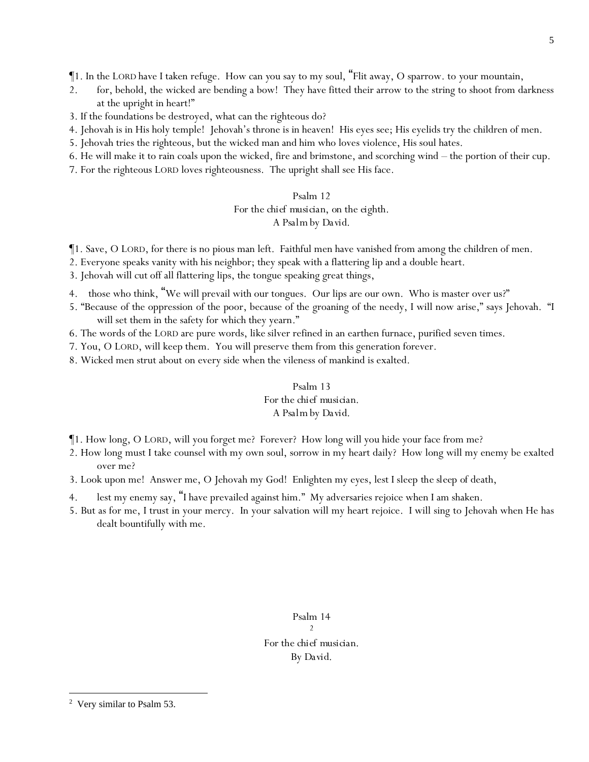¶1. In the LORD have I taken refuge. How can *y*ou say to my soul, "Flit away, O sparrow. to *y*our mountain,

- 2. for, behold, the wicked are bending a bow! They have fitted their arrow to the string to shoot from darkness at the upright in heart!"
- 3. If the foundations be destroyed, what can the righteous do?
- 4. Jehovah is in His holy temple! Jehovah's throne is in heaven! His eyes see; His eyelids try the children of men.
- 5. Jehovah tries the righteous, but the wicked man and him who loves violence, His soul hates.
- 6. He will make it to rain coals upon the wicked, fire and brimstone, and scorching wind the portion of their cup.
- 7. For the righteous LORD loves righteousness. The upright shall see His face.

### Psalm 12 *For the chief musician, on the eighth. A Psalm by David.*

¶1. Save, O LORD, for there is no pious man left. Faithful men have vanished from among the children of men.

- 2. Everyone speaks vanity with his neighbor; they speak with a flattering lip and a double heart.
- 3. Jehovah will cut off all flattering lips, the tongue speaking great things,
- 4. those who think, "We will prevail with our tongues. Our lips are our own. Who is master over us?"
- 5. "Because of the oppression of the poor, because of the groaning of the needy, I will now arise," says Jehovah. "I will set them in the safety for which they yearn."
- 6. The words of the LORD are pure words, *like* silver refined in an earthen furnace, purified seven times.
- 7. You, O LORD, will keep them. You will preserve them from this generation forever.
- 8. Wicked men strut about on every side when the vileness of mankind is exalted.

# Psalm 13 *For the chief musician. A Psalm by David.*

- ¶1. How long, O LORD, will you forget me? Forever? How long will you hide your face from me?
- 2. How long must I take counsel with my own soul, sorrow in my heart daily? How long will my enemy be exalted over me?
- 3. Look upon me! Answer me, O Jehovah my God! Enlighten my eyes, lest I sleep *the sleep of* death,
- 4. lest my enemy say, "I have prevailed against him." My adversaries rejoice when I am shaken.
- 5. But as for me, I trust in your mercy. In your salvation will my heart rejoice. I will sing to Jehovah when He has dealt bountifully with me.

Psalm 14 2 *For the chief musician. By David.*

<sup>2</sup> Very similar to Psalm 53.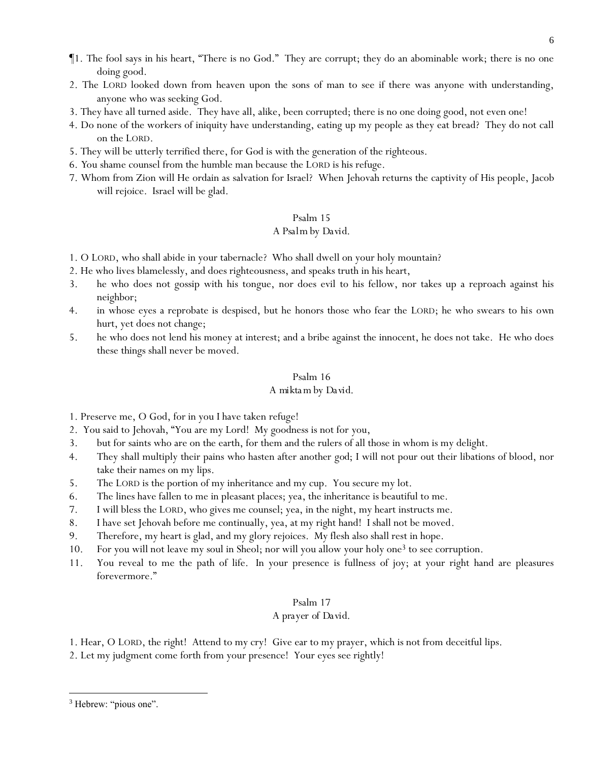- ¶1. The fool says in his heart, "There is no God." They are corrupt; they do an abominable work; there is no one doing good.
- 2. The LORD looked down from heaven upon the sons of man to see if there was anyone with understanding, anyone who was seeking God.
- 3. They have all turned aside. They have all, alike, been corrupted; there is no one doing good, not even one!
- 4. Do none of the workers of iniquity have understanding, eating up my people as they eat bread? They do not call on the LORD.
- 5. They will be utterly terrified there, for God is with the generation of the righteous.
- 6. *Y*ou shame counsel from the humble man because the LORD is his refuge.
- 7. Whom from Zion will He ordain as salvation for Israel? When Jehovah returns the captivity of His people, Jacob will rejoice. Israel will be glad.

### *A Psalm by David.*

1. O LORD, who shall abide in your tabernacle? Who shall dwell on your holy mountain?

- 2. He who lives blamelessly, and does righteousness, and speaks truth in his heart,
- 3. he who does not gossip with his tongue, nor does evil to his fellow, nor takes up a reproach against his neighbor;
- 4. in whose eyes a reprobate is despised, but he honors those who fear the LORD; he who swears to *his own* hurt, yet does not change;
- 5. he who does not lend his money at interest; and a bribe against the innocent, he does not take. He who does these things shall never be moved.

#### Psalm 16

### *A mikta m by David.*

1. Preserve me, O God, for in you I have taken refuge!

- 2. You said to Jehovah, "You are my Lord! My goodness is not for you,
- 3. but for saints who are on the earth, for them and the rulers of all those in whom is my delight.
- 4. They shall multiply their pains who hasten after another *god*; I will not pour out their libations of blood, nor take their names on my lips.
- 5. The LORD is the portion of my inheritance and my cup. You secure my lot.
- 6. The lines have fallen to me in pleasant places; yea, the inheritance is beautiful to me.
- 7. I will bless the LORD, who gives me counsel; yea, in the night, my heart instructs me.
- 8. I have set Jehovah before me continually, yea, at my right hand! I shall not be moved.
- 9. Therefore, my heart is glad, and my glory rejoices. My flesh also shall rest in hope.
- 10. For you will not leave my soul in Sheol; nor will you allow your holy one<sup>3</sup> to see corruption.
- 11. You reveal to me the path of life. In your presence is fullness of joy; at your right hand are pleasures forevermore."

### Psalm 17

### *A prayer of David.*

- 1. Hear, O LORD, the right! Attend to my cry! Give ear to my prayer, which is not from deceitful lips.
- 2. Let my judgment come forth from your presence! Your eyes see rightly!

<sup>&</sup>lt;sup>3</sup> Hebrew: "pious one".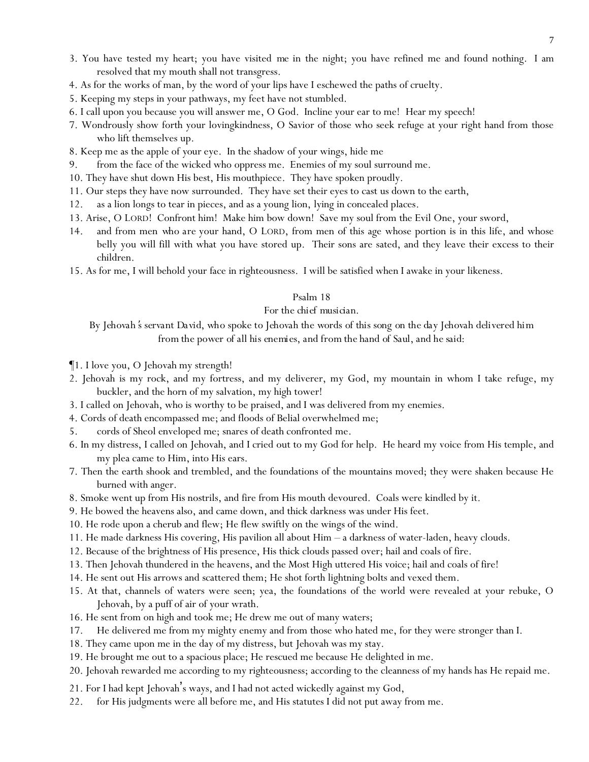- 3. You have tested my heart; you have visited *me* in the night; you have refined me and found nothing. I am resolved that my mouth shall not transgress.
- 4. As for the works of man, by the word of your lips have I eschewed the paths of cruelty.
- 5. Keeping my steps in your pathways, my feet have not stumbled.
- 6. I call upon you because you will answer me, O God. Incline your ear to me! Hear my speech!
- 7. Wondrously show forth your lovingkindness, O Savior of those who seek refuge at your right hand from those who lift themselves up.
- 8. Keep me as the apple of *your* eye. In the shadow of your wings, hide me
- 9. from the face of the wicked who oppress me. Enemies of my soul surround me.
- 10. They have shut down His best, His mouthpiece. They have spoken proudly.
- 11. Our steps they have now surrounded. They have set their eyes to cast us down to the earth,
- 12. as a lion longs to tear in pieces, and as a young lion, lying in concealed places.
- 13. Arise, O LORD! Confront him! Make him bow down! Save my soul from the Evil One, your sword,
- 14. and from men *who are* your hand, O LORD, from men of this age whose portion is in this life, and whose belly you will fill with what you have stored up. Their sons are sated, and they leave their excess to their children.
- 15. As for me, I will behold your face in righteousness. I will be satisfied when I awake in your likeness.

### *For the chief musician.*

*By Jehovah* '*s servant David, who spoke to Jehovah the words of this song on the day Jehovah delivered him from the power of all his enemies, and from the hand of Saul, and he said:*

- ¶1. I love you, O Jehovah my strength!
- 2. Jehovah is my rock, and my fortress, and my deliverer, my God, my mountain in whom I take refuge, my buckler, and the horn of my salvation, my high tower!
- 3. I called on Jehovah, who is worthy to be praised, and I was delivered from my enemies.
- 4. Cords of death encompassed me; and floods of Belial overwhelmed me;
- 5. cords of Sheol enveloped me; snares of death confronted me.
- 6. In my distress, I called on Jehovah, and I cried out to my God for help. He heard my voice from His temple, and my plea came to Him, into His ears.
- 7. Then the earth shook and trembled, and the foundations of the mountains moved; they were shaken because He burned with anger.
- 8. Smoke went up from His nostrils, and fire from His mouth devoured. Coals were kindled by it.
- 9. He bowed the heavens also, and came down, and thick darkness was under His feet.
- 10. He rode upon a cherub and flew; He flew swiftly on the wings of the wind.
- 11. He made darkness His covering, His pavilion all about Him a darkness of water-laden, heavy clouds.
- 12. Because of the brightness of His presence, His thick clouds passed over; hail and coals of fire.
- 13. Then Jehovah thundered in the heavens, and the Most High uttered His voice; hail and coals of fire!
- 14. He sent out His arrows and scattered them; He shot forth lightning bolts and vexed them.
- 15. At that, channels of waters were seen; yea, the foundations of the world were revealed at your rebuke, O Jehovah, by a puff of air of your wrath.
- 16. He sent from on high and took me; He drew me out of many waters;
- 17. He delivered me from my mighty enemy and from those who hated me, for they were stronger than I.
- 18. They came upon me in the day of my distress, but Jehovah was my stay.
- 19. He brought me out to a spacious place; He rescued me because He delighted in me.
- 20. Jehovah rewarded me according to my righteousness; according to the cleanness of my hands has He repaid me.
- 21. For I had kept Jehovah's ways, and I had not acted wickedly against my God,
- 22. for His judgments were all before me, and His statutes I did not put away from me.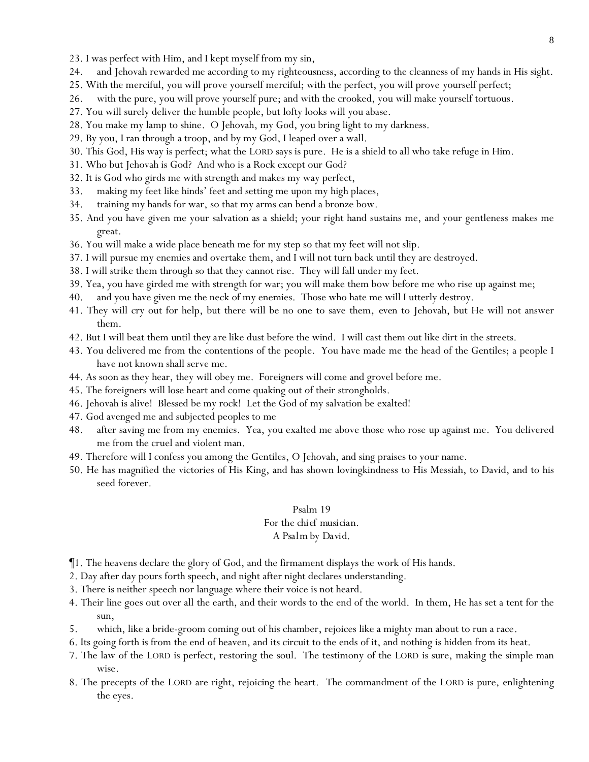- 23. I was perfect with Him, and I kept myself from my sin,
- 24. and Jehovah rewarded me according to my righteousness, according to the cleanness of my hands in His sight.
- 25. With the merciful, you will prove yourself merciful; with the perfect, you will prove yourself perfect;
- 26. with the pure, you will prove yourself pure; and with the crooked, you will make yourself tortuous.
- 27. You will surely deliver the humble people, but lofty looks will you abase.
- 28. You make my lamp to shine. O Jehovah, my God, you bring light to my darkness.
- 29. By you, I ran through a troop, and by my God, I leaped over a wall.
- 30. This God, His way is perfect; what the LORD says is pure. He is a shield to all who take refuge in Him.
- 31. Who but Jehovah is God? And who is a Rock except our God?
- 32. It is God who girds me with strength and makes my way perfect,
- 33. making my feet like hinds' feet and setting me upon my high places,
- 34. training my hands for war, so that my arms can bend a bronze bow.
- 35. And you have given me your salvation as a shield; your right hand sustains me, and your gentleness makes me great.
- 36. You will make a wide place beneath me for my step so that my feet will not slip.
- 37. I will pursue my enemies and overtake them, and I will not turn back until they are destroyed.
- 38. I will strike them through so that they cannot rise. They will fall under my feet.
- 39. Yea, you have girded me with strength for war; you will make them bow before me who rise up against me;
- 40. and you have given me the neck of my enemies. Those who hate me will I utterly destroy.
- 41. They will cry out for help, but there will be no one to save them, *even* to Jehovah, but He will not answer them.
- 42. But I will beat them *until they are* like dust before the wind. I will cast them out like dirt in the streets.
- 43. You delivered me from the contentions of the people. You have made me the head of the Gentiles; a people I have not known shall serve me.
- 44. As soon as they hear, they will obey me. Foreigners will come and grovel before me.
- 45. The foreigners will lose heart and come quaking out of their strongholds.
- 46. Jehovah is alive! Blessed be my rock! Let the God of my salvation be exalted!
- 47. God avenged me and subjected peoples to me
- 48. after saving me from my enemies. Yea, you exalted me above those who rose up against me. You delivered me from the cruel and violent man.
- 49. Therefore will I confess you among the Gentiles, O Jehovah, and sing praises to your name.
- 50. He has magnified the victories of His King, and has shown lovingkindness to His Messiah, to David, and to his seed forever.

### Psalm 19 *For the chief musician. A Psalm by David.*

- ¶1. The heavens declare the glory of God, and the firmament displays the work of His hands.
- 2. Day after day pours forth speech, and night after night declares understanding.
- 3. There is neither speech nor language where their voice is not heard.
- 4. Their line goes out over all the earth, and their words to the end of the world. In them, He has set a tent for the sun,
- 5. which, like a bride-groom coming out of his chamber, rejoices like a mighty man about to run a race.
- 6. Its going forth is from the end of heaven, and its circuit to the ends of it, and nothing is hidden from its heat.
- 7. The law of the LORD is perfect, restoring the soul. The testimony of the LORD is sure, making the simple man wise.
- 8. The precepts of the LORD are right, rejoicing the heart. The commandment of the LORD is pure, enlightening the eyes.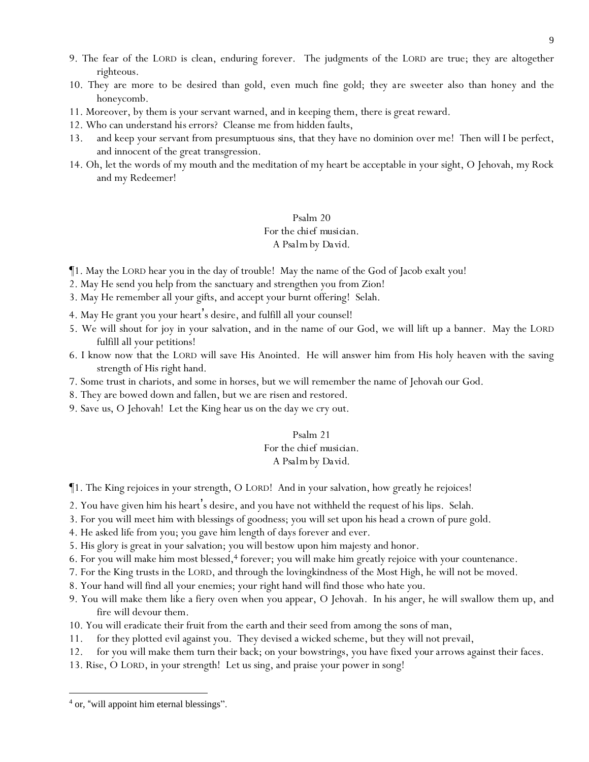- 9. The fear of the LORD is clean, enduring forever. The judgments of the LORD are true; they are altogether righteous.
- 10. They are more to be desired than gold, even much fine gold; *they are* sweeter also than honey and the honeycomb.
- 11. Moreover, by them is your servant warned, and in keeping them, there is great reward.
- 12. Who can understand *his* errors? Cleanse me from hidden faults,
- 13. and keep your servant from presumptuous *sins*, that they have no dominion over me! Then will I be perfect, and innocent of the great transgression.
- 14. Oh, let the words of my mouth and the meditation of my heart be acceptable in your sight, O Jehovah, my Rock and my Redeemer!

### Psalm 20 *For the chief musician. A Psalm by David.*

- ¶1. May the LORD hear you in the day of trouble! May the name of the God of Jacob exalt you!
- 2. May He send you help from the sanctuary and strengthen you from Zion!
- 3. May He remember all your gifts, and accept your burnt offering! Selah.
- 4. May He grant you your heart's desire, and fulfill all your counsel!
- 5. We will shout for joy in your salvation, and in the name of our God, we will lift up a banner. May the LORD fulfill all your petitions!
- 6. I know now that the LORD will save His Anointed. He will answer him from His holy heaven with the saving strength of His right hand.
- 7. Some *trust* in chariots, and some in horses, but we will remember the name of Jehovah our God.
- 8. They are bowed down and fallen, but we are risen and restored.
- 9. Save *us*, O Jehovah! Let the King hear us on the day we cry out.

# Psalm 21 *For the chief musician.*

### *A Psalm by David.*

- ¶1. The King rejoices in your strength, O LORD! And in your salvation, how greatly he rejoices!
- 2. You have given him his heart's desire, and you have not withheld the request of his lips. Selah.
- 3. For you will meet him with blessings of goodness; you will set upon his head a crown of pure gold.
- 4. He asked life from you; you gave him length of days forever and ever.
- 5. His glory is great in your salvation; you will bestow upon him majesty and honor.
- 6. For you will make him most blessed, $4$  forever; you will make him greatly rejoice with your countenance.
- 7. For the King trusts in the LORD, and through the lovingkindness of the Most High, he will not be moved.
- 8. Your hand will find all your enemies; your right hand will find those who hate you.
- 9. You will make them like a fiery oven when you appear, O Jehovah. In his anger, he will swallow them up, and fire will devour them.
- 10. You will eradicate their fruit from the earth and their seed from among the sons of man,
- 11. for they plotted evil against you. They devised a wicked scheme, but they will not prevail,
- 12. for you will make them turn their back; on your bowstrings, you have fixed *your arrows* against their faces.
- 13. Rise, O LORD, in your strength! Let us sing, and praise your power in song!

<sup>&</sup>lt;sup>4</sup> or, "will appoint him eternal blessings".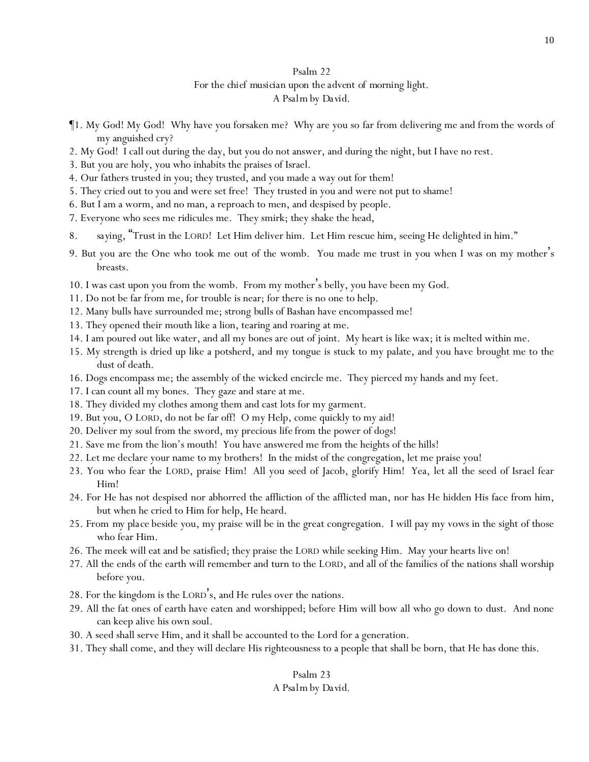### Psalm 22 *For the chief musician upon the advent of morning light. A Psalm by David.*

- ¶1. My God! My God! Why have you forsaken me? Why are you so far from delivering me *and from* the words of my anguished cry?
- 2. My God! I call out during the day, but you do not answer, and during the night, but I have no rest.
- 3. But you are holy, you who inhabits the praises of Israel.
- 4. Our fathers trusted in you; they trusted, and you made a way out for them!
- 5. They cried out to you and were set free! They trusted in you and were not put to shame!
- 6. But I am a worm, and no man, a reproach to men, and despised by people.
- 7. Everyone who sees me ridicules me. They smirk; they shake the head,
- 8. *saying,* "Trust in the LORD! Let Him deliver him. Let Him rescue him, seeing He delighted in him."
- 9. But you are the One who took me out of the womb. You made me trust *in you* when I was on my mother's breasts.
- 10. I was cast upon you from the womb. From my mother's belly, you have been my God.
- 11. Do not be far from me, for trouble is near; for there is no one to help.
- 12. Many bulls have surrounded me; strong *bulls* of Bashan have encompassed me!
- 13. They opened their mouth like a lion, tearing and roaring at me.
- 14. I am poured out like water, and all my bones are out of joint. My heart is like wax; it is melted within me.
- 15. My strength is dried up like a potsherd, and my tongue is stuck to my palate, and you have brought me to the dust of death.
- 16. Dogs encompass me; the assembly of the wicked encircle me. They pierced my hands and my feet.
- 17. I can count all my bones. They gaze and stare at me.
- 18. They divided my clothes among them and cast lots for my garment.
- 19. But you, O LORD, do not be far off! O my Help, come quickly to my aid!
- 20. Deliver my soul from the sword, my precious *life* from the power of dogs!
- 21. Save me from the lion's mouth! You have answered me from the heights of the hills!
- 22. Let me declare your name to my brothers! In the midst of the congregation, let me praise you!
- 23. You who fear the LORD, praise Him! All you seed of Jacob, glorify Him! Yea, let all the seed of Israel fear Him!
- 24. For He has not despised nor abhorred the affliction of the afflicted man, nor has He hidden His face from him, but when he cried to Him for help, He heard.
- 25. From *my place* beside you, my praise will be in the great congregation. I will pay my vows in the sight of those who fear Him.
- 26. The meek will eat and be satisfied; they praise the LORD while seeking Him. May *y*our hearts live on!
- 27. All the ends of the earth will remember and turn to the LORD, and all of the families of the nations shall worship before you.
- 28. For the kingdom is the LORD's, and He rules over the nations.
- 29. All the fat ones of earth have eaten and worshipped; before Him will bow all who go down to dust. And none can keep alive his own soul.
- 30. A seed shall serve Him, and it shall be accounted to the Lord for a generation.
- 31. They shall come, and they will declare His righteousness to a people that shall be born, that He has done this.

# Psalm 23

### *A Psalm by David.*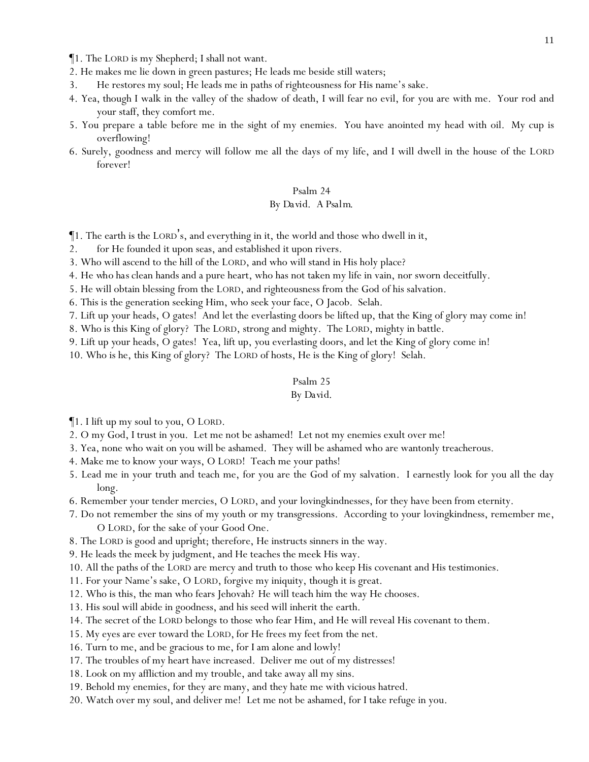¶1. The LORD is my Shepherd; I shall not want.

2. He makes me lie down in green pastures; He leads me beside still waters;

- 3. He restores my soul; He leads me in paths of righteousness for His name's sake.
- 4. Yea, though I walk in the valley of the shadow of death, I will fear no evil, for you are with me. Your rod and your staff, they comfort me.
- 5. You prepare a table before me in the sight of my enemies. You have anointed my head with oil. My cup is overflowing!
- 6. Surely, goodness and mercy will follow me all the days of my life, and I will dwell in the house of the LORD forever!

#### Psalm 24

#### *By David. A Psalm.*

¶1. The earth is the LORD's, and everything in it, the world and those who dwell in it,

- 2. for He founded it upon seas, and established it upon rivers.
- 3. Who will ascend to the hill of the LORD, and who will stand in His holy place?
- 4. *He who has*clean hands and a pure heart, who has not taken my life in vain, nor sworn deceitfully.
- 5. He will obtain blessing from the LORD, and righteousness from the God of his salvation.
- 6. This is the generation seeking Him, who seek your face, O Jacob. Selah.
- 7. Lift up *y*our heads, O gates! And let the everlasting doors be lifted up, that the King of glory may come in!
- 8. Who is this King of glory? The LORD, strong and mighty. The LORD, mighty in battle.
- 9. Lift up *y*our heads, O gates! Yea, lift up, *y*ou everlasting doors, and let the King of glory come in!
- 10. Who is he, this King of glory? The LORD of hosts, He is the King of glory! Selah.

### Psalm 25

### *By David.*

¶1. I lift up my soul to you, O LORD.

- 2. O my God, I trust in you. Let me not be ashamed! Let not my enemies exult over me!
- 3. Yea, none who wait on you will be ashamed. They will be ashamed who are wantonly treacherous.
- 4. Make me to know your ways, O LORD! Teach me your paths!
- 5. Lead me in your truth and teach me, for you are the God of my salvation. I earnestly look for you all the day long.
- 6. Remember your tender mercies, O LORD, and your lovingkindnesses, for they have been from eternity.
- 7. Do not remember the sins of my youth or my transgressions. According to your lovingkindness, remember me, O LORD, for the sake of your Good One.
- 8. The LORD is good and upright; therefore, He instructs sinners in the way.
- 9. He leads the meek by judgment, and He teaches the meek His way.

10. All the paths of the LORD are mercy and truth to those who keep His covenant and His testimonies.

- 11. For your Name's sake, O LORD, forgive my iniquity, though it is great.
- 12. Who is this, the man who fears Jehovah? He will teach him the way He chooses.
- 13. His soul will abide in goodness, and his seed will inherit the earth.
- 14. The secret of the LORD belongs to those who fear Him, and He will reveal His covenant to them.
- 15. My eyes are ever toward the LORD, for He frees my feet from the net.
- 16. Turn to me, and be gracious to me, for I am alone and lowly!
- 17. The troubles of my heart have increased. Deliver me out of my distresses!
- 18. Look on my affliction and my trouble, and take away all my sins.
- 19. Behold my enemies, for they are many, and they hate me with vicious hatred.
- 20. Watch over my soul, and deliver me! Let me not be ashamed, for I take refuge in you.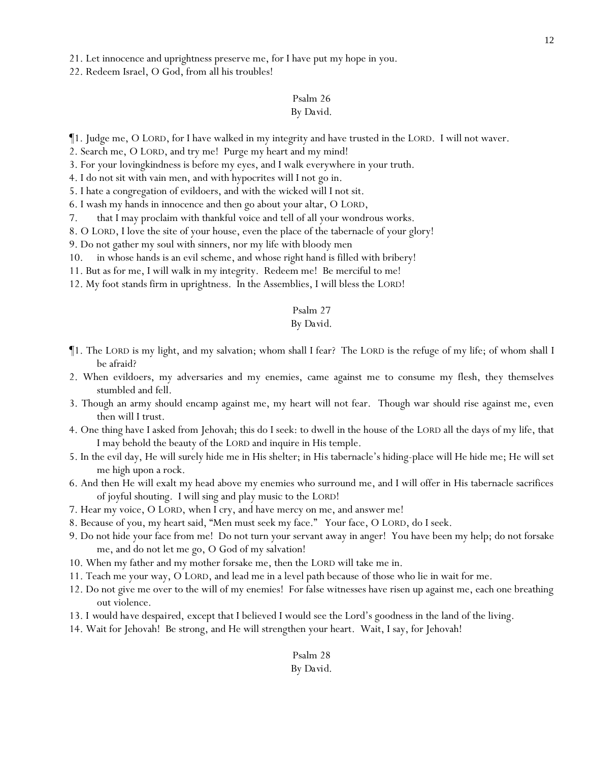21. Let innocence and uprightness preserve me, for I have put my hope in you.

22. Redeem Israel, O God, from all his troubles!

# Psalm 26

## *By David.*

¶1. Judge me, O LORD, for I have walked in my integrity and have trusted in the LORD. I will not waver.

2. Search me, O LORD, and try me! Purge my heart and my mind!

3. For your lovingkindness is before my eyes, and I walk everywhere in your truth.

4. I do not sit with vain men, and with hypocrites will I not go in.

5. I hate a congregation of evildoers, and with the wicked will I not sit.

6. I wash my hands in innocence and then go about your altar, O LORD,

7. that I may proclaim with thankful voice and tell of all your wondrous works.

8. O LORD, I love the site of your house, even the place of the tabernacle of your glory!

9. Do not gather my soul with sinners, nor my life with bloody men

10. in whose hands is an evil scheme, and whose right hand is filled with bribery!

11. But as for me, I will walk in my integrity. Redeem me! Be merciful to me!

12. My foot stands firm in uprightness. In the Assemblies, I will bless the LORD!

#### Psalm 27

### *By David.*

- ¶1. The LORD is my light, and my salvation; whom shall I fear? The LORD is the refuge of my life; of whom shall I be afraid?
- 2. When evildoers, my adversaries and my enemies, came against me to consume my flesh, they themselves stumbled and fell.
- 3. Though an army should encamp against me, my heart will not fear. Though war should rise against me, even then will I trust.
- 4. One thing have I asked from Jehovah; this do I seek: to dwell in the house of the LORD all the days of my life, that I may behold the beauty of the LORD and inquire in His temple.
- 5. In the evil day, He will surely hide me in His shelter; in His tabernacle's hiding-place will He hide me; He will set me high upon a rock.
- 6. And then He will exalt my head above my enemies who surround me, and I will offer in His tabernacle sacrifices of joyful shouting. I will sing and play music to the LORD!
- 7. Hear my voice, O LORD, when I cry, and have mercy on me, and answer me!
- 8. Because of you, my heart said, "Men must seek my face." Your face, O LORD, do I seek.
- 9. Do not hide your face from me! Do not turn your servant away in anger! You have been my help; do not forsake me, and do not let me go, O God of my salvation!
- 10. When my father and my mother forsake me, then the LORD will take me in.
- 11. Teach me your way, O LORD, and lead me in a level path because of those who lie in wait for me.
- 12. Do not give me over to the will of my enemies! For false witnesses have risen up against me, each one breathing out violence.
- 13. *I would have despaired,* except that I believed I would see the Lord's goodness in the land of the living.
- 14. Wait for Jehovah! Be strong, and He will strengthen your heart. Wait, I say, for Jehovah!

### Psalm 28 *By David.*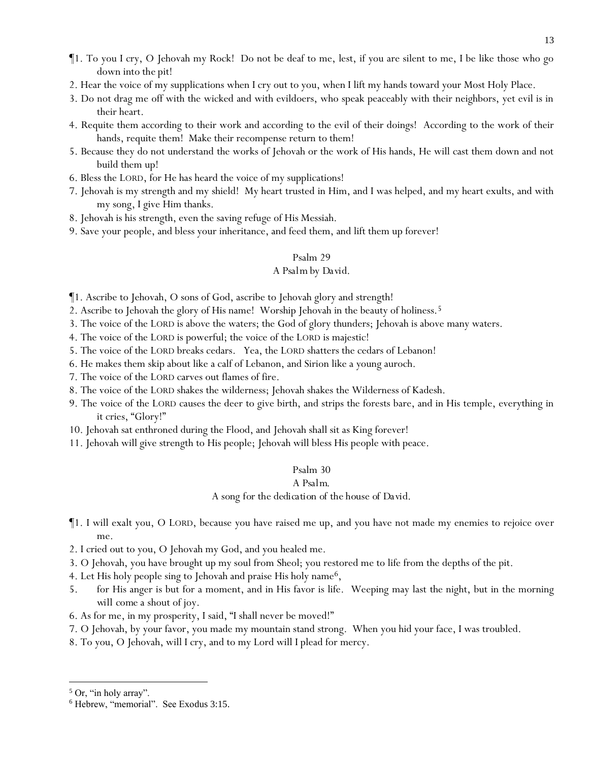- ¶1. To you I cry, O Jehovah my Rock! Do not be deaf to me, lest, if you are silent to me, I be like those who go down *into the* pit!
- 2. Hear the voice of my supplications when I cry out to you, when I lift my hands toward your Most Holy Place.
- 3. Do not drag me off with the wicked and with evildoers, who speak peaceably with their neighbors, yet evil is in their heart.
- 4. Requite them according to their work and according to the evil of their doings! According to the work of their hands, requite them! Make their recompense return to them!
- 5. Because they do not understand the works of Jehovah or the work of His hands, He will cast them down and not build them up!
- 6. Bless the LORD, for He has heard the voice of my supplications!
- 7. Jehovah is my strength and my shield! My heart trusted in Him, and I was helped, and my heart exults, and with my song, I give Him thanks.
- 8. Jehovah is his strength, even the saving refuge of His Messiah.
- 9. Save your people, and bless your inheritance, and feed them, and lift them up forever!

#### *A Psalm by David.*

- ¶1. Ascribe to Jehovah, O sons of God, ascribe to Jehovah glory and strength!
- 2. Ascribe to Jehovah the glory of His name! Worship Jehovah in the beauty of holiness.<sup>5</sup>
- 3. The voice of the LORD is above the waters; the God of glory thunders; Jehovah is above many waters.
- 4. The voice of the LORD is powerful; the voice of the LORD is majestic!
- 5. The voice of the LORD breaks cedars. Yea, the LORD shatters the cedars of Lebanon!
- 6. He makes them skip about like a calf of Lebanon, and Sirion like a young auroch.
- 7. The voice of the LORD carves out flames of fire.
- 8. The voice of the LORD shakes the wilderness; Jehovah shakes the Wilderness of Kadesh.
- 9. The voice of the LORD causes the deer to give birth, and strips the forests bare, and in His temple, everything in it cries, "Glory!"
- 10. Jehovah sat enthroned during the Flood, and Jehovah shall sit as King forever!
- 11. Jehovah will give strength to His people; Jehovah will bless His people with peace.

### Psalm 30

#### *A Psalm.*

*A song for the dedication of the house of David.*

- ¶1. I will exalt you, O LORD, because you have raised me up, and you have not made my enemies to rejoice over me.
- 2. I cried out to you, O Jehovah my God, and you healed me.
- 3. O Jehovah, you have brought up my soul from Sheol; you restored me to life from the depths of the pit.
- 4. Let His holy people sing to Jehovah and praise His holy name<sup>6</sup>,
- 5. for His anger is but for a moment, and in His favor is life. Weeping may last the night, but in the morning *will come* a shout of joy.
- 6. As for me, in my prosperity, I said, "I shall never be moved!"
- 7. O Jehovah, by your favor, you made my mountain stand strong. When you hid your face, I was troubled.
- 8. To you, O Jehovah, will I cry, and to my Lord will I plead for mercy.

<sup>5</sup> Or, "in holy array".

<sup>6</sup> Hebrew, "memorial". See Exodus 3:15.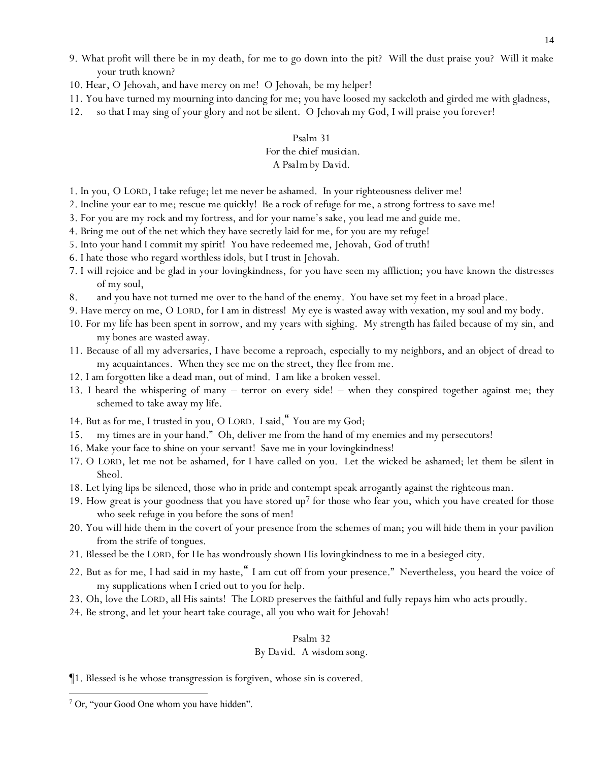- 9. What profit will there be in my death, for me to go down into the pit? Will the dust praise you? Will it make your truth known?
- 10. Hear, O Jehovah, and have mercy on me! O Jehovah, be my helper!
- 11. You have turned my mourning into dancing for me; you have loosed my sackcloth and girded me with gladness,
- 12. so that I may sing of your glory and not be silent. O Jehovah my God, I will praise you forever!

## Psalm 31 *For the chief musician.*

### *A Psalm by David.*

- 1. In you, O LORD, I take refuge; let me never be ashamed. In your righteousness deliver me!
- 2. Incline your ear to me; rescue me quickly! Be a rock of refuge for me, a strong fortress to save me!
- 3. For you are my rock and my fortress, and for your name's sake, you lead me and guide me.
- 4. Bring me out of the net which they have secretly laid for me, for you are my refuge!
- 5. Into your hand I commit my spirit! You have redeemed me, Jehovah, God of truth!
- 6. I hate those who regard worthless idols, but I trust in Jehovah.
- 7. I will rejoice and be glad in your lovingkindness, for you have seen my affliction; you have known the distresses of my soul,
- 8. and you have not turned me over to the hand of the enemy. You have set my feet in a broad place.
- 9. Have mercy on me, O LORD, for I am in distress! My eye is wasted away with vexation, my soul and my body.
- 10. For my life has been spent in sorrow, and my years with sighing. My strength has failed because of my sin, and my bones are wasted away.
- 11. Because of all my adversaries, I have become a reproach, especially to my neighbors, and an object of dread to my acquaintances. When they see me on the street, they flee from me.
- 12. I am forgotten like a dead man, out of mind. I am like a broken vessel.
- 13. I heard the whispering of many terror on every side! when they conspired together against me; they schemed to take away my life.
- 14. But as for me, I trusted in you, O LORD. I said, "You are my God;
- 15. my times are in your hand." Oh, deliver me from the hand of my enemies and my persecutors!
- 16. Make your face to shine on your servant! Save me in your lovingkindness!
- 17. O LORD, let me not be ashamed, for I have called on you. Let the wicked be ashamed; let them be silent in Sheol.
- 18. Let lying lips be silenced, those who in pride and contempt speak arrogantly against the righteous man.
- 19. How great is your goodness that you have stored up<sup>7</sup> for those who fear you, which you have created for those who seek refuge in you before the sons of men!
- 20. You will hide them in the covert of your presence from the schemes of man; you will hide them in your pavilion from the strife of tongues.
- 21. Blessed be the LORD, for He has wondrously shown His lovingkindness to me in a besieged city.
- 22. But as for me, I had said in my haste," I am cut off from your presence." Nevertheless, you heard the voice of my supplications when I cried out to you for help.
- 23. Oh, love the LORD, all His saints! The LORD preserves the faithful and fully repays him who acts proudly.
- 24. Be strong, and let *y*our heart take courage, all *y*ou who wait for Jehovah!

# Psalm 32

### *By David. A wisdom song.*

¶1. Blessed is he whose transgression is forgiven, whose sin is covered.

<sup>7</sup> Or, "your Good One whom you have hidden".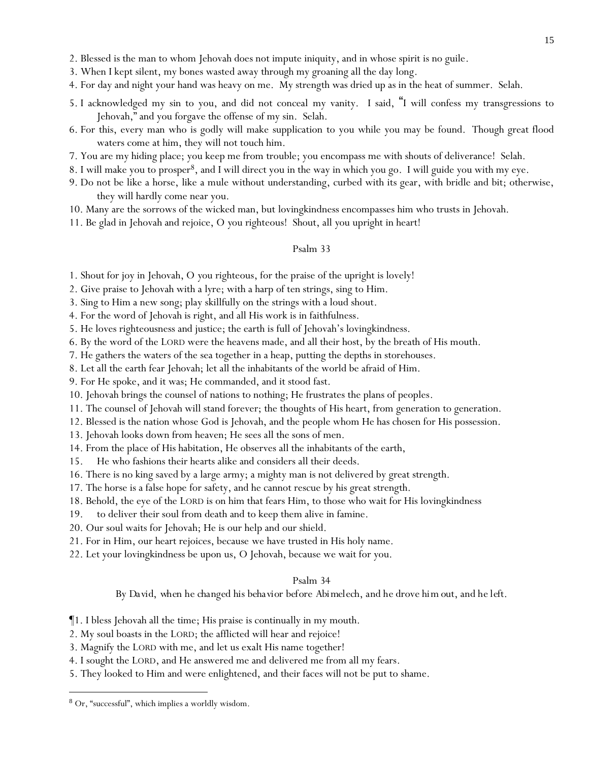2. Blessed is the man to whom Jehovah does not impute iniquity, and in whose spirit is no guile.

- 3. When I kept silent, my bones wasted away through my groaning all the day long.
- 4. For day and night your hand was heavy on me. My strength was dried up as in the heat of summer. Selah.
- 5. I acknowledged my sin to you, and did not conceal my vanity. I said, "I will confess my transgressions to Jehovah," and you forgave the offense of my sin. Selah.
- 6. For this, every man who is godly will make supplication to you while you may be found. Though great flood waters come at him, they will not touch him.
- 7. You are my hiding place; you keep me from trouble; you encompass me with shouts of deliverance! Selah.
- 8. I will make you to prosper8, and I will direct you in the way in which you go. I will guide you with my eye.
- 9. Do not be like a horse, like a mule without understanding, curbed with its gear, with bridle and bit; otherwise, they will hardly come near you.
- 10. Many are the sorrows of the wicked man, but lovingkindness encompasses him who trusts in Jehovah.
- 11. Be glad in Jehovah and rejoice, O *y*ou righteous! Shout, all *y*ou upright in heart!

### Psalm 33

1. Shout for joy in Jehovah, O *y*ou righteous, for the praise of the upright is lovely!

2. Give praise to Jehovah with a lyre; with a harp of ten strings, sing to Him.

- 3. Sing to Him a new song; play skillfully on the strings with a loud shout.
- 4. For the word of Jehovah is right, and all His work is in faithfulness.
- 5. He loves righteousness and justice; the earth is full of Jehovah's lovingkindness.
- 6. By the word of the LORD were the heavens made, and all their host, by the breath of His mouth.
- 7. He gathers the waters of the sea together in a heap, putting the depths in storehouses.
- 8. Let all the earth fear Jehovah; let all the inhabitants of the world be afraid of Him.
- 9. For He spoke, and it was; He commanded, and it stood fast.
- 10. Jehovah brings the counsel of nations to nothing; He frustrates the plans of peoples.
- 11. The counsel of Jehovah will stand forever; the thoughts of His heart, from generation to generation.
- 12. Blessed is the nation whose God is Jehovah, and the people whom He has chosen for His possession.
- 13. Jehovah looks down from heaven; He sees all the sons of men.
- 14. From the place of His habitation, He observes all the inhabitants of the earth,
- 15. He who fashions their hearts alike and considers all their deeds.
- 16. There is no king saved by a large army; a mighty man is not delivered by great strength.
- 17. The horse is a false hope for safety, and he cannot rescue by his great strength.
- 18. Behold, the eye of the LORD is on him that fears Him, to those who wait for His lovingkindness
- 19. to deliver their soul from death and to keep them alive in famine.
- 20. Our soul waits for Jehovah; He is our help and our shield.
- 21. For in Him, our heart rejoices, because we have trusted in His holy name.
- 22. Let your lovingkindness be upon us, O Jehovah, because we wait for you.

#### Psalm 34

*By David, when he changed his behavior before Abimelech, and he drove him out, and he left.*

- ¶1. I bless Jehovah all the time; His praise is continually in my mouth.
- 2. My soul boasts in the LORD; the afflicted will hear and rejoice!
- 3. Magnify the LORD with me, and let us exalt His name together!
- 4. I sought the LORD, and He answered me and delivered me from all my fears.
- 5. They looked to Him and were enlightened, and their faces will not be put to shame.

<sup>8</sup> Or, "successful", which implies a worldly wisdom.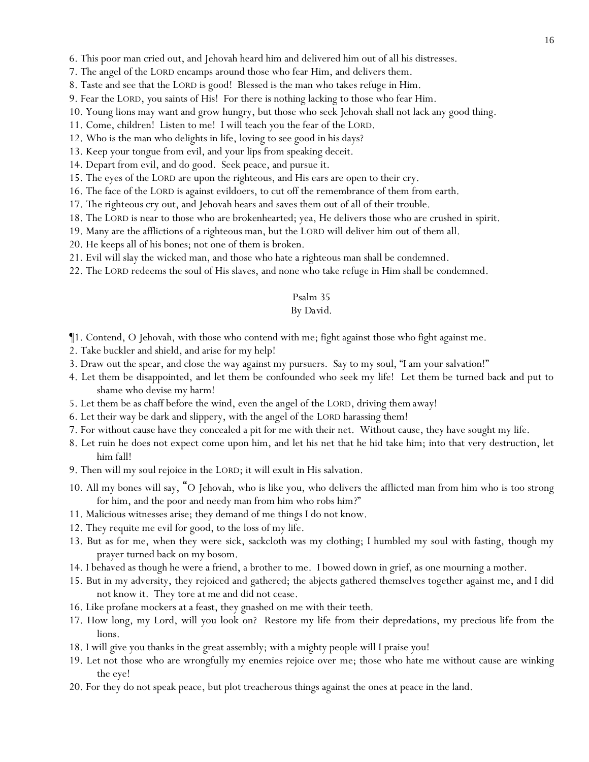6. This poor man cried out, and Jehovah heard him and delivered him out of all his distresses.

- 7. The angel of the LORD encamps around those who fear Him, and delivers them.
- 8. Taste and see that the LORD is good! Blessed is the man who takes refuge in Him.
- 9. Fear the LORD, *y*ou saints of His! For there is nothing lacking to those who fear Him.
- 10. Young lions may want and grow hungry, but those who seek Jehovah shall not lack any good thing.
- 11. Come, children! Listen to me! I will teach *y*ou the fear of the LORD.
- 12. Who is the man who delights in life, loving to see good *in his* days?
- 13. Keep your tongue from evil, and your lips from speaking deceit.
- 14. Depart from evil, and do good. Seek peace, and pursue it.
- 15. The eyes of the LORD are upon the righteous, and His ears are open to their cry.
- 16. The face of the LORD is against evildoers, to cut off the remembrance of them from earth.
- 17. *The righteous* cry out, and Jehovah hears and saves them out of all of their trouble.
- 18. The LORD is near to those who are brokenhearted; yea, He delivers those who are crushed in spirit.
- 19. Many are the afflictions of a righteous man, but the LORD will deliver him out of them all.
- 20. He keeps all of his bones; not one of them is broken.
- 21. Evil will slay the wicked man, and those who hate a righteous man shall be condemned.
- 22. The LORD redeems the soul of His slaves, and none who take refuge in Him shall be condemned.

#### Psalm 35

#### *By David.*

- ¶1. Contend, O Jehovah, with those who contend with me; fight against those who fight against me.
- 2. Take buckler and shield, and arise for my help!
- 3. Draw out the spear, and close the way against my pursuers. Say to my soul, "I am your salvation!"
- 4. Let them be disappointed, and let them be confounded who seek my life! Let them be turned back and put to shame who devise my harm!
- 5. Let them be as chaff before the wind, even the angel of the LORD, driving *them* away!
- 6. Let their way be dark and slippery, with the angel of the LORD harassing them!
- 7. For without cause have they concealed a pit for me with their net. Without cause, they have sought my life.
- 8. Let ruin he does not expect come upon him, and let his net that he hid take him; into that very destruction, let him fall!
- 9. Then will my soul rejoice in the LORD; it will exult in His salvation.
- 10. All my bones will say, "O Jehovah, who is like you, who delivers the afflicted man from him who is too strong for him, and the poor and needy man from him who robs him?"
- 11. Malicious witnesses arise; they demand of me things I do not know.
- 12. They requite me evil for good, to the loss of my life.
- 13. But as for me, when they were sick, sackcloth was my clothing; I humbled my soul with fasting, though my prayer turned back on my bosom.
- 14. I behaved as though he were a friend, a brother to me. I bowed down in grief, as one mourning a mother.
- 15. But in my adversity, they rejoiced and gathered; the abjects gathered themselves together against me, and I did not know it. They tore *at me* and did not cease.
- 16. Like profane mockers at a feast, they gnashed on me with their teeth.
- 17. How long, my Lord, will you look on? Restore my life from their depredations, my precious *life* from the lions.
- 18. I will give you thanks in the great assembly; with a mighty people will I praise you!
- 19. Let not those who are wrongfully my enemies rejoice over me; those who hate me without cause are winking the eye!
- 20. For they do not speak peace, but plot treacherous things against the ones at peace in the land.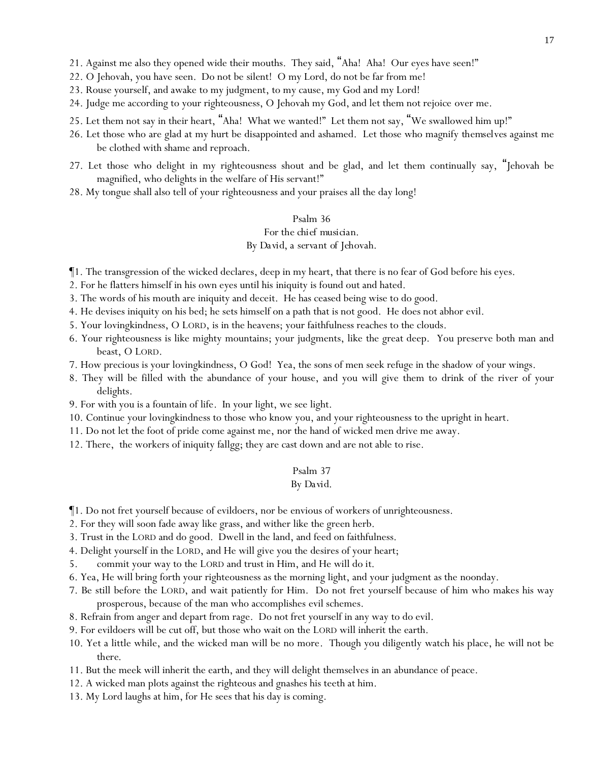- 21. Against me also they opened wide their mouths. They said, "Aha! Aha! Our eyes have seen!"
- 22. O Jehovah, you have seen. Do not be silent! O my Lord, do not be far from me!
- 23. Rouse yourself, and awake to my judgment, to my cause, my God and my Lord!
- 24. Judge me according to your righteousness, O Jehovah my God, and let them not rejoice over me.
- 25. Let them not say in their heart, "Aha! What we wanted!" Let them not say, "We swallowed him up!"
- 26. Let those who are glad at my hurt be disappointed and ashamed. Let those who magnify *themselves* against me be clothed with shame and reproach.
- 27. Let those who delight in my righteousness shout and be glad, and let them continually say, "Jehovah be magnified, who delights in the welfare of His servant!"
- 28. My tongue shall also tell of your righteousness and your praises all the day long!

### *For the chief musician.*

### *By David, a servant of Jehovah.*

- ¶1. The transgression of the wicked declares, deep in my heart, that there is no fear of God before his eyes.
- 2. For he flatters himself in his own eyes until his iniquity is found out and hated.
- 3. The words of his mouth are iniquity and deceit. He has ceased being wise to do good.
- 4. He devises iniquity on his bed; he sets himself on a path that is not good. He does not abhor evil.
- 5. Your lovingkindness, O LORD, is in the heavens; your faithfulness reaches to the clouds.
- 6. Your righteousness is like mighty mountains; your judgments, like the great deep. You preserve both man and beast, O LORD.
- 7. How precious is your lovingkindness, O God! Yea, the sons of men seek refuge in the shadow of your wings.
- 8. They will be filled with the abundance of your house, and you will give them to drink of the river of your delights.
- 9. For with you is a fountain of life. In your light, we see light.
- 10. Continue your lovingkindness to those who know you, and your righteousness to the upright in heart.
- 11. Do not let the foot of pride come against me, nor the hand of wicked men drive me away.
- 12. There, the workers of iniquity fallgg; they are cast down and are not able to rise.

### Psalm 37

### *By David.*

- ¶1. Do not fret yourself because of evildoers, nor be envious of workers of unrighteousness.
- 2. For they will soon fade away like grass, and wither like the green herb.
- 3. Trust in the LORD and do good. Dwell in the land, and feed on faithfulness.
- 4. Delight yourself in the LORD, and He will give you the desires of your heart;
- 5. commit your way to the LORD and trust in Him, and He will do *it*.
- 6. Yea, He will bring forth your righteousness as the morning light, and your judgment as the noonday.
- 7. Be still before the LORD, and wait patiently for Him. Do not fret yourself because of him who makes his way prosperous, because of the man who accomplishes evil schemes.
- 8. Refrain from anger and depart from rage. Do not fret yourself in any way to do evil.
- 9. For evildoers will be cut off, but those who wait on the LORD will inherit the earth.
- 10. Yet a little while, and the wicked man will be no more. Though you diligently watch his place, he will not be *there*.
- 11. But the meek will inherit the earth, and they will delight themselves in an abundance of peace.
- 12. A wicked man plots against the righteous and gnashes his teeth at him.
- 13. My Lord laughs at him, for He sees that his day is coming.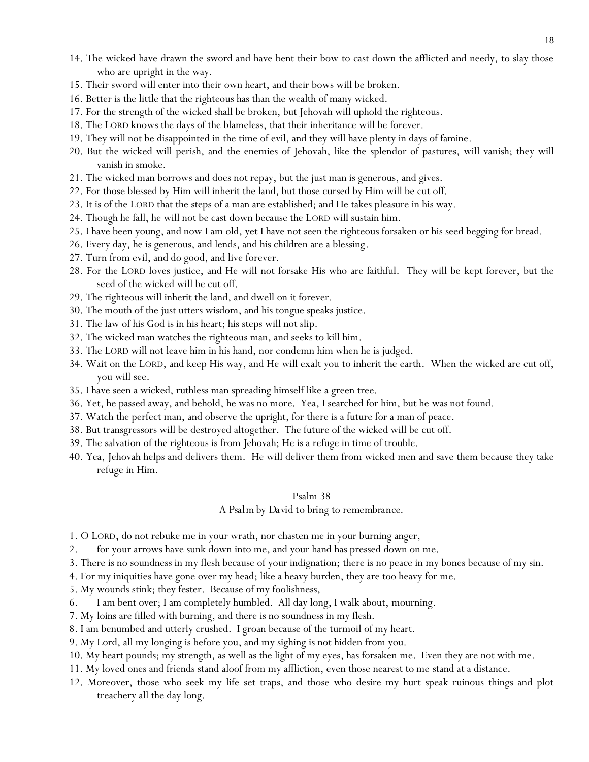- 14. The wicked have drawn the sword and have bent their bow to cast down the afflicted and needy, to slay those who are upright in the way.
- 15. Their sword will enter into their own heart, and their bows will be broken.
- 16. Better is the little that the righteous has than the wealth of many wicked.
- 17. For the strength of the wicked shall be broken, but Jehovah will uphold the righteous.
- 18. The LORD knows the days of the blameless, that their inheritance will be forever.
- 19. They will not be disappointed in the time of evil, and they will have plenty in days of famine.
- 20. But the wicked will perish, and the enemies of Jehovah, like the splendor of pastures, will vanish; they will vanish in smoke.
- 21. The wicked man borrows and does not repay, but the just man is generous, and gives.
- 22. For those blessed by Him will inherit the land, but those cursed by Him will be cut off.
- 23. It is of the LORD that the steps of a man are established; and He takes pleasure in his way.
- 24. Though he fall, he will not be cast down because the LORD will sustain him.
- 25. I have been young, and now I am old, yet I have not seen the righteous forsaken or his seed begging for bread.
- 26. Every day, he is generous, and lends, and his children are a blessing.
- 27. Turn from evil, and do good, and live forever.
- 28. For the LORD loves justice, and He will not forsake His who are faithful. They will be kept forever, but the seed of the wicked will be cut off.
- 29. The righteous will inherit the land, and dwell on it forever.
- 30. The mouth of the just utters wisdom, and his tongue speaks justice.
- 31. The law of his God is in his heart; his steps will not slip.
- 32. The wicked man watches the righteous man, and seeks to kill him.
- 33. The LORD will not leave him in his hand, nor condemn him when he is judged.
- 34. Wait on the LORD, and keep His way, and He will exalt you to inherit the earth. When the wicked are cut off, you will see.
- 35. I have seen a wicked, ruthless man spreading himself like a green tree.
- 36. Yet, he passed away, and behold, he was no more. Yea, I searched for him, but he was not found.
- 37. Watch the perfect man, and observe the upright, for there is a future for a man of peace.
- 38. But transgressors will be destroyed altogether. The future of the wicked will be cut off.
- 39. The salvation of the righteous is from Jehovah; He is a refuge in time of trouble.
- 40. Yea, Jehovah helps and delivers them. He will deliver them from wicked men and save them because they take refuge in Him.

#### *A Psalm by David to bring to remembrance.*

- 1. O LORD, do not rebuke me in your wrath, nor chasten me in your burning anger,
- 2. for your arrows have sunk down into me, and your hand has pressed down on me.
- 3. There is no soundness in my flesh because of your indignation; there is no peace in my bones because of my sin.
- 4. For my iniquities have gone over my head; like a heavy burden, they are too heavy for me.
- 5. My wounds stink; they fester. Because of my foolishness,
- 6. I am bent over; I am completely humbled. All day long, I walk about, mourning.
- 7. My loins are filled with burning, and there is no soundness in my flesh.
- 8. I am benumbed and utterly crushed. I groan because of the turmoil of my heart.
- 9. My Lord, all my longing is before you, and my sighing is not hidden from you.
- 10. My heart pounds; my strength, as well as the light of my eyes, has forsaken me. Even they are not with me.
- 11. My loved ones and friends stand aloof from my affliction, even those nearest to me stand at a distance.
- 12. Moreover, those who seek my life set traps, and those who desire my hurt speak ruinous things and plot treachery all the day long.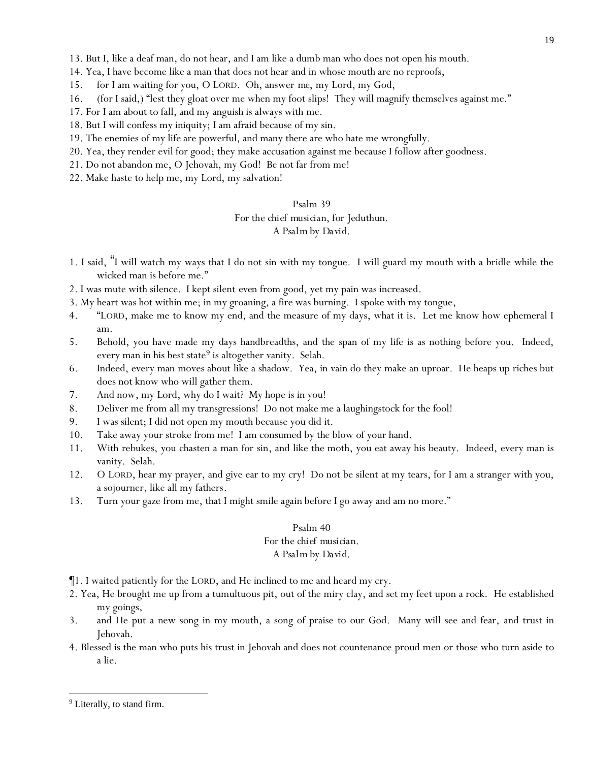- 13. But I, like a deaf man, do not hear, and I am like a dumb man who does not open his mouth.
- 14. Yea, I have become like a man that does not hear and in whose mouth are no reproofs,
- 15. for I am waiting for you, O LORD. Oh, answer *me*, my Lord, my God,
- 16. (for I said,) "lest they gloat over me when my foot slips! They will magnify themselves against me."
- 17. For I am about to fall, and my anguish is always with me.
- 18. But I will confess my iniquity; I am afraid because of my sin.
- 19. The enemies of my life are powerful, and many there are who hate me wrongfully.
- 20. Yea, they render evil for good; they make accusation against me because I follow after goodness.
- 21. Do not abandon me, O Jehovah, my God! Be not far from me!
- 22. Make haste to help me, my Lord, my salvation!

### *For the chief musician, for Jeduthun.*

### *A Psalm by David.*

- 1. I said, "I will watch my ways that I do not sin with my tongue. I will guard my mouth with a bridle while the wicked man is before me."
- 2. I was mute with silence. I kept silent *even* from good, yet my pain was increased.
- 3. My heart was hot within me; in my groaning, a fire was burning. I spoke with my tongue,
- 4. "LORD, make me to know my end, and the measure of my days, what it is. Let me know how ephemeral I am.
- 5. Behold, you have made my days handbreadths, and the span of my life is as nothing before you. Indeed, every man in his best state<sup>9</sup> is altogether vanity. Selah.
- 6. Indeed, every man moves about like a shadow. Yea, in vain do they make an uproar. He heaps up riches but does not know who will gather them.
- 7. And now, my Lord, why do I wait? My hope is in you!
- 8. Deliver me from all my transgressions! Do not make me a laughingstock for the fool!
- 9. I was silent; I did not open my mouth because you did it.
- 10. Take away your stroke from me! I am consumed by the blow of your hand.
- 11. With rebukes, you chasten a man for sin, and like the moth, you eat away his beauty. Indeed, every man is vanity. Selah.
- 12. O LORD, hear my prayer, and give ear to my cry! Do not be silent at my tears, for I am a stranger with you, a sojourner, like all my fathers*.*
- 13. Turn your gaze from me, that I might smile *again* before I go away and am no more."

#### Psalm 40

# *For the chief musician.*

### *A Psalm by David.*

- ¶1. I waited patiently for the LORD, and He inclined to me and heard my cry.
- 2. Yea, He brought me up from a tumultuous pit, out of the miry clay, and set my feet upon a rock. He established my goings,
- 3. and He put a new song in my mouth, a song of praise to our God. Many will see and fear, and trust in Jehovah.
- 4. Blessed is the man who puts his trust in Jehovah and does not countenance proud men or those who turn aside to a lie.

<sup>&</sup>lt;sup>9</sup> Literally, to stand firm.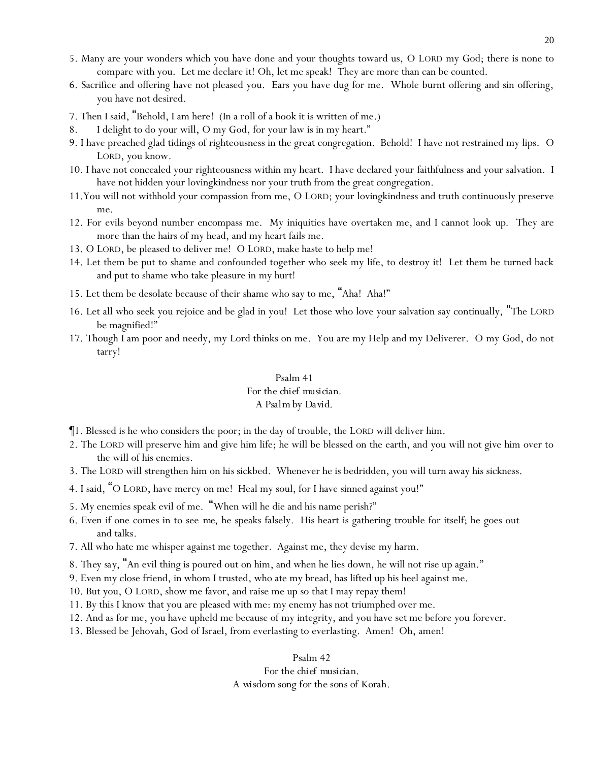- 5. Many are your wonders which you have done and your thoughts toward us, O LORD my God; there is none to compare with you. Let me declare it! Oh, let me speak! They are more than can be counted.
- 6. Sacrifice and offering have not pleased you. Ears you have dug for me. Whole burnt offering and sin offering, you have not desired.
- 7. Then I said, "Behold, I am here! (In a roll of a book it is written of me.)
- 8. I delight to do your will, O my God, for your law is in my heart."
- 9. I have preached glad tidings of righteousness in the great congregation. Behold! I have not restrained my lips. O LORD, you know.
- 10. I have not concealed your righteousness within my heart. I have declared your faithfulness and your salvation. I have not hidden your lovingkindness nor your truth from the great congregation.
- 11.You will not withhold your compassion from me, O LORD; your lovingkindness and truth continuously preserve me.
- 12. For evils beyond number encompass me. My iniquities have overtaken me, and I cannot look *up*. They are more than the hairs of my head, and my heart fails me.
- 13. O LORD, be pleased to deliver me! O LORD, make haste to help me!
- 14. Let them be put to shame and confounded together who seek my life, to destroy it! Let them be turned back and put to shame who take pleasure in my hurt!
- 15. Let them be desolate because of their shame who say to me, "Aha! Aha!"
- 16. Let all who seek you rejoice and be glad in you! Let those who love your salvation say continually, "The LORD be magnified!"
- 17. Though I am poor and needy, my Lord thinks on me. You are my Help and my Deliverer. O my God, do not tarry!

### *For the chief musician. A Psalm by David.*

- ¶1. Blessed is he who considers the poor; in the day of trouble, the LORD will deliver him.
- 2. The LORD will preserve him and give him life; he will be blessed on the earth, and you will not give him over to the will of his enemies.
- 3. The LORD will strengthen him on *his* sickbed. Whenever he is bedridden, you will turn away his sickness.
- 4. I said, "O LORD, have mercy on me! Heal my soul, for I have sinned against you!"
- 5. My enemies speak evil of me. "When will he die and his name perish?"
- 6. Even if one comes in to see *me*, he speaks falsely. His heart is gathering trouble for itself; he goes out and talks.
- 7. All who hate me whisper against me together. Against me, they devise my harm.
- 8. *They say*, "An evil thing is poured out on him, and when he lies down, he will not rise up again."
- 9. Even my close friend, in whom I trusted, who ate my bread, has lifted up his heel against me.
- 10. But you, O LORD, show me favor, and raise me up so that I may repay them!
- 11. By this I know that you are pleased with me: my enemy has not triumphed over me.
- 12. And as for me, you have upheld me because of my integrity, and you have set me before you forever.
- 13. Blessed be Jehovah, God of Israel, from everlasting to everlasting. Amen! Oh, amen!

Psalm 42

#### *For the chief musician.*

*A wisdom song for the sons of Korah.*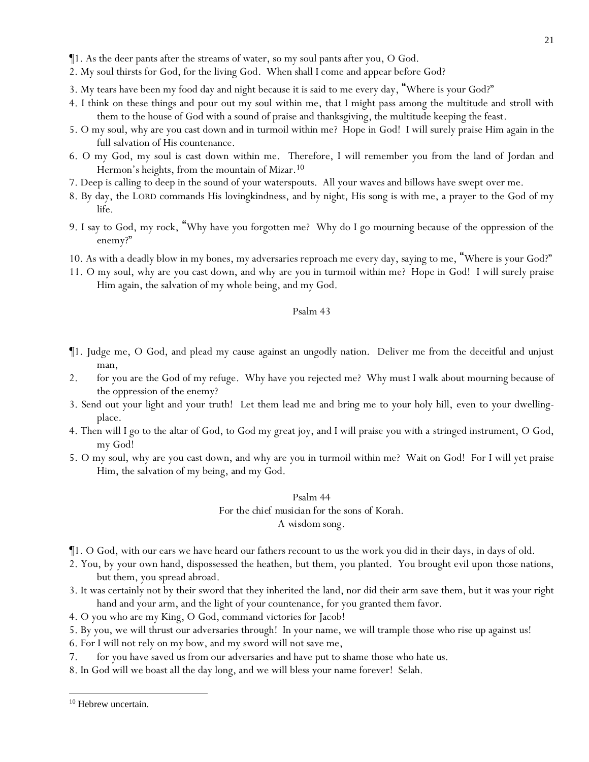- ¶1. As the deer pants after the streams of water, so my soul pants after you, O God.
- 2. My soul thirsts for God, for the living God. When shall I come and appear before God?
- 3. My tears have been my food day and night because it is said to me every day, "Where is your God?"
- 4. I think on these things and pour out my soul within me, that I might pass among the multitude and stroll with them to the house of God with a sound of praise and thanksgiving, the multitude keeping the feast.
- 5. O my soul, why are you cast down and in turmoil within me? Hope in God! I will surely praise Him again *in* the full salvation of His countenance.
- 6. O my God, my soul is cast down within me. Therefore, I will remember you from the land of Jordan and Hermon's heights, from the mountain of Mizar.<sup>10</sup>
- 7. Deep is calling to deep in the sound of your waterspouts. All your waves and billows have swept over me.
- 8. By day, the LORD commands His lovingkindness, and by night, His song is with me, a prayer to the God of my life.
- 9. I say to God, my rock, "Why have you forgotten me? Why do I go mourning because of the oppression of the enemy?"
- 10. As with a deadly blow in my bones, my adversaries reproach me every day, saying to me, "Where is your God?"
- 11. O my soul, why are you cast down, and why are you in turmoil within me? Hope in God! I will surely praise Him again, the salvation of my whole being, and my God.

- ¶1. Judge me, O God, and plead my cause against an ungodly nation. Deliver me from the deceitful and unjust man,
- 2. for you are the God of my refuge. Why have you rejected me? Why must I walk about mourning because of the oppression of the enemy?
- 3. Send out your light and your truth! Let them lead me and bring me to your holy hill, even to your dwellingplace.
- 4. Then will I go to the altar of God, to God my great joy, and I will praise you with a stringed instrument, O God, my God!
- 5. O my soul, why are you cast down, and why are you in turmoil within me? Wait on God! For I will yet praise Him, the salvation of my being, and my God.

### Psalm 44 *For the chief musician for the sons of Korah. A wisdom song.*

- ¶1. O God, with our ears we have heard our fathers recount to us the work you did in their days, in days of old.
- 2. You, by your own hand, dispossessed the heathen, but them, you planted. You brought evil upon *those* nations, but them, you spread abroad.
- 3. It was certainly not by their sword that they inherited the land, nor did their arm save them, but it was your right hand and your arm, and the light of your countenance, for you granted them favor.
- 4. O you who are my King, O God, command victories for Jacob!
- 5. By you, we will thrust our adversaries through! In your name, we will trample those who rise up against us!
- 6. For I will not rely on my bow, and my sword will not save me,
- 7. for you have saved us from our adversaries and have put to shame those who hate us.
- 8. In God will we boast all the day long, and we will bless your name forever! Selah.

<sup>&</sup>lt;sup>10</sup> Hebrew uncertain.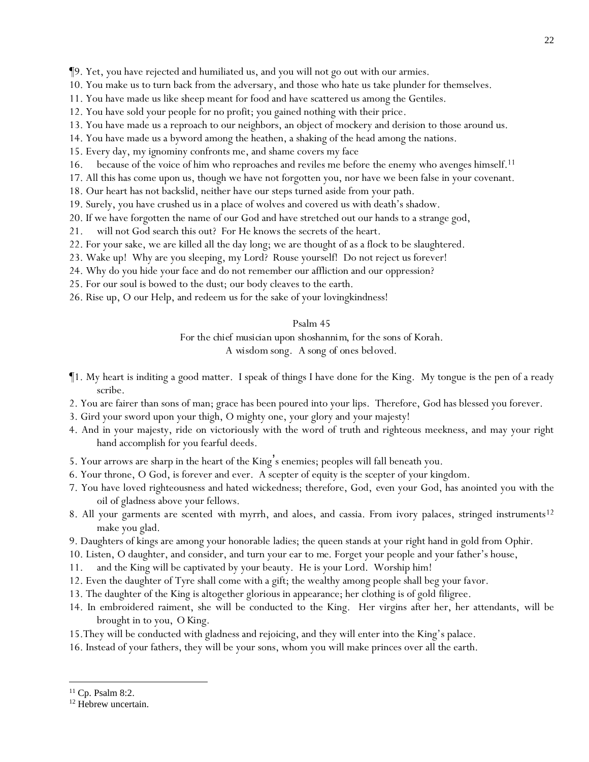¶9. Yet, you have rejected and humiliated us, and you will not go out with our armies.

- 10. You make us to turn back from the adversary, and those who hate us take plunder for themselves.
- 11. You have made us like sheep meant for food and have scattered us among the Gentiles.
- 12. You have sold your people for no profit; you gained nothing with their price.
- 13. You have made us a reproach to our neighbors, an object of mockery and derision to those around us.
- 14. You have made us a byword among the heathen, a shaking of the head among the nations.
- 15. Every day, my ignominy confronts me, and shame covers my face
- 16. because of the voice of him who reproaches and reviles me before the enemy who avenges himself. 11
- 17. All this has come upon us, though we have not forgotten you, nor have we been false in your covenant.
- 18. Our heart has not backslid, neither have our steps turned aside from your path.
- 19. Surely, you have crushed us in a place of wolves and covered us with death's shadow.
- 20. If we have forgotten the name of our God and have stretched out our hands to a strange god,
- 21. will not God search this out? For He knows the secrets of the heart.
- 22. For your sake, we are killed all the day long; we are thought of as a flock to be slaughtered.
- 23. Wake up! Why are you sleeping, my Lord? Rouse yourself! Do not reject us forever!
- 24. Why do you hide your face and do not remember our affliction and our oppression?
- 25. For our soul is bowed to the dust; our body cleaves to the earth.
- 26. Rise up, O our Help, and redeem us for the sake of your lovingkindness!

#### Psalm 45

*For the chief musician upon shoshannim, for the sons of Korah.*

*A wisdom song. A song of ones beloved.*

- ¶1. My heart is inditing a good matter. I speak of things I have done for the King. My tongue is the pen of a ready scribe.
- 2. You are fairer than sons of man; grace has been poured into your lips. Therefore, God has blessed you forever.
- 3. Gird your sword upon your thigh, O mighty one, your glory and your majesty!
- 4. And in your majesty, ride on victoriously with the word of truth and righteous meekness, and may your right hand accomplish for you fearful deeds.
- 5. Your arrows are sharp in the heart of the King's enemies; peoples will fall beneath you.
- 6. Your throne, O God, is forever and ever. A scepter of equity is the scepter of your kingdom.
- 7. You have loved righteousness and hated wickedness; therefore, God, *even* your God, has anointed you with the oil of gladness above your fellows.
- 8. All your garments are scented with myrrh, and aloes, and cassia. From ivory palaces, stringed instruments<sup>12</sup> make you glad.
- 9. Daughters of kings are among your honorable ladies; the queen stands at your right hand in gold from Ophir.
- 10. Listen, O daughter, and consider, and turn your ear *to me.* Forget your people and your father's house,
- 11. and the King will be captivated by your beauty. He is your Lord. Worship him!
- 12. Even the daughter of Tyre shall come with a gift; the wealthy among people shall beg your favor.
- 13. The daughter of the King is altogether glorious in appearance; her clothing is of gold filigree.
- 14. In embroidered raiment, she will be conducted to the King. Her virgins after her, her attendants, will be brought in to you, *O King.*
- 15.They will be conducted with gladness and rejoicing, and they will enter into the King's palace.
- 16. Instead of your fathers, they will be your sons, whom you will make princes over all the earth.

<sup>11</sup> Cp. Psalm 8:2.

<sup>&</sup>lt;sup>12</sup> Hebrew uncertain.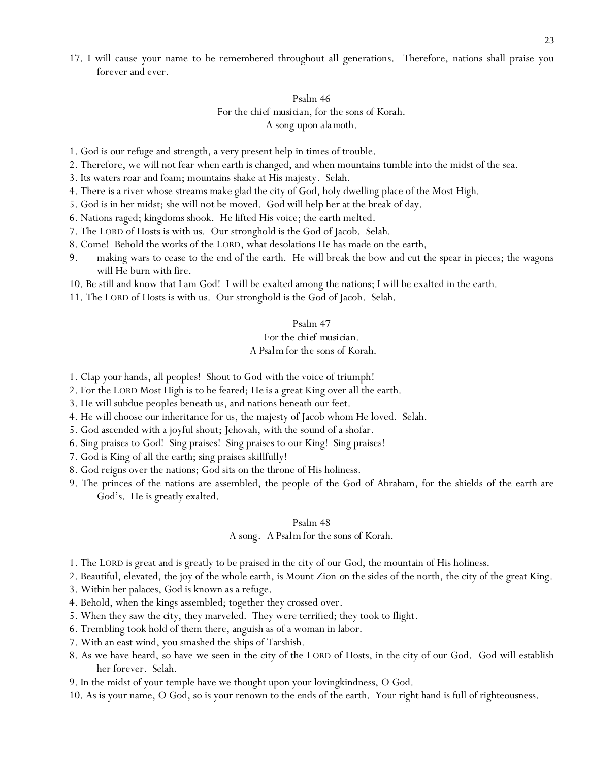17. I will cause your name to be remembered throughout all generations. Therefore, nations shall praise you forever and ever.

### Psalm 46 *For the chief musician, for the sons of Korah. A song upon alamoth.*

- 1. God is our refuge and strength, a very present help in times of trouble.
- 2. Therefore, we will not fear when earth is changed, and when mountains tumble into the midst of the sea.
- 3. Its waters roar and foam; mountains shake at His majesty. Selah.
- 4. There is a river whose streams make glad the city of God, holy dwelling place of the Most High.
- 5. God is in her midst; she will not be moved. God will help her at the break of day.
- 6. Nations raged; kingdoms shook. He lifted His voice; the earth melted.
- 7. The LORD of Hosts is with us. Our stronghold is the God of Jacob. Selah.
- 8. Come! Behold the works of the LORD, what desolations He has made on the earth,
- 9. making wars to cease to the end of the earth. He will break the bow and cut the spear in pieces; the wagons will He burn with fire.
- 10. Be still and know that I am God! I will be exalted among the nations; I will be exalted in the earth.
- 11. The LORD of Hosts is with us. Our stronghold is the God of Jacob. Selah.

#### Psalm 47

#### *For the chief musician. A Psalm for the sons of Korah.*

- 1. Clap *your* hands, all peoples! Shout to God with the voice of triumph!
- 2. For the LORD Most High is to be feared; *He is* a great King over all the earth.
- 3. He will subdue peoples beneath us, and nations beneath our feet.
- 4. He will choose our inheritance for us, the majesty of Jacob whom He loved. Selah.
- 5. God ascended with a joyful shout; Jehovah, with the sound of a shofar.
- 6. Sing praises to God! Sing praises! Sing praises to our King! Sing praises!
- 7. God is King of all the earth; sing praises skillfully!
- 8. God reigns over the nations; God sits on the throne of His holiness.
- 9. The princes of the nations are assembled, the people of the God of Abraham, for the shields of the earth are God's. He is greatly exalted.

#### Psalm 48

#### *A song. A Psalm for the sons of Korah.*

- 1. The LORD is great and is greatly to be praised in the city of our God, the mountain of His holiness.
- 2. Beautiful, elevated, the joy of the whole earth, is Mount Zion *on the* sides of the north, the city of the great King.
- 3. Within her palaces, God is known as a refuge.
- 4. Behold, when the kings assembled; together they crossed over.
- 5. When they saw *the city,* they marveled. They were terrified; they took to flight.
- 6. Trembling took hold of them there, anguish as of a woman in labor.
- 7. With an east wind, you smashed the ships of Tarshish.
- 8. As we have heard, so have we seen in the city of the LORD of Hosts, in the city of our God. God will establish her forever. Selah.
- 9. In the midst of your temple have we thought upon your lovingkindness, O God.
- 10. As is your name, O God, so is your renown to the ends of the earth. Your right hand is full of righteousness.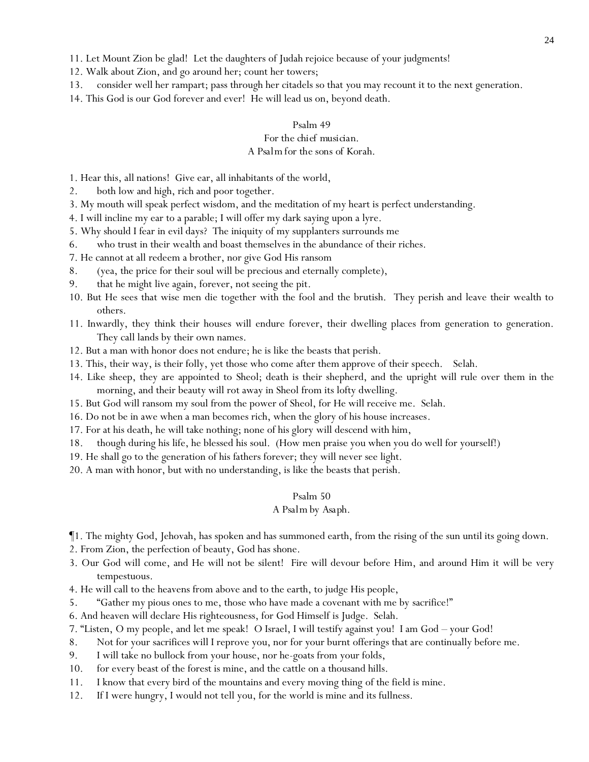11. Let Mount Zion be glad! Let the daughters of Judah rejoice because of your judgments!

- 12. Walk about Zion, and go around her; count her towers;
- 13. consider well her rampart; pass through her citadels so that *y*ou may recount *it* to the next generation.
- 14. This God is our God forever and ever! He will lead us on, beyond death.

#### Psalm 49

### *For the chief musician.*

### *A Psalm for the sons of Korah.*

- 1. Hear this, all nations! Give ear, all inhabitants of the world,
- 2. both low and high, rich and poor together.
- 3. My mouth will speak perfect wisdom, and the meditation of my heart is perfect understanding.
- 4. I will incline my ear to a parable; I will offer my dark saying upon a lyre.
- 5. Why should I fear in evil days? The iniquity of my supplanters surrounds me
- 6. who trust in their wealth and boast themselves in the abundance of their riches.
- 7. He cannot at all redeem a brother, nor give God His ransom
- 8. (yea, the price for their soul will be precious and eternally complete),
- 9. that he might live again, forever, not seeing the pit.
- 10. But He sees that wise men die together with the fool and the brutish. They perish and leave their wealth to others.
- 11. Inwardly, they *think* their houses will endure forever, their dwelling places from generation to generation. They call lands by their own names.
- 12. But a man with honor does not endure; he is like the beasts that perish.
- 13. This, their way, is their folly, yet those who come after them approve of their speech. Selah.
- 14. Like sheep, they are appointed to Sheol; death is their shepherd, and the upright will rule over them in the morning, and their beauty will rot away in Sheol from its lofty dwelling.
- 15. But God will ransom my soul from the power of Sheol, for He will receive me. Selah.
- 16. Do not be in awe when a man becomes rich, when the glory of his house increases.
- 17. For at his death, he will take nothing; none of his glory will descend with him,
- 18. though during his life, he blessed his soul. (How men praise you when you do well for yourself!)
- 19. He shall go to the generation of his fathers forever; they will never see light.
- 20. A man with honor, but with no understanding, is like the beasts that perish.

#### Psalm 50

### *A Psalm by Asaph.*

- ¶1. The mighty God, Jehovah, has spoken and has summoned earth, from the rising of the sun until its going down.
- 2. From Zion, the perfection of beauty, God has shone.
- 3. Our God will come, and He will not be silent! Fire will devour before Him, and around Him it will be very tempestuous.
- 4. He will call to the heavens from above and to the earth, to judge His people,
- 5. "Gather my pious ones to me, those who have made a covenant with me by sacrifice!"
- 6. And heaven will declare His righteousness, for God Himself is Judge. Selah.
- 7. "Listen, O my people, and let me speak! O Israel, I will testify against you! I am God your God!
- 8. Not for your sacrifices will I reprove you, nor for your burnt offerings that are continually before me.
- 9. I will take no bullock from your house, nor he-goats from your folds,
- 10. for every beast of the forest is mine, and the cattle on a thousand hills.
- 11. I know that every bird of the mountains and every moving thing of the field is mine.
- 12. If I were hungry, I would not tell you, for the world is mine and its fullness.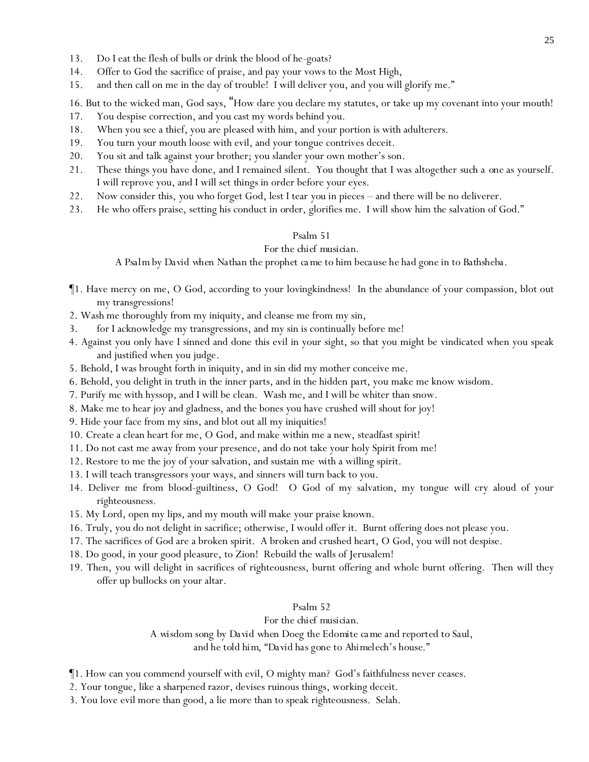- 13. Do I eat the flesh of bulls or drink the blood of he-goats?
- 14. Offer to God the sacrifice of praise, and pay your vows to the Most High,
- 15. and then call on me in the day of trouble! I will deliver you, and you will glorify me."

16. But to the wicked man, God says, "How dare you declare my statutes, or take up my covenant into your mouth!

- 17. You despise correction, and you cast my words behind you.
- 18. When you see a thief, you are pleased with him, and your portion is with adulterers.
- 19. You turn your mouth loose with evil, and your tongue contrives deceit.
- 20. You sit and talk against your brother; you slander your own mother's son.
- 21. These things you have done, and I remained silent. You thought that I was altogether *such a one* as yourself. I will reprove you, and I will set *things* in order before your eyes.
- 22. Now consider this, *y*ou who forget God, lest I tear *you* in pieces and there will be no deliverer.
- 23. He who offers praise, setting his conduct *in order*, glorifies me. I will show him the salvation of God."

### Psalm 51

### *For the chief musician.*

*A Psalm by David when Nathan the prophet ca me to him because he had gone in to Bathsheba.*

- ¶1. Have mercy on me, O God, according to your lovingkindness! In the abundance of your compassion, blot out my transgressions!
- 2. Wash me thoroughly from my iniquity, and cleanse me from my sin,
- 3. for I acknowledge my transgressions, and my sin is continually before me!
- 4. Against you only have I sinned and done this evil in your sight, so that you might be vindicated when you speak and justified when you judge.
- 5. Behold, I was brought forth in iniquity, and in sin did my mother conceive me.
- 6. Behold, you delight in truth in the inner parts, and in the hidden *part*, you make me know wisdom.
- 7. Purify me with hyssop, and I will be clean. Wash me, and I will be whiter than snow.
- 8. Make me to hear joy and gladness, and the bones you have crushed will shout for joy!
- 9. Hide your face from my sins, and blot out all my iniquities!
- 10. Create a clean heart for me, O God, and make within me a new, steadfast spirit!
- 11. Do not cast me away from your presence, and do not take your holy Spirit from me!
- 12. Restore to me the joy of your salvation, and sustain me *with* a willing spirit.
- 13. I will teach transgressors your ways, and sinners will turn back to you.
- 14. Deliver me from blood-guiltiness, O God! O God of my salvation, my tongue will cry aloud of your righteousness.
- 15. My Lord, open my lips, and my mouth will make your praise known.
- 16. Truly, you do not delight in sacrifice; otherwise, I would offer it. Burnt offering does not please you.
- 17. The sacrifices of God are a broken spirit. A broken and crushed heart, O God, you will not despise.
- 18. Do good, in your good pleasure, to Zion! Rebuild the walls of Jerusalem!
- 19. Then, you will delight in sacrifices of righteousness, burnt offering and whole burnt offering. Then will they offer up bullocks on your altar.

### Psalm 52

### *For the chief musician.*

*A wisdom song by David when Doeg the Edomite ca me and reported to Saul, and he told him, "David has gone to Ahimelech's house."*

- ¶1. How can you commend yourself with evil, O mighty man? God's faithfulness never ceases.
- 2. Your tongue, like a sharpened razor, devises ruinous things, working deceit.
- 3. You love evil more than good, a lie more than to speak righteousness. Selah.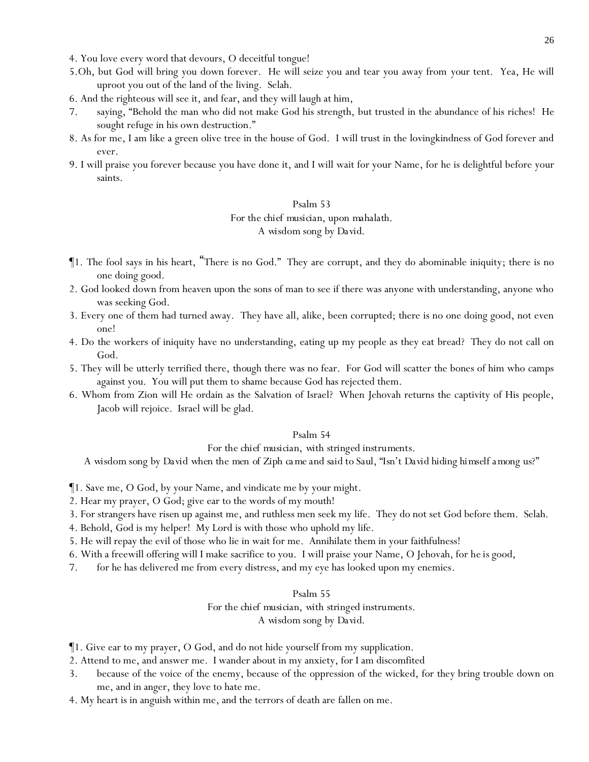- 4. You love every word that devours, O deceitful tongue!
- 5.Oh, but God will bring you down forever. He will seize you and tear you away from *your* tent. Yea, He will uproot you out of the land of the living. Selah.
- 6. And the righteous will see it, and fear, and they will laugh at him,
- 7. saying, "Behold the man who did not make God his strength, but trusted in the abundance of his riches! He sought refuge in his own destruction."
- 8. As for me, I am like a green olive tree in the house of God. I will trust in the lovingkindness of God forever and ever.
- 9. I will praise you forever because you have done it, and I will wait for your Name, for he is delightful before your saints.

### *For the chief musician, upon mahalath.*

#### *A wisdom song by David.*

- ¶1. The fool says in his heart, "There is no God." They are corrupt, and they do abominable iniquity; there is no one doing good.
- 2. God looked down from heaven upon the sons of man to see if there was anyone with understanding, anyone who was seeking God.
- 3. Every one of them had turned away. They have all, alike, been corrupted; there is no one doing good, not even one!
- 4. Do the workers of iniquity have no understanding, eating up my people as they eat bread? They do not call on God.
- 5. They will be utterly terrified there, *though* there was no fear. For God will scatter the bones of him who camps against you. You will put them to shame because God has rejected them.
- 6. Whom from Zion will He ordain as the Salvation of Israel? When Jehovah returns the captivity of His people, Jacob will rejoice. Israel will be glad.

#### Psalm 54

#### *For the chief musician, with stringed instruments.*

*A wisdom song by David when the men of Ziph ca me and said to Saul, "Isn't David hiding himself among us?"*

¶1. Save me, O God, by your Name, and vindicate me by your might.

- 2. Hear my prayer, O God; give ear to the words of my mouth!
- 3. For strangers have risen up against me, and ruthless men seek my life. They do not set God before them. Selah.
- 4. Behold, God is my helper! My Lord is with those who uphold my life.
- 5. He will repay the evil of those who lie in wait for me. Annihilate them in your faithfulness!
- 6. With a freewill offering will I make sacrifice to you. I will praise your Name, O Jehovah, for *he is* good,
- 7. for he has delivered me from every distress, and my eye has looked upon my enemies.

#### Psalm 55

### *For the chief musician, with stringed instruments. A wisdom song by David.*

- ¶1. Give ear to my prayer, O God, and do not hide yourself from my supplication.
- 2. Attend to me, and answer me. I wander about in my anxiety, for I am discomfited
- 3. because of the voice of the enemy, because of the oppression of the wicked, for they bring trouble down on me, and in anger, they love to hate me.
- 4. My heart is in anguish within me, and the terrors of death are fallen on me.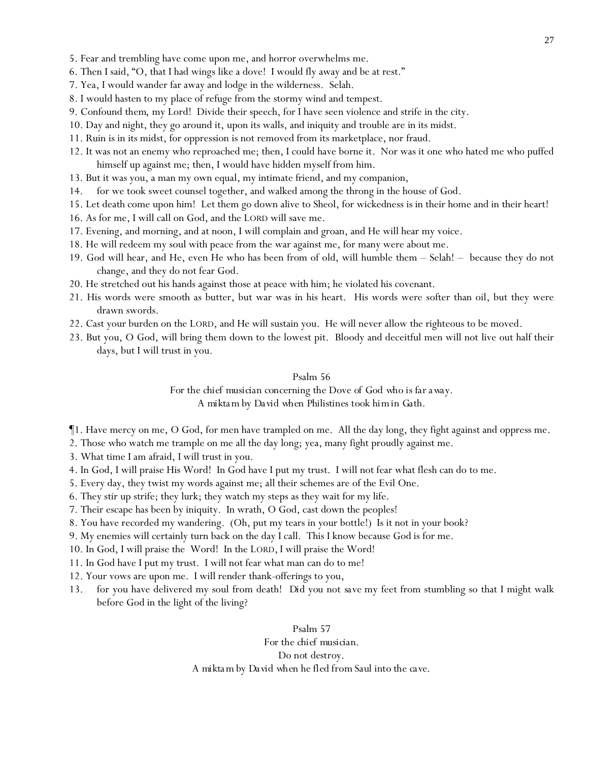- 5. Fear and trembling have come upon me, and horror overwhelms me.
- 6. Then I said, "O, that I had wings like a dove! I would fly away and be at rest."
- 7. Yea, I would wander far away and lodge in the wilderness. Selah.
- 8. I would hasten to my place of refuge from the stormy wind and tempest.
- 9. Confound *them*, my Lord! Divide their speech, for I have seen violence and strife in the city.
- 10. Day and night, they go around it, upon its walls, and iniquity and trouble are in its midst.
- 11. Ruin is in its midst, for oppression is not removed from its marketplace, nor fraud.
- 12. It was not an enemy who reproached me; then, I could have borne it. Nor was it one who hated me who puffed himself up against me; then, I would have hidden myself from him.
- 13. But it was you, a man my own equal, my intimate friend, and my companion,
- 14. for we took sweet counsel together, and walked among the throng in the house of God.
- 15. Let death come upon him! Let them go down alive to Sheol, for wickedness is in their home and in their heart!
- 16. As for me, I will call on God, and the LORD will save me.
- 17. Evening, and morning, and at noon, I will complain and groan, and He will hear my voice.
- 18. He will redeem my soul with peace from the war against me, for many were about me.
- 19. God will hear, and He, even He who has been from of old, will humble them Selah! because they do not change, and they do not fear God.
- 20. He stretched out his hands against those at peace with him; he violated his covenant.
- 21. His words were smooth as butter, but war was in his heart. His words were softer than oil, but they were drawn swords.
- 22. Cast your burden on the LORD, and He will sustain you. He will never allow the righteous to be moved.
- 23. But you, O God, will bring them down to the lowest pit. Bloody and deceitful men will not live out half their days, but I will trust in you.

*For the chief musician concerning the Dove of God who is far away.*

*A mikta m by David when Philistines took him in Gath.*

¶1. Have mercy on me, O God, for men have trampled on me. All the day long, they fight against and oppress me.

2. Those who watch me trample on me all the day long; yea, many fight proudly against me.

3. What time I am afraid, I will trust in you.

- 4. In God, I will praise His Word! In God have I put my trust. I will not fear what flesh can do to me.
- 5. Every day, they twist my words against me; all their schemes are of the Evil One.
- 6. They stir up strife; they lurk; they watch my steps as they wait for my life.
- 7. Their escape has been by iniquity. In wrath, O God, cast down the peoples!
- 8. You have recorded my wandering. (Oh, put my tears in your bottle!) Is it not in your book?
- 9. My enemies will certainly turn back on the day I call. This I know because God is for me.
- 10. In God, I will praise the Word! In the LORD, I will praise the Word!
- 11. In God have I put my trust. I will not fear what man can do to me!
- 12. Your vows are upon me. I will render thank-offerings to you,
- 13. for you have delivered my soul from death! *Did you* not *save* my feet from stumbling so that I might walk before God in the light of the living?

Psalm 57 *For the chief musician. Do not destroy. A mikta m by David when he fled from Saul into the cave.*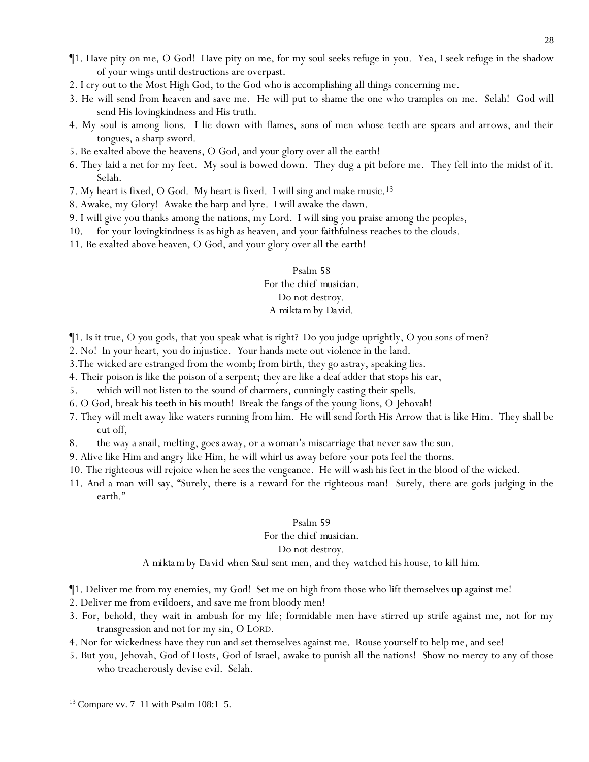- ¶1. Have pity on me, O God! Have pity on me, for my soul seeks refuge in you. Yea, I seek refuge in the shadow of your wings until destructions are overpast.
- 2. I cry out to the Most High God, to the God who is accomplishing *all things* concerning me.
- 3. He will send from heaven and save me. He will put to shame the one who tramples on me. Selah! God will send His lovingkindness and His truth.
- 4. My soul is among lions. I lie down with flames, sons of men whose teeth are spears and arrows, and their tongues, a sharp sword.
- 5. Be exalted above the heavens, O God, and your glory over all the earth!
- 6. They laid a net for my feet. My soul is bowed down. They dug a pit before me. They fell into the midst of it. Selah.
- 7. My heart is fixed, O God. My heart is fixed. I will sing and make music.<sup>13</sup>
- 8. Awake, my Glory! Awake the harp and lyre. I will awake the dawn.
- 9. I will give you thanks among the nations, my Lord. I will sing you praise among the peoples,
- 10. for your lovingkindness is as high as heaven, and your faithfulness reaches to the clouds.
- 11. Be exalted above heaven, O God, and your glory over all the earth!

# Psalm 58 *For the chief musician. Do not destroy. A mikta m by David.*

- ¶1. Is it true, O *y*ou gods, that *y*ou speak what is right? Do *y*ou judge uprightly, O *y*ou sons of men?
- 2. No! In *y*our heart, *y*ou do injustice. *Y*our hands mete out violence in the land.
- 3.The wicked are estranged from the womb; from birth, they go astray, speaking lies.
- 4. Their poison is like the poison of a serpent; *they are* like a deaf adder that stops his ear,
- 5. which will not listen to the sound of charmers, cunningly casting their spells.
- 6. O God, break his teeth in his mouth! Break the fangs of the young lions, O Jehovah!
- 7. They will melt away like waters running from him. He will send forth His Arrow that is like Him. They shall be cut off,
- 8. the way a snail, melting, goes away, or a woman's miscarriage that never saw the sun.
- 9. Alive like Him and angry like Him, he will whirl us away before *y*our pots feel the thorns.
- 10. The righteous will rejoice when he sees the vengeance. He will wash his feet in the blood of the wicked.
- 11. And a man will say, "Surely, there is a reward for the righteous man! Surely, there are gods judging in the earth."

### Psalm 59

### *For the chief musician.*

### *Do not destroy.*

*A mikta m by David when Saul sent men, and they watched his house, to kill him.*

- ¶1. Deliver me from my enemies, my God! Set me on high from those who lift themselves up against me!
- 2. Deliver me from evildoers, and save me from bloody men!
- 3. For, behold, they wait in ambush for my life; formidable men have stirred up strife against me, not for my transgression and not for my sin, O LORD.
- 4. Nor for wickedness have they run and set themselves against me. Rouse yourself to help me, and see!
- 5. But you, Jehovah, God of Hosts, God of Israel, awake to punish all the nations! Show no mercy to any of those who treacherously devise evil. Selah.

 $13$  Compare vv. 7–11 with Psalm 108:1–5.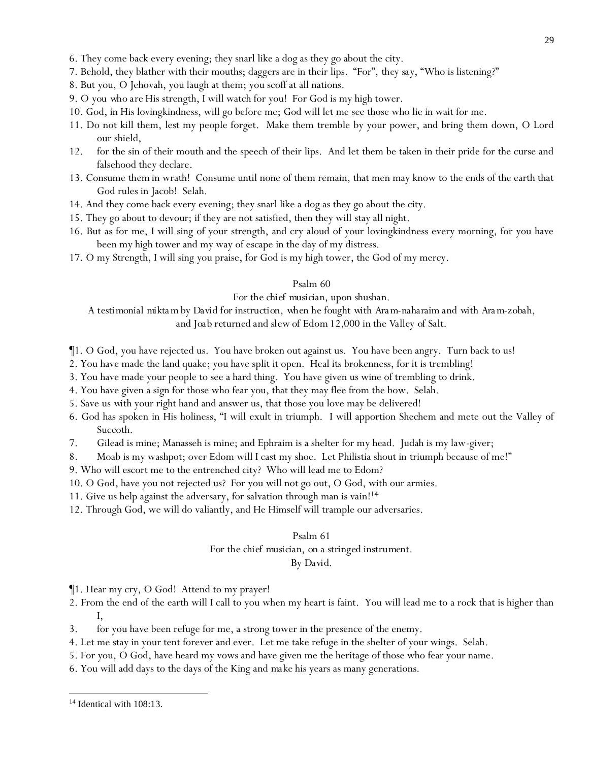- 6. They come back every evening; they snarl like a dog as they go about the city.
- 7. Behold, they blather with their mouths; daggers are in their lips. "For", *they say,* "Who is listening?"
- 8. But you, O Jehovah, you laugh at them; you scoff at all nations.
- 9. O *you who are* His strength, I will watch for you! For God is my high tower.
- 10. God, in His lovingkindness, will go before me; God will let me see those who lie in wait for me.
- 11. Do not kill them, lest my people forget. Make them tremble by your power, and bring them down, O Lord our shield,
- 12. for the sin of their mouth and the speech of their lips. And let them be taken in their pride for the curse and falsehood they declare.
- 13. Consume *them* in wrath! Consume until none of them remain, that men may know to the ends of the earth that God rules in Jacob! Selah.
- 14. And they come back every evening; they snarl like a dog as they go about the city.
- 15. They go about to devour; if they are not satisfied, then they will stay all night.
- 16. But as for me, I will sing of your strength, and cry aloud of your lovingkindness every morning, for you have been my high tower and my way of escape in the day of my distress.
- 17. O my Strength, I will sing you praise, for God is my high tower, the God of my mercy.

### *For the chief musician, upon shushan.*

*A testimonial mikta m by David for instruction, when he fought with Ara m-naharaim and with Ara m-zobah, and Joab returned and slew of Edom 12,000 in the Valley of Salt.*

¶1. O God, you have rejected us. You have broken out against us. You have been angry. Turn back to us!

- 2. You have made the land quake; you have split it open. Heal its brokenness, for it is trembling!
- 3. You have made your people to see a hard thing. You have given us wine of trembling to drink.
- 4. You have given a sign for those who fear you, that they may flee from the bow. Selah.
- 5. Save *us with* your right hand and answer us, that those you love may be delivered!
- 6. God has spoken in His holiness, "I will exult in triumph. I will apportion Shechem and mete out the Valley of Succoth.
- 7. Gilead is mine; Manasseh is mine; and Ephraim is a shelter for my head. Judah is my law-giver;
- 8. Moab is my washpot; over Edom will I cast my shoe. Let Philistia shout in triumph because of me!"
- 9. Who will escort me to the entrenched city? Who will lead me to Edom?
- 10. O God, have you not rejected us? For you will not go out, O God, with our armies.
- 11. Give us help against the adversary, for salvation through man is vain!<sup>14</sup>
- 12. Through God, we will do valiantly, and He Himself will trample our adversaries.

### Psalm 61

# *For the chief musician, on a stringed instrument.*

*By David.*

¶1. Hear my cry, O God! Attend to my prayer!

- 2. From the end of the earth will I call to you when my heart is faint. You will lead me to a rock that is higher than I,
- 3. for you have been refuge for me, a strong tower in the presence of the enemy.
- 4. Let me stay in your tent forever and ever. Let me take refuge in the shelter of your wings. Selah.
- 5. For you, O God, have heard my vows and have given me the heritage of those who fear your name.
- 6. You will add days to the days of the King *and make* his years as many generations.

 $14$  Identical with  $108:13$ .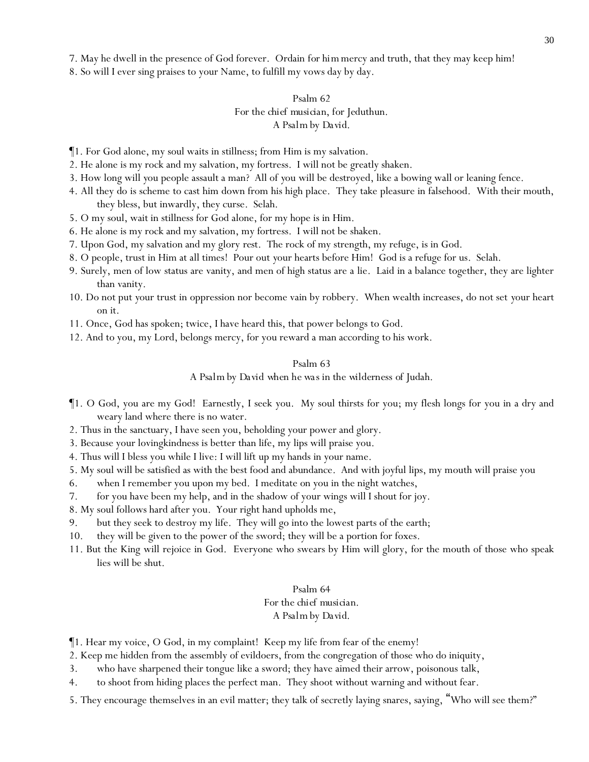7. May he dwell in the presence of God forever. Ordain *for him*mercy and truth, that they may keep him!

8. So will I ever sing praises to your Name, to fulfill my vows day by day.

### Psalm 62 *For the chief musician, for Jeduthun. A Psalm by David.*

- ¶1. For God alone, my soul waits in stillness; from Him is my salvation.
- 2. He alone is my rock and my salvation, my fortress. I will not be greatly shaken.
- 3. How long will *y*ou people assault a man? All of *y*ou will be destroyed, like a bowing wall or leaning fence.
- 4. All they do is scheme to cast him down from his high place. They take pleasure in falsehood. With their mouth, they bless, but inwardly, they curse. Selah.
- 5. O my soul, wait in stillness for God alone, for my hope is in Him.
- 6. He alone is my rock and my salvation, my fortress. I will not be shaken.
- 7. Upon God, my salvation and my glory *rest*. The rock of my strength, my refuge, is in God.
- 8. O people, trust in Him at all times! Pour out *y*our hearts before Him! God is a refuge for us. Selah.
- 9. Surely, men of low status are vanity, and men of high status are a lie. Laid in a balance together, they are lighter than vanity.
- 10. Do not put *y*our trust in oppression nor become vain by robbery. When wealth increases, do not set *y*our heart on it.
- 11. Once, God has spoken; twice, I have heard this, that power belongs to God.
- 12. And to you, my Lord, belongs mercy, for you reward a man according to his work.

#### Psalm 63

*A Psalm by David when he was in the wilderness of Judah.*

- ¶1. O God, you are my God! Earnestly, I seek you. My soul thirsts for you; my flesh longs for you in a dry and weary land where there is no water.
- 2. Thus in the sanctuary, I have seen you, beholding your power and glory.
- 3. Because your lovingkindness is better than life, my lips will praise you.
- 4. Thus will I bless you while I live: I will lift up my hands in your name.
- 5. My soul will be satisfied as with the best food and abundance. And with joyful lips, my mouth will praise you
- 6. when I remember you upon my bed. I meditate on you in the night watches,
- 7. for you have been my help, and in the shadow of your wings will I shout for joy.
- 8. My soul follows hard after you. Your right hand upholds me,
- 9. but they seek to destroy my life. They will go into the lowest parts of the earth;
- 10. they will be given to the power of the sword; they will be a portion for foxes.
- 11. But the King will rejoice in God. Everyone who swears by Him will glory, for the mouth of those who speak lies will be shut.

#### Psalm 64

# *For the chief musician.*

### *A Psalm by David.*

- ¶1. Hear my voice, O God, in my complaint! Keep my life from fear of the enemy!
- 2. Keep me hidden from the assembly of evildoers, from the congregation of those who do iniquity,
- 3. who have sharpened their tongue like a sword; they have aimed their arrow, poisonous talk,
- 4. to shoot from hiding places the perfect man. They shoot without warning and without fear.
- 5. They encourage themselves in an evil matter; they talk of secretly laying snares, saying, "Who will see them?"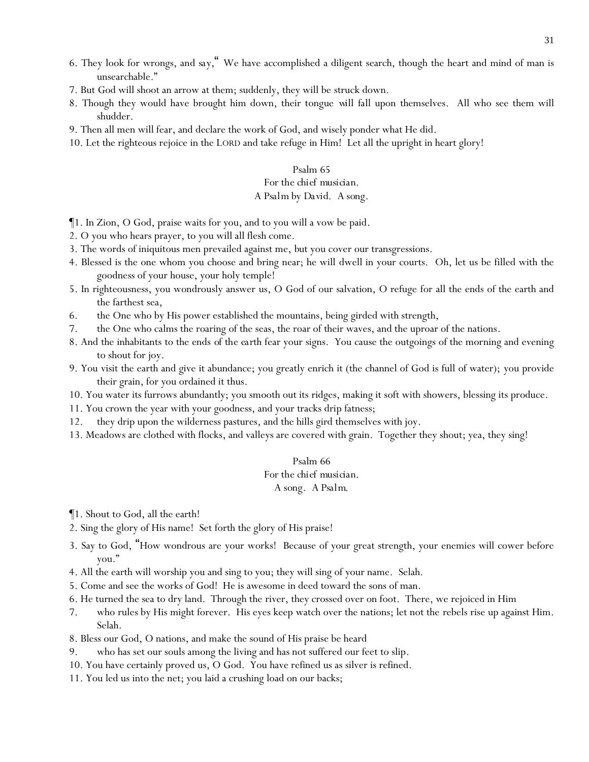- 6. They look for wrongs, *and say,*" We have accomplished a diligent search, though the heart and mind of man is unsearchable."
- 7. But God will shoot an arrow at them; suddenly, they will be struck down.
- 8. Though they would have brought him down, their tongue *will fall* upon themselves. All who see them will shudder.
- 9. Then all men will fear, and declare the work of God, and wisely ponder what He did.
- 10. Let the righteous rejoice in the LORD and take refuge in Him! Let all the upright in heart glory!

### *For the chief musician.*

### *A Psalm by David. A song.*

¶1. In Zion, O God, praise waits for you, and to you will a vow be paid.

- 2. O you who hears prayer, to you will all flesh come.
- 3. The words of iniquitous men prevailed against me, *but* you cover our transgressions.
- 4. Blessed is the one whom you choose and bring near; he will dwell in your courts. Oh, let us be filled with the goodness of your house, your holy temple!
- 5. In righteousness, you wondrously answer us, O God of our salvation, O refuge for all the ends of the earth and the farthest sea,
- 6. the One who by His power established the mountains, being girded with strength,
- 7. the One who calms the roaring of the seas, the roar of their waves, and the uproar of the nations.
- 8. And the inhabitants to the ends *of the earth* fear your signs. You cause the outgoings of the morning and evening to shout for joy.
- 9. You visit the earth and give it abundance; you greatly enrich it (the channel of God is full of water); you provide their grain, for you ordained it thus*.*
- 10. You water its furrows abundantly; you smooth out its ridges, making it soft with showers, blessing its produce.
- 11. You crown the year with your goodness, and your tracks drip fatness;
- 12. they drip upon the wilderness pastures, and the hills gird themselves with joy.
- 13. Meadows are clothed with flocks, and valleys are covered with grain. Together they shout; yea, they sing!

#### Psalm 66

### *For the chief musician.*

#### *A song. A Psalm.*

- ¶1. Shout to God, all the earth!
- 2. Sing the glory of His name! Set forth the glory of His praise!
- 3. Say to God, "How wondrous are your works! Because of your great strength, your enemies will cower before you."
- 4. All the earth will worship you and sing to you; they will sing of your name. Selah.
- 5. Come and see the works of God! He is awesome in deed toward the sons of man.
- 6. He turned the sea to dry land. Through the river, they crossed over on foot. There, we rejoiced in Him
- 7. who rules by His might forever. His eyes keep watch over the nations; let not the rebels rise up against Him. Selah.
- 8. Bless our God, O nations, and make the sound of His praise be heard
- 9. who has set our souls among the living and has not suffered our feet to slip.
- 10. You have certainly proved us, O God. You have refined us as silver is refined.
- 11. You led us into the net; you laid a crushing load on our backs;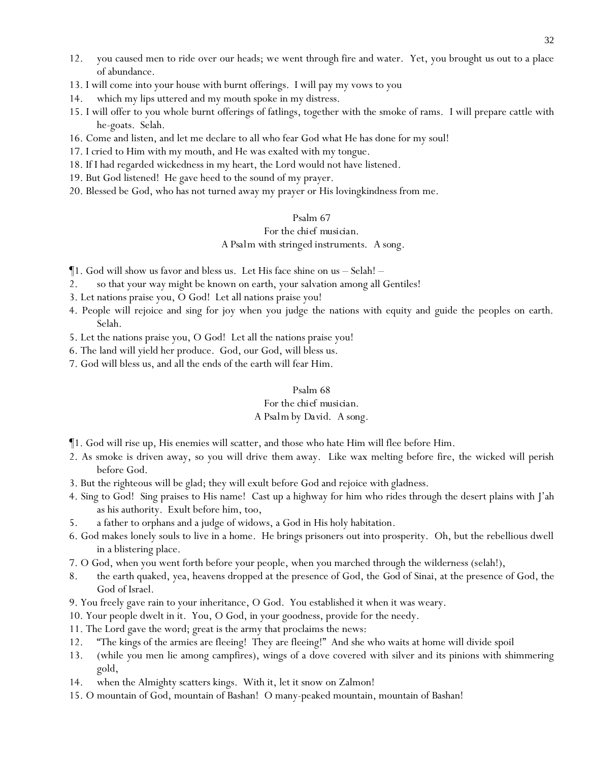- 12. you caused men to ride over our heads; we went through fire and water. Yet, you brought us out to a place of abundance.
- 13. I will come into your house with burnt offerings. I will pay my vows to you
- 14. which my lips uttered and my mouth spoke in my distress.
- 15. I will offer to you whole burnt offerings of fatlings, together with the smoke of rams. I will prepare cattle with he-goats. Selah.
- 16. Come and listen, and let me declare to all who fear God what He has done for my soul!
- 17. I cried to Him with my mouth, and He was exalted with my tongue.
- 18. If I had regarded wickedness in my heart, the Lord would not have listened.
- 19. But God listened! He gave heed to the sound of my prayer.
- 20. Blessed be God, who has not turned away my prayer or His lovingkindness from me.

### *For the chief musician.*

### *A Psalm with stringed instruments. A song.*

- ¶1. God will show us favor and bless us. Let His face shine on us Selah! –
- 2. so that your way might be known on earth, your salvation among all Gentiles!
- 3. Let nations praise you, O God! Let all nations praise you!
- 4. People will rejoice and sing for joy when you judge the nations with equity and guide the peoples on earth. Selah.
- 5. Let the nations praise you, O God! Let all the nations praise you!
- 6. The land will yield her produce. God, our God, will bless us.
- 7. God will bless us, and all the ends of the earth will fear Him.

### Psalm 68

### *For the chief musician.*

### *A Psalm by David. A song.*

- ¶1. God will rise up, His enemies will scatter, and those who hate Him will flee before Him.
- 2. As smoke is driven away, so you will drive *them* away. Like wax melting before fire, the wicked will perish before God.
- 3. But the righteous will be glad; they will exult before God and rejoice with gladness.
- 4. Sing to God! Sing praises to His name! Cast up a highway for him who rides through the desert plains with J'ah as his authority. Exult before him, too,
- 5. a father to orphans and a judge of widows, a God in His holy habitation.
- 6. God makes lonely souls to live in a home. He brings prisoners out into prosperity. Oh, but the rebellious dwell in a blistering place.
- 7. O God, when you went forth before your people, when you marched through the wilderness (selah!),
- 8. the earth quaked, yea, heavens dropped at the presence of God, the *God* of Sinai, at the presence of God, the God of Israel.
- 9. You freely gave rain to your inheritance, O God. You established it when it was weary.
- 10. Your people dwelt in it. You, O God, in your goodness, provide for the needy.
- 11. The Lord gave the word; great is the army that proclaims the news:
- 12. "The kings of the armies are fleeing! They are fleeing!" And she who waits at home will divide spoil
- 13. (while you men lie among campfires), wings of a dove covered with silver and its pinions with shimmering gold,
- 14. when the Almighty scatters kings. With it, let it snow on Zalmon!
- 15. O mountain of God, mountain of Bashan! O many-peaked mountain, mountain of Bashan!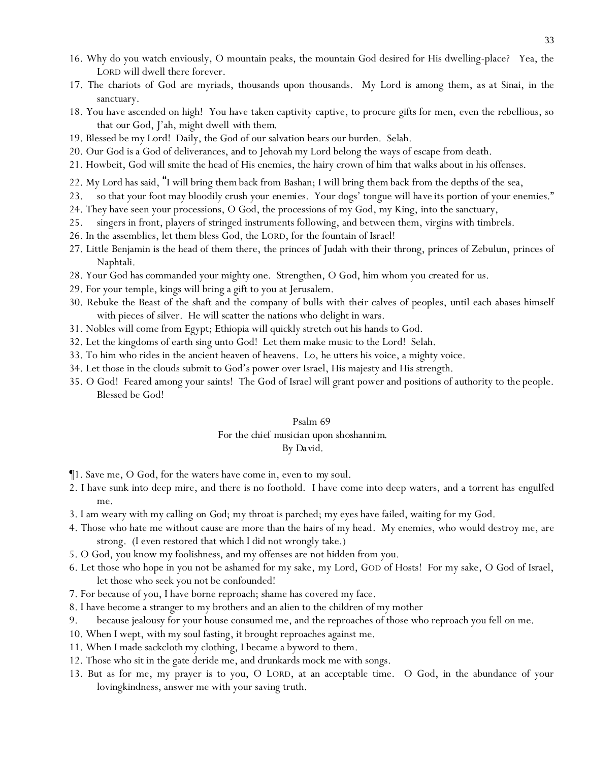- 16. Why do you watch enviously, O mountain peaks, the mountain God desired for His dwelling-place? Yea, the LORD will dwell there forever.
- 17. The chariots of God are myriads, thousands upon thousands. My Lord is among them, *as at* Sinai, in the sanctuary.
- 18. You have ascended on high! You have taken captivity captive, to procure gifts for men, even the rebellious, so that *our* God, J'ah, might dwell *with them*.
- 19. Blessed be my Lord! Daily, the God of our salvation bears our burden. Selah.
- 20. Our God is a God of deliverances, and to Jehovah my Lord belong the ways of escape from death.
- 21. Howbeit, God will smite the head of His enemies, the hairy crown of him that walks about in his offenses.
- 22. My Lord has said, "I will bring *them* back from Bashan; I will bring *them* back from the depths of the sea,
- 23. so that your foot may bloodily crush *your enemies.* Your dogs' tongue will *have* its portion of your enemies."
- 24. They have seen your processions, O God, the processions of my God, my King, into the sanctuary,
- 25. singers in front, players of stringed instruments following, and between them, virgins with timbrels.
- 26. In the assemblies, let them bless God, the LORD, for the fountain of Israel!
- 27. Little Benjamin is the head of them there, the princes of Judah with their throng, princes of Zebulun, princes of Naphtali.
- 28. Your God has commanded your mighty one. Strengthen, O God, him whom you created for us.
- 29. For your temple, kings will bring a gift to you at Jerusalem.
- 30. Rebuke the Beast of the shaft and the company of bulls with *their* calves of peoples, *until* each abases himself with pieces of silver. He will scatter the nations who delight in wars.
- 31. Nobles will come from Egypt; Ethiopia will quickly stretch out his hands to God.
- 32. Let the kingdoms of earth sing unto God! Let them make music to the Lord! Selah.
- 33. To him who rides in the ancient heaven of heavens. Lo, he utters his voice, a mighty voice.
- 34. Let those in the clouds submit to God's power over Israel, His majesty and His strength.
- 35. O God! Feared among your saints! The God of Israel will grant power and positions of authority to *the* people. Blessed be God!

### Psalm 69 *For the chief musician upon shoshannim. By David.*

- ¶1. Save me, O God, for the waters have come in, even to *my* soul.
- 2. I have sunk into deep mire, and there is no foothold. I have come into deep waters, and a torrent has engulfed me.
- 3. I am weary with my calling *on God*; my throat is parched; my eyes have failed, waiting for my God.
- 4. Those who hate me without cause are more than the hairs of my head. My enemies, who would destroy me, are strong. (I even restored that which I did not wrongly take.)
- 5. O God, you know my foolishness, and my offenses are not hidden from you.
- 6. Let those who hope in you not be ashamed for my sake, my Lord, GOD of Hosts! For my sake, O God of Israel, let those who seek you not be confounded!
- 7. For because of you, I have borne reproach; shame has covered my face.
- 8. I have become a stranger to my brothers and an alien to the children of my mother
- 9. because jealousy for your house consumed me, and the reproaches of those who reproach you fell on me.
- 10. When I wept, with my soul fasting, it brought reproaches against me.
- 11. When I made sackcloth my clothing, I became a byword to them.
- 12. Those who sit in the gate deride me, and drunkards mock me with songs.
- 13. But as for me, my prayer is to you, O LORD, at an acceptable time. O God, in the abundance of your lovingkindness, answer me with your saving truth.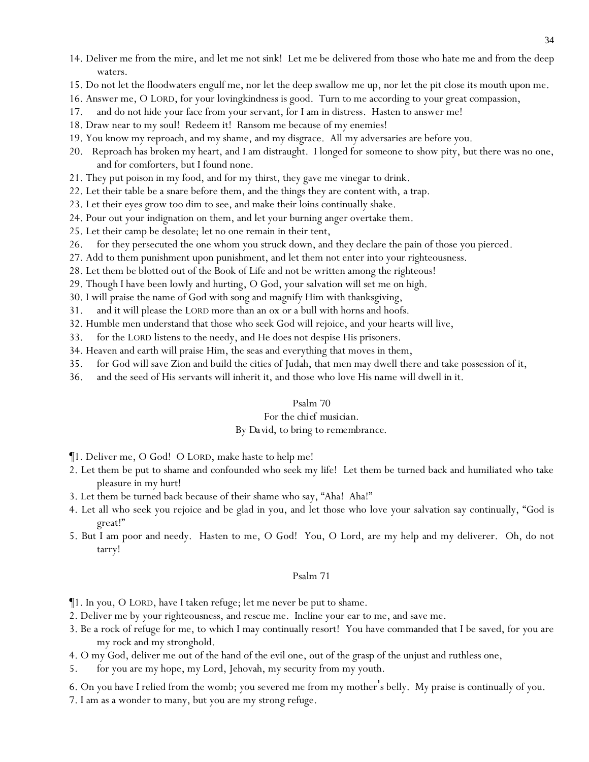- 14. Deliver me from the mire, and let me not sink! Let me be delivered from those who hate me and from the deep waters.
- 15. Do not let the floodwaters engulf me, nor let the deep swallow me up, nor let the pit close its mouth upon me.
- 16. Answer me, O LORD, for your lovingkindness is good. Turn to me according to your great compassion,
- 17. and do not hide your face from your servant, for I am in distress. Hasten to answer me!
- 18. Draw near to my soul! Redeem it! Ransom me because of my enemies!
- 19. You know my reproach, and my shame, and my disgrace. All my adversaries are before you.
- 20. Reproach has broken my heart, and I am distraught. I longed for *someone* to show pity, but there was no one, and for comforters, but I found none.
- 21. They put poison in my food, and for my thirst, they gave me vinegar to drink.
- 22. Let their table be a snare before them, and the things they are content with, a trap.
- 23. Let their eyes grow too dim to see, and make their loins continually shake.
- 24. Pour out your indignation on them, and let your burning anger overtake them.
- 25. Let their camp be desolate; let no one remain in their tent,
- 26. for they persecuted the one whom you struck down, and they declare the pain of those you pierced.
- 27. Add to them punishment upon punishment, and let them not enter into your righteousness.
- 28. Let them be blotted out of the Book of Life and not be written among the righteous!
- 29. Though I have been lowly and hurting, O God, your salvation will set me on high.
- 30. I will praise the name of God with song and magnify Him with thanksgiving,
- 31. and it will please the LORD more than an ox or a bull with horns and hoofs.
- 32. Humble men understand that those who seek God will rejoice, and *y*our hearts will live,
- 33. for the LORD listens to the needy, and He does not despise His prisoners.
- 34. Heaven and earth will praise Him, the seas and everything that moves in them,
- 35. for God will save Zion and build the cities of Judah, that men may dwell there and take possession of it,
- 36. and the seed of His servants will inherit it, and those who love His name will dwell in it.

#### *For the chief musician.*

#### *By David, to bring to remembrance.*

- ¶1. Deliver me, O God! O LORD, make haste to help me!
- 2. Let them be put to shame and confounded who seek my life! Let them be turned back and humiliated who take pleasure in my hurt!
- 3. Let them be turned back because of their shame who say, "Aha! Aha!"
- 4. Let all who seek you rejoice and be glad in you, and let those who love your salvation say continually, "God is great!"
- 5. But I am poor and needy. Hasten to me, O God! You, O Lord, are my help and my deliverer. Oh, do not tarry!

#### Psalm 71

- ¶1. In you, O LORD, have I taken refuge; let me never be put to shame.
- 2. Deliver me by your righteousness, and rescue me. Incline your ear to me, and save me.
- 3. Be a rock of refuge for me, to which I may continually resort! You have commanded that I be saved, for you are my rock and my stronghold.
- 4. O my God, deliver me out of the hand of the evil one, out of the grasp of the unjust and ruthless one,
- 5. for you are my hope, my Lord, Jehovah, my security from my youth.
- 6. On you have I relied from the womb; you severed me from my mother's belly. My praise is continually of you.
- 7. I am as a wonder to many, but you are my strong refuge.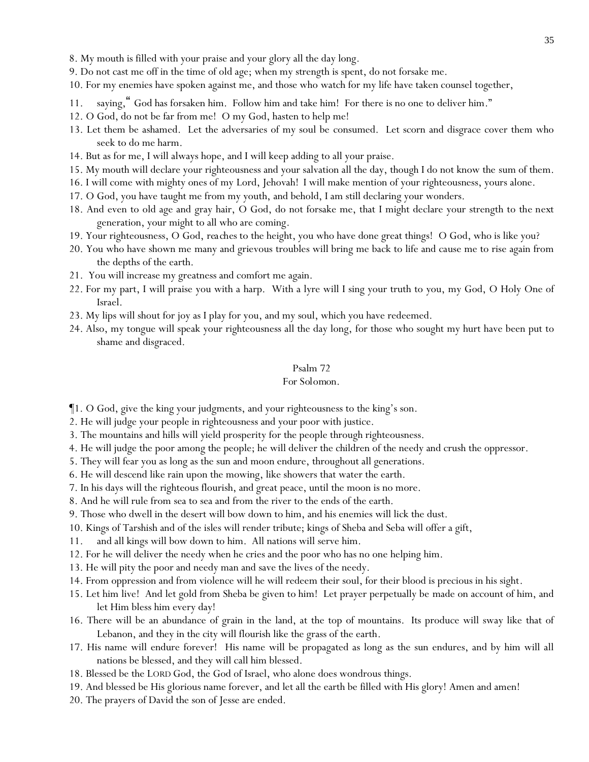- 8. My mouth is filled with your praise and your glory all the day long.
- 9. Do not cast me off in the time of old age; when my strength is spent, do not forsake me.
- 10. For my enemies have spoken against me, and those who watch for my life have taken counsel together,
- 11. saying," God has forsaken him. Follow him and take him! For there is no one to deliver him."
- 12. O God, do not be far from me! O my God, hasten to help me!
- 13. Let them be ashamed. Let the adversaries of my soul be consumed. Let scorn and disgrace cover them who seek to do me harm.
- 14. But as for me, I will always hope, and I will keep adding to all your praise.
- 15. My mouth will declare your righteousness and your salvation all the day, though I do not know the sum of them.
- 16. I will come with mighty ones of my Lord, Jehovah! I will make mention of your righteousness, yours alone.
- 17. O God, you have taught me from my youth, and behold, I am still declaring your wonders.
- 18. And even to old age and gray hair, O God, do not forsake me, that I might declare your strength to *the next* generation, your might to all who are coming.
- 19. Your righteousness, O God, *reaches* to the height, you who have done great things! O God, who is like you?
- 20. You who have shown me many and grievous troubles will bring me back to life and cause me to rise again from the depths of the earth.
- 21. You will increase my greatness and comfort me again.
- 22. For my part, I will praise you with a harp. With a lyre will I sing your truth to you, my God, O Holy One of Israel.
- 23. My lips will shout for joy as I play for you, and my soul, which you have redeemed.
- 24. Also, my tongue will speak your righteousness all the day long, for those who sought my hurt have been put to shame and disgraced.

#### *For Solomon.*

¶1. O God, give the king your judgments, and your righteousness to the king's son.

2. He will judge your people in righteousness and your poor with justice.

- 3. The mountains and hills will yield prosperity for the people through righteousness.
- 4. He will judge the poor among the people; he will deliver the children of the needy and crush the oppressor.
- 5. They will fear you as long as the sun and moon endure, throughout all generations.
- 6. He will descend like rain upon the mowing, like showers that water the earth.
- 7. In his days will the righteous flourish, and great peace, until the moon is no more.
- 8. And he will rule from sea to sea and from the river to the ends of the earth.
- 9. Those who dwell in the desert will bow down to him, and his enemies will lick the dust.
- 10. Kings of Tarshish and of the isles will render tribute; kings of Sheba and Seba will offer a gift,
- 11. and all kings will bow down to him. All nations will serve him.
- 12. For he will deliver the needy when he cries and the poor who has no one helping him.
- 13. He will pity the poor and needy man and save the lives of the needy.
- 14. From oppression and from violence will he will redeem their soul, for their blood is precious in his sight.
- 15. Let him live! And let gold from Sheba be given to him! Let prayer perpetually be made on account of him, and let Him bless him every day!
- 16. There will be an abundance of grain in the land, at the top of mountains. Its produce will sway like that of Lebanon, and they in the city will flourish like the grass of the earth.
- 17. His name will endure forever! His name will be propagated as long as the sun endures, and by him will all nations be blessed, and they will call him blessed.
- 18. Blessed be the LORD God, the God of Israel, who alone does wondrous things.
- 19. And blessed be His glorious name forever, and let all the earth be filled with His glory! Amen and amen!
- 20. The prayers of David the son of Jesse are ended.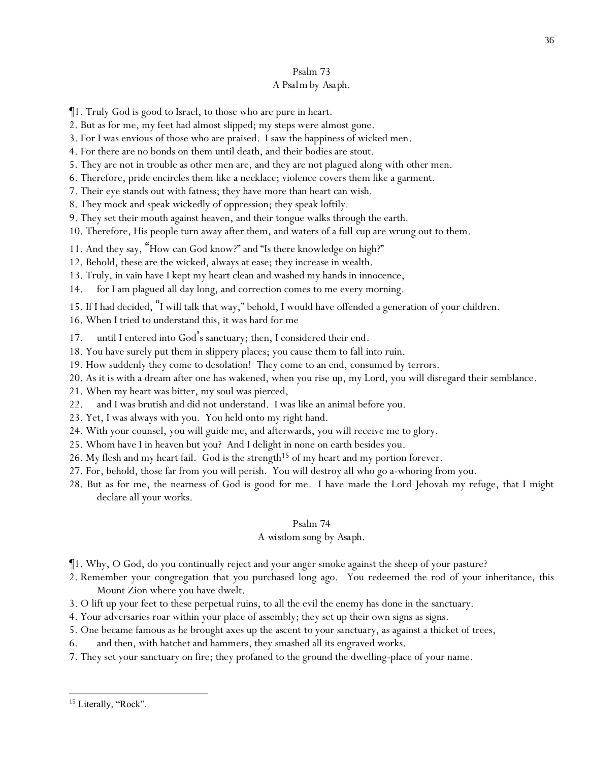### Psalm 73 *A Psalm by Asaph.*

- ¶1. Truly God is good to Israel, to those who are pure in heart.
- 2. But as for me, my feet had almost slipped; my steps were almost gone.
- 3. For I was envious of those who are praised. I saw the happiness of wicked men.
- 4. For there are no bonds on them until death, and their bodies are stout.
- 5. They are not in trouble as other men are, and they are not plagued along with *other* men.
- 6. Therefore, pride encircles them like a necklace; violence covers them like a garment.
- 7. Their eye stands out with fatness; they have more than heart can wish.
- 8. They mock and speak wickedly of oppression; they speak loftily.
- 9. They set their mouth against heaven, and their tongue walks through the earth.
- 10. Therefore, His people turn away after them, and waters of a full *cup* are wrung out to them.
- 11. And they say, "How can God know?" and "Is there knowledge on high?"
- 12. Behold, these are the wicked, always at ease; they increase in wealth.
- 13. Truly, in vain have I kept my heart clean and washed my hands in innocence,
- 14. for I am plagued all day long, and correction comes to me every morning.
- 15. If I had decided, "I will talk that way," behold, I would have offended a generation of your children.
- 16. When I tried to understand this, it was hard for me
- 17. until I entered into God's sanctuary; then, I considered their end.
- 18. You have surely put them in slippery places; you cause them to fall into ruin.
- 19. How suddenly they come to desolation! They come to an end, consumed by terrors.
- 20. As *it is* with a dream after one has wakened, when you rise up, my Lord, you will disregard their semblance.
- 21. When my heart was bitter, my soul was pierced,
- 22. and I was brutish and did not understand. I was like an animal before you.
- 23. Yet, I was always with you. You held onto my right hand.
- 24. With your counsel, you will guide me, and afterwards, you will receive me to glory.
- 25. Whom have I in heaven *but you*? And I delight in none on earth besides you.
- 26. My flesh and my heart fail. God is the strength<sup>15</sup> of my heart and my portion forever.
- 27. For, behold, those far from you will perish. You will destroy all who go a-whoring from you.
- 28. But as for me, the nearness of God is good for me. I have made the Lord Jehovah my refuge, that I might declare all your works.

### Psalm 74

### *A wisdom song by Asaph.*

- ¶1. Why, O God, do you continually reject and your anger smoke against the sheep of your pasture?
- 2. Remember your congregation that you purchased long ago. You redeemed the rod of your inheritance, this Mount Zion where you have dwelt.
- 3. O lift up your feet to these perpetual ruins, to all the evil the enemy has done in the sanctuary.
- 4. Your adversaries roar within your place of assembly; they set up their own signs as signs.
- 5. One became famous as he brought axes up the ascent *to your sanctuary*, as against a thicket of trees,
- 6. and then, with hatchet and hammers, they smashed all its engraved works.
- 7. They set your sanctuary on fire; they profaned to the ground the dwelling-place of your name.

<sup>&</sup>lt;sup>15</sup> Literally, "Rock".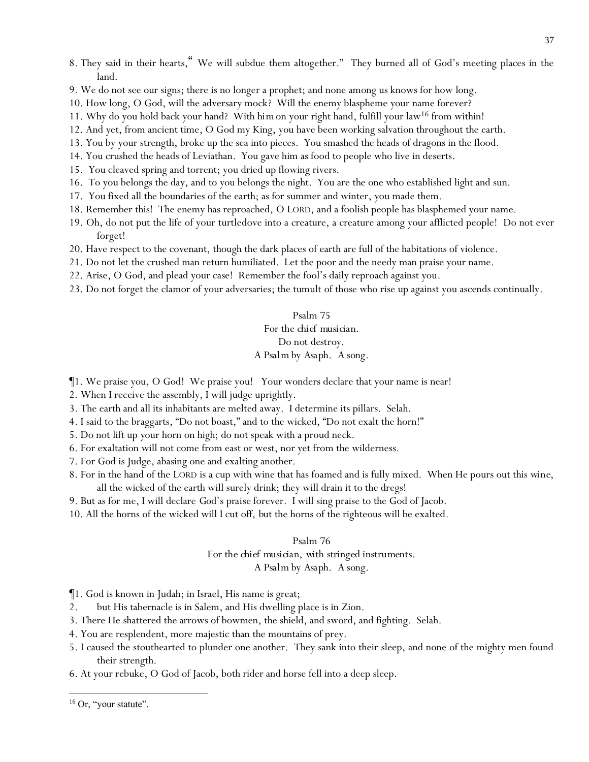- 8. They said in their hearts," We will subdue them altogether." They burned all of God's meeting places in the land.
- 9. We do not see our signs; there is no longer a prophet; and none among us knows for how long.
- 10. How long, O God, will the adversary mock? Will the enemy blaspheme your name forever?
- 11. Why do you hold back your hand? With *him*on your right hand, fulfill your law<sup>16</sup> from within!
- 12. And yet, from ancient time, O God my King, you have been working salvation throughout the earth.
- 13. You by your strength, broke up the sea into pieces. You smashed the heads of dragons in the flood.
- 14. You crushed the heads of Leviathan. You gave him as food to people who live in deserts.
- 15. You cleaved spring and torrent; you dried up flowing rivers.
- 16. To you belongs the day, and to you belongs the night. You are the one who established light and sun.
- 17. You fixed all the boundaries of the earth; as for summer and winter, you made them.
- 18. Remember this! The enemy has reproached, O LORD, and a foolish people has blasphemed your name.
- 19. Oh, do not put the life of your turtledove into a creature, a creature among your afflicted people! Do not ever forget!
- 20. Have respect to the covenant, though the dark places of earth are full of the habitations of violence.
- 21. Do not let the crushed man return humiliated. Let the poor and the needy man praise your name.
- 22. Arise, O God, and plead your case! Remember the fool's daily reproach against you.
- 23. Do not forget the clamor of your adversaries; the tumult of those who rise up against you ascends continually.

### Psalm 75 *For the chief musician.*

# *Do not destroy.*

# *A Psalm by Asaph. A song.*

- ¶1. We praise you, O God! We praise you! Your wonders declare that your name is near!
- 2. When I receive the assembly, I will judge uprightly.
- 3. The earth and all its inhabitants are melted away. I determine its pillars. Selah.
- 4. I said to the braggarts, "Do not boast," and to the wicked, "Do not exalt the horn!"
- 5. Do not lift up *y*our horn on high; do not speak with a proud neck.
- 6. For exaltation will not come from east or west, nor yet from the wilderness.
- 7. For God is Judge, abasing one and exalting another.
- 8. For in the hand of the LORD is a cup with wine that has foamed and is fully mixed. When He pours out this *wine*, all the wicked of the earth will surely drink; they will drain it to the dregs!
- 9. But as for me, I will declare *God's praise* forever. I will sing praise to the God of Jacob.
- 10. All the horns of the wicked will I cut off, *but* the horns of the righteous will be exalted.

# Psalm 76

# *For the chief musician, with stringed instruments.*

# *A Psalm by Asaph. A song.*

¶1. God is known in Judah; in Israel, His name is great;

- 2. but His tabernacle is in Salem, and His dwelling place is in Zion.
- 3. There He shattered the arrows of bowmen, the shield, and sword, and fighting. Selah.
- 4. You are resplendent, more majestic than the mountains of prey.
- 5. I caused the stouthearted to plunder one another. They sank into their sleep, and none of the mighty men found their strength.
- 6. At your rebuke, O God of Jacob, both rider and horse fell into a deep sleep.

<sup>&</sup>lt;sup>16</sup> Or, "your statute".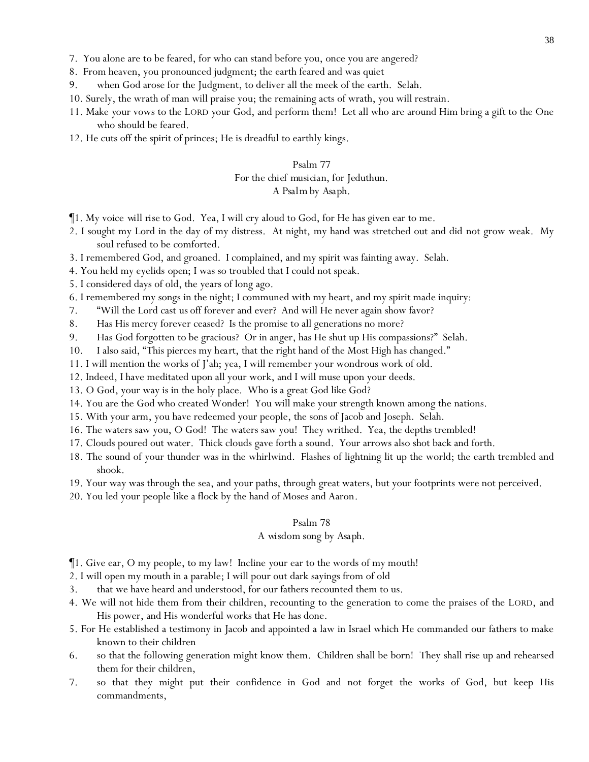- 7. You alone are to be feared, for who can stand before you, once you are angered?
- 8. From heaven, you pronounced judgment; the earth feared and was quiet
- 9. when God arose for the Judgment, to deliver all the meek of the earth. Selah.
- 10. Surely, the wrath of man will praise you; the remaining acts of wrath, you will restrain.
- 11. Make *y*our vows to the LORD *y*our God, and perform them! Let all who are around Him bring a gift to the One who should be feared.
- 12. He cuts off the spirit of princes; He is dreadful to earthly kings.

# Psalm 77 *For the chief musician, for Jeduthun. A Psalm by Asaph.*

- ¶1. My voice *will rise* to God. Yea, I will cry aloud to God, for He has given ear to me.
- 2. I sought my Lord in the day of my distress. At night, my hand was stretched out and did not grow weak. My soul refused to be comforted.
- 3. I remembered God, and groaned. I complained, and my spirit was fainting away. Selah.
- 4. You held my eyelids *open*; I was so troubled that I could not speak.
- 5. I considered days of old, the years of long ago.
- 6. I remembered my songs in the night; I communed with my heart, and my spirit made inquiry:
- 7. "Will the Lord cast *us* off forever and ever? And will He never again show favor?
- 8. Has His mercy forever ceased? Is the promise to all generations no more?
- 9. Has God forgotten to be gracious? Or in anger, has He shut up His compassions?" Selah.
- 10. I also said, "This pierces my *heart*, that the right hand of the Most High has changed."
- 11. I will mention the works of J'ah; yea, I will remember your wondrous work of old.
- 12. Indeed, I have meditated upon all your work, and I will muse upon your deeds.
- 13. O God, your way is in the holy place. Who is a great God like God?
- 14. You are the God who created Wonder! You will make your strength known among the nations.
- 15. With *your* arm, you have redeemed your people, the sons of Jacob and Joseph. Selah.
- 16. The waters saw you, O God! The waters saw you! They writhed. Yea, the depths trembled!
- 17. Clouds poured out water. Thick clouds gave forth a sound. Your arrows also shot back and forth.
- 18. The sound of your thunder was in the whirlwind. Flashes of lightning lit up the world; the earth trembled and shook.
- 19. Your way was through the sea, and your paths, through great waters, but your footprints were not perceived.
- 20. You led your people like a flock by the hand of Moses and Aaron.

#### Psalm 78

#### *A wisdom song by Asaph.*

- ¶1. Give ear, O my people, to my law! Incline *y*our ear to the words of my mouth!
- 2. I will open my mouth in a parable; I will pour out dark sayings from of old
- 3. that we have heard and understood, for our fathers recounted them to us.
- 4. We will not hide them from their children, recounting to the generation to come the praises of the LORD, and His power, and His wonderful works that He has done.
- 5. For He established a testimony in Jacob and appointed a law in Israel which He commanded our fathers to make known to their children
- 6. so that the following generation might know them. Children shall be born! They shall rise up and rehearsed them for their children,
- 7. so that they might put their confidence in God and not forget the works of God, but keep His commandments,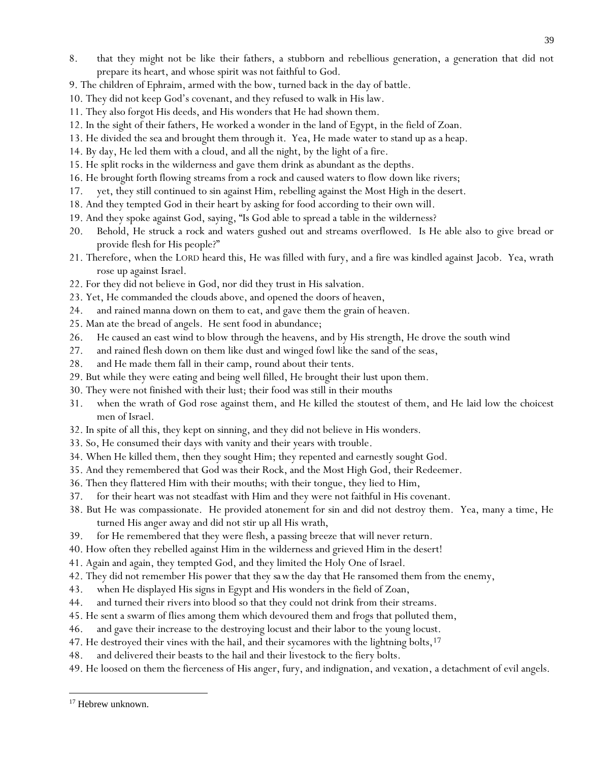- 8. that they might not be like their fathers, a stubborn and rebellious generation, a generation that did not prepare its heart, and whose spirit was not faithful to God.
- 9. The children of Ephraim, armed with the bow, turned back in the day of battle.
- 10. They did not keep God's covenant, and they refused to walk in His law.
- 11. They also forgot His deeds, and His wonders that He had shown them.
- 12. In the sight of their fathers, He worked a wonder in the land of Egypt, in the field of Zoan.
- 13. He divided the sea and brought them through it. Yea, He made water to stand up as a heap.
- 14. By day, He led them with a cloud, and all the night, by the light of a fire.
- 15. He split rocks in the wilderness and gave them drink as abundant as the depths.
- 16. He brought forth flowing streams from a rock and caused waters to flow down like rivers;
- 17. yet, they still continued to sin against Him, rebelling against the Most High in the desert.
- 18. And they tempted God in their heart by asking for food according to their own will.
- 19. And they spoke against God, saying, "Is God able to spread a table in the wilderness?
- 20. Behold, He struck a rock and waters gushed out and streams overflowed. Is He able also to give bread or provide flesh for His people?"
- 21. Therefore, when the LORD heard this, He was filled with fury, and a fire was kindled against Jacob. Yea, wrath rose up against Israel.
- 22. For they did not believe in God, nor did they trust in His salvation.
- 23. Yet, He commanded the clouds above, and opened the doors of heaven,
- 24. and rained manna down on them to eat, and gave them the grain of heaven.
- 25. Man ate the bread of angels. He sent food in abundance;
- 26. He caused an east wind to blow through the heavens, and by His strength, He drove the south wind
- 27. and rained flesh down on them like dust and winged fowl like the sand of the seas,
- 28. and He made them fall in their camp, round about their tents.
- 29. But while they were eating and being well filled, He brought their lust upon them.
- 30. They were not finished with their lust; their food was still in their mouths
- 31. when the wrath of God rose against them, and He killed the stoutest of them, and He laid low the choicest men of Israel.
- 32. In spite of all this, they kept on sinning, and they did not believe in His wonders.
- 33. So, He consumed their days with vanity and their years with trouble.
- 34. When He killed them, then they sought Him; they repented and earnestly sought God.
- 35. And they remembered that God was their Rock, and the Most High God, their Redeemer.
- 36. Then they flattered Him with their mouths; with their tongue, they lied to Him,
- 37. for their heart was not steadfast with Him and they were not faithful in His covenant.
- 38. But He was compassionate. He provided atonement for sin and did not destroy them. Yea, many a time, He turned His anger away and did not stir up all His wrath,
- 39. for He remembered that they were flesh, a passing breeze that will never return.
- 40. How often they rebelled against Him in the wilderness and grieved Him in the desert!
- 41. Again and again, they tempted God, and they limited the Holy One of Israel.
- 42. They did not remember His power *that they sa w*the day that He ransomed them from the enemy,
- 43. when He displayed His signs in Egypt and His wonders in the field of Zoan,
- 44. and turned their rivers into blood so that they could not drink from their streams.
- 45. He sent a swarm of flies among them which devoured them and frogs that polluted them,
- 46. and gave their increase to the destroying locust and their labor to the young locust.
- 47. He destroyed their vines with the hail, and their sycamores with the lightning bolts,  $17$
- 48. and delivered their beasts to the hail and their livestock to the fiery bolts.
- 49. He loosed on them the fierceness of His anger, fury, and indignation, and vexation, a detachment of evil angels.

<sup>&</sup>lt;sup>17</sup> Hebrew unknown.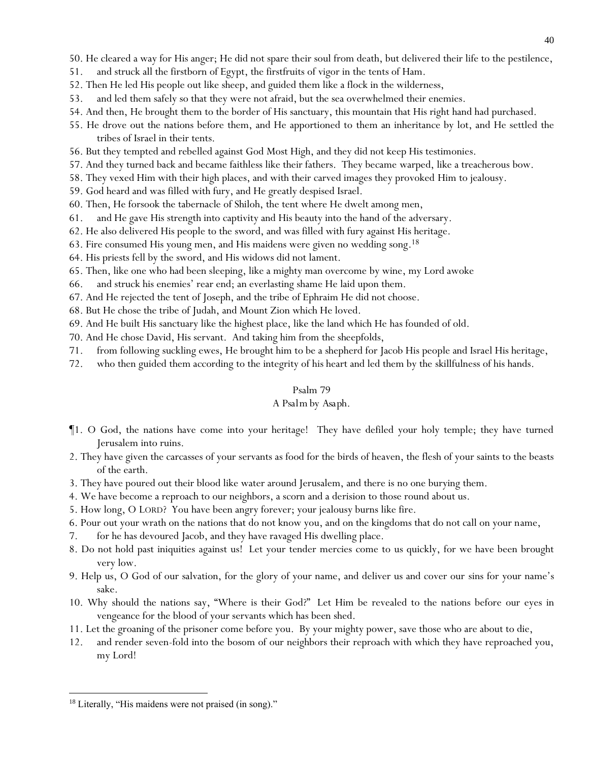50. He cleared a way for His anger; He did not spare their soul from death, but delivered their life to the pestilence,

- 51. and struck all the firstborn of Egypt, the firstfruits of vigor in the tents of Ham.
- 52. Then He led His people out like sheep, and guided them like a flock in the wilderness,
- 53. and led them safely so that they were not afraid, but the sea overwhelmed their enemies.
- 54. And then, He brought them to the border of His sanctuary, this mountain that His right hand had purchased.
- 55. He drove out the nations before them, and He apportioned to them an inheritance by lot, and He settled the tribes of Israel in their tents.
- 56. But they tempted and rebelled against God Most High, and they did not keep His testimonies.
- 57. And they turned back and became faithless like their fathers. They became warped, like a treacherous bow.
- 58. They vexed Him with their high places, and with their carved images they provoked Him to jealousy.
- 59. God heard and was filled with fury, and He greatly despised Israel.
- 60. Then, He forsook the tabernacle of Shiloh, the tent where He dwelt among men,
- 61. and He gave His strength into captivity and His beauty into the hand of the adversary.
- 62. He also delivered His people to the sword, and was filled with fury against His heritage.
- 63. Fire consumed His young men, and His maidens were given no wedding song. 18
- 64. His priests fell by the sword, and His widows did not lament.
- 65. Then, like one who had been sleeping, like a mighty man overcome by wine, my Lord awoke
- 66. and struck his enemies' rear end; an everlasting shame He laid upon them.
- 67. And He rejected the tent of Joseph, and the tribe of Ephraim He did not choose.
- 68. But He chose the tribe of Judah, and Mount Zion which He loved.
- 69. And He built His sanctuary like the highest place, like the land which He has founded of old.
- 70. And He chose David, His servant. And taking him from the sheepfolds,
- 71. from following suckling ewes, He brought him to be a shepherd for Jacob His people and Israel His heritage,
- 72. who then guided them according to the integrity of his heart and led them by the skillfulness of his hands.

#### Psalm 79

### *A Psalm by Asaph.*

- ¶1. O God, the nations have come into your heritage! They have defiled your holy temple; they have turned Jerusalem into ruins.
- 2. They have given the carcasses of your servants as food for the birds of heaven, the flesh of your saints to the beasts of the earth.
- 3. They have poured out their blood like water around Jerusalem, and there is no one burying them.
- 4. We have become a reproach to our neighbors, a scorn and a derision to those round about us.
- 5. How long, O LORD? You have been angry forever; your jealousy burns like fire.
- 6. Pour out your wrath on the nations that do not know you, and on the kingdoms that do not call on your name,
- 7. for he has devoured Jacob, and they have ravaged His dwelling place.
- 8. Do not hold past iniquities against us! Let your tender mercies come to us quickly, for we have been brought very low.
- 9. Help us, O God of our salvation, for the glory of your name, and deliver us and cover our sins for your name's sake.
- 10. Why should the nations say, "Where is their God?" Let Him be revealed to the nations before our eyes in vengeance for the blood of your servants which has been shed.
- 11. Let the groaning of the prisoner come before you. By your mighty power, save those who are about to die,
- 12. and render seven-fold into the bosom of our neighbors their reproach with which they have reproached you, my Lord!

<sup>&</sup>lt;sup>18</sup> Literally, "His maidens were not praised (in song)."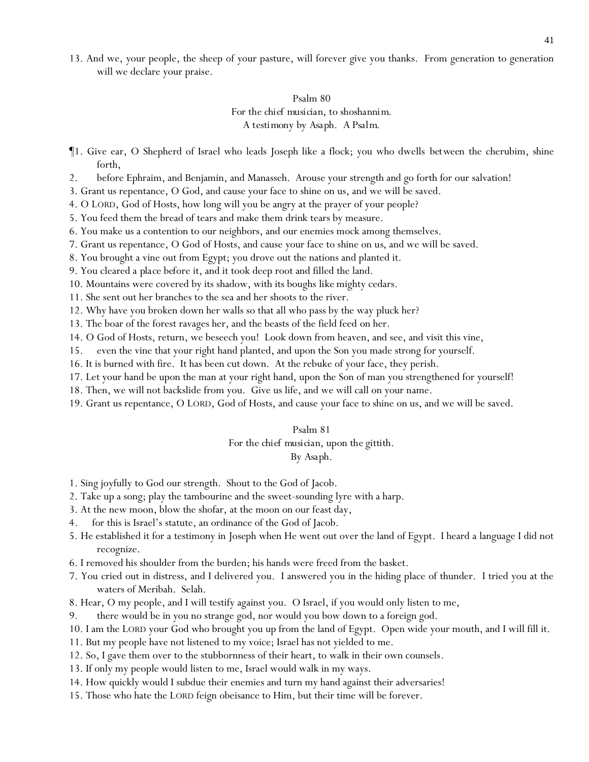13. And we, your people, the sheep of your pasture, will forever give you thanks. From generation to generation will we declare your praise.

# Psalm 80 *For the chief musician, to shoshannim. A testimony by Asaph. A Psalm.*

- ¶1. Give ear, O Shepherd of Israel who leads Joseph like a flock; you who dwells *between* the cherubim, shine forth,
- 2. before Ephraim, and Benjamin, and Manasseh. Arouse your strength and go forth for our salvation!
- 3. Grant us repentance, O God, and cause your face to shine on us, and we will be saved.
- 4. O LORD, God of Hosts, how long will you be angry at the prayer of your people?
- 5. You feed them the bread of tears and make them drink tears by measure.
- 6. You make us a contention to our neighbors, and our enemies mock among themselves.
- 7. Grant us repentance, O God of Hosts, and cause your face to shine on u*s*, and we will be saved.
- 8. You brought a vine out from Egypt; you drove out the nations and planted it.
- 9. You cleared *a place be*fore it, and it took deep root and filled the land.
- 10. Mountains were covered by its shadow, with its boughs *like* mighty cedars.
- 11. She sent out her branches to the sea and her shoots to the river.
- 12. Why have you broken down her walls so that all who pass by the way pluck her?
- 13. The boar of the forest ravages her, and the beasts of the field feed on her.
- 14. O God of Hosts, return, we beseech you! Look down from heaven, and see, and visit this vine,
- 15. even the vine that your right hand planted, and upon the Son you made strong for yourself.
- 16. It is burned with fire. It has been cut down. At the rebuke of your face, they perish.
- 17. Let your hand be upon the man at your right hand, upon the Son of man you strengthened for yourself!
- 18. Then, we will not backslide from you. Give us life, and we will call on your name.
- 19. Grant us repentance, O LORD, God of Hosts, and cause your face to shine on us, and we will be saved.

#### Psalm 81

#### *For the chief musician, upon the gittith.*

#### *By Asaph.*

- 1. Sing joyfully to God our strength. Shout to the God of Jacob.
- 2. Take up a song; play the tambourine and the sweet-sounding lyre with a harp.
- 3. At the new moon, blow the shofar, at the moon on our feast day,
- 4. for this is Israel's statute, an ordinance of the God of Jacob.
- 5. He established it for a testimony in Joseph when He went out over the land of Egypt. I heard a language I did not recognize.
- 6. I removed his shoulder from the burden; his hands were freed from the basket.
- 7. You cried out in distress, and I delivered you. I answered you in the hiding place of thunder. I tried you at the waters of Meribah. Selah.
- 8. Hear, O my people, and I will testify against you. O Israel, if you would only listen to me,
- 9. there would be in you no strange god, nor would you bow down to a foreign god.
- 10. I am the LORD your God who brought you up from the land of Egypt. Open wide your mouth, and I will fill it.
- 11. But my people have not listened to my voice; Israel has not yielded to me.
- 12. So, I gave them over to the stubbornness of their heart, to walk in their own counsels.
- 13. If only my people would listen to me, Israel would walk in my ways.
- 14. How quickly would I subdue their enemies and turn my hand against their adversaries!
- 15. Those who hate the LORD feign obeisance to Him, but their time will be forever.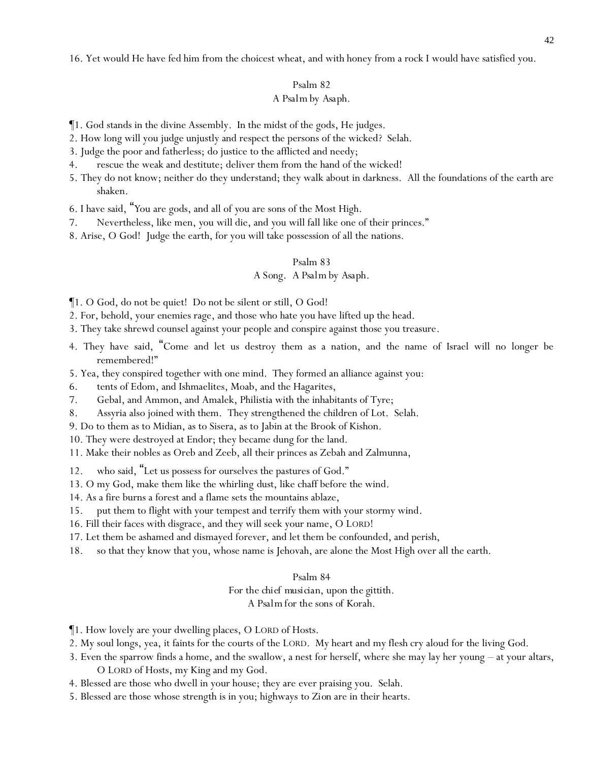16. Yet would He have fed him from the choicest wheat, and with honey from a rock I would have satisfied you.

#### Psalm 82

#### *A Psalm by Asaph.*

¶1. God stands in the divine Assembly. In the midst of the gods, He judges.

- 2. How long will you judge unjustly and respect the persons of the wicked? Selah.
- 3. Judge the poor and fatherless; do justice to the afflicted and needy;
- 4. rescue the weak and destitute; deliver them from the hand of the wicked!
- 5. They do not know; neither do they understand; they walk about in darkness. All the foundations of the earth are shaken.
- 6. I have said, "*Y*ou are gods, and all of *y*ou are sons of the Most High.
- 7. Nevertheless, like men, *y*ou will die, and *y*ou will fall like one of their princes."
- 8. Arise, O God! Judge the earth, for you will take possession of all the nations.

#### Psalm 83

# *A Song. A Psalm by Asaph.*

¶1. O God, do not be quiet! Do not be silent or still, O God!

- 2. For, behold, your enemies rage, and those who hate you have lifted up the head.
- 3. They take shrewd counsel against your people and conspire against those you treasure.
- 4. They have said, "Come and let us destroy them as a nation, and the name of Israel will no longer be remembered!"
- 5. Yea, they conspired together with one mind. They formed an alliance against you:
- 6. tents of Edom, and Ishmaelites, Moab, and the Hagarites,
- 7. Gebal, and Ammon, and Amalek, Philistia with the inhabitants of Tyre;
- 8. Assyria also joined with them. They strengthened the children of Lot. Selah.
- 9. Do to them as to Midian, as to Sisera, as to Jabin at the Brook of Kishon.
- 10. They were destroyed at Endor; they became dung for the land.
- 11. Make their nobles as Oreb and Zeeb, all their princes as Zebah and Zalmunna,
- 12. who said, "Let us possess for ourselves the pastures of God."
- 13. O my God, make them like the whirling *dust*, like chaff before the wind.
- 14. As a fire burns a forest and a flame sets the mountains ablaze,
- 15. put them to flight with your tempest and terrify them with your stormy wind.
- 16. Fill their faces with disgrace, and they will seek your name, O LORD!
- 17. Let them be ashamed and dismayed forever, and let them be confounded, and perish,
- 18. so that they know that you, whose name is Jehovah, are alone the Most High over all the earth.

#### Psalm 84

*For the chief musician, upon the gittith.*

*A Psalm for the sons of Korah.*

- ¶1. How lovely are your dwelling places, O LORD of Hosts.
- 2. My soul longs, yea, it faints for the courts of the LORD. My heart and my flesh cry aloud for the living God.
- 3. Even the sparrow finds a home, and the swallow, a nest for herself, where she may lay her young at your altars, O LORD of Hosts, my King and my God.
- 4. Blessed are those who dwell in your house; they are ever praising you. Selah.
- 5. Blessed are those whose strength is in you; highways *to Zion* are in their hearts.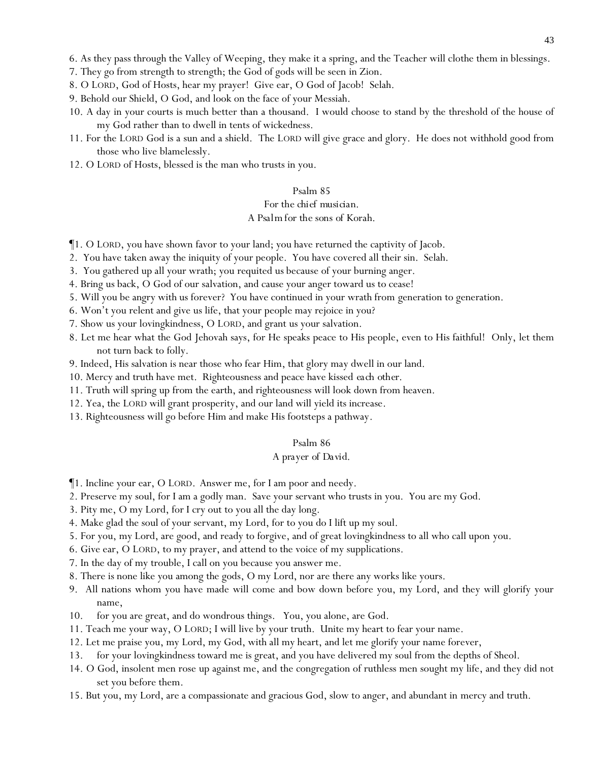6. As they pass through the Valley of Weeping, they make it a spring, and the Teacher will clothe them in blessings.

7. They go from strength to strength; the God of gods will be seen in Zion.

8. O LORD, God of Hosts, hear my prayer! Give ear, O God of Jacob! Selah.

- 9. Behold our Shield, O God, and look on the face of your Messiah.
- 10. A day in your courts is much better than a thousand. I would choose to stand by the threshold of the house of my God rather than to dwell in tents of wickedness.
- 11. For the LORD God is a sun and a shield. The LORD will give grace and glory. He does not withhold good from those who live blamelessly.
- 12. O LORD of Hosts, blessed is the man who trusts in you.

#### Psalm 85

### *For the chief musician. A Psalm for the sons of Korah.*

- ¶1. O LORD, you have shown favor to your land; you have returned the captivity of Jacob.
- 2. You have taken away the iniquity of your people. You have covered all their sin. Selah.
- 3. You gathered up all your wrath; you requited *us* because of your burning anger.
- 4. Bring us back, O God of our salvation, and cause your anger toward us to cease!
- 5. Will you be angry with us forever? You have continued in your wrath from generation to generation.
- 6. Won't you relent and give us life, that your people may rejoice in you?
- 7. Show us your lovingkindness, O LORD, and grant us your salvation.
- 8. Let me hear what the God Jehovah says, for He speaks peace to His people, even to His faithful! Only, let them not turn back to folly.
- 9. Indeed, His salvation is near those who fear Him, that glory may dwell in our land.
- 10. Mercy and truth have met. Righteousness and peace have kissed *each other*.
- 11. Truth will spring up from the earth, and righteousness will look down from heaven.
- 12. Yea, the LORD will grant prosperity, and our land will yield its increase.
- 13. Righteousness will go before Him and make His footsteps a pathway.

#### Psalm 86

#### *A prayer of David.*

- ¶1. Incline your ear, O LORD. Answer me, for I am poor and needy.
- 2. Preserve my soul, for I am a godly man. Save your servant who trusts in you. You are my God.
- 3. Pity me, O my Lord, for I cry out to you all the day long.
- 4. Make glad the soul of your servant, my Lord, for to you do I lift up my soul.
- 5. For you, my Lord, are good, and ready to forgive, and of great lovingkindness to all who call upon you.
- 6. Give ear, O LORD, to my prayer, and attend to the voice of my supplications.
- 7. In the day of my trouble, I call on you because you answer me.
- 8. There is none like you among the gods, O my Lord, nor are there any works like yours.
- 9. All nations whom you have made will come and bow down before you, my Lord, and they will glorify your name,
- 10. for you are great, and do wondrous things. You, you alone, are God.
- 11. Teach me your way, O LORD; I will live by your truth. Unite my heart to fear your name.
- 12. Let me praise you, my Lord, my God, with all my heart, and let me glorify your name forever,
- 13. for your lovingkindness toward me is great, and you have delivered my soul from the depths of Sheol.
- 14. O God, insolent men rose up against me, and the congregation of ruthless men sought my life, and they did not set you before them.
- 15. But you, my Lord, are a compassionate and gracious God, slow to anger, and abundant in mercy and truth.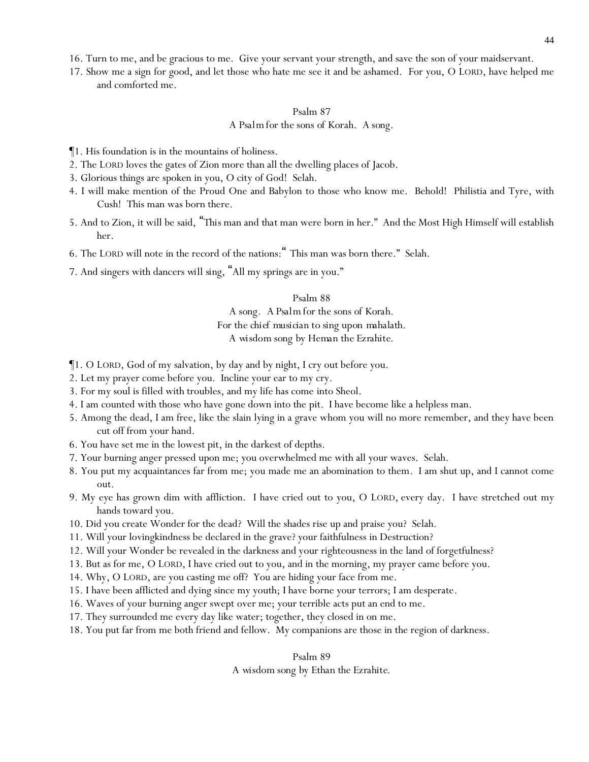16. Turn to me, and be gracious to me. Give your servant your strength, and save the son of your maidservant.

17. Show me a sign for good, and let those who hate me see it and be ashamed. For you, O LORD, have helped me and comforted me.

# Psalm 87 *A Psalm for the sons of Korah. A song.*

- ¶1. His foundation is in the mountains of holiness.
- 2. The LORD loves the gates of Zion more than all the dwelling places of Jacob.
- 3. Glorious things are spoken in you, O city of God! Selah.
- 4. I will make mention of the Proud One and Babylon to those who know me. Behold! Philistia and Tyre, with Cush! This man was born there.
- 5. And to Zion, it will be said, "*This* man and *that* man were born in her." And the Most High Himself will establish her.
- 6. The LORD will note in the record of the nations:" This man was born there." Selah.
- 7. And singers with dancers *will sing*, "All my springs are in you."

#### Psalm 88

*A song. A Psalm for the sons of Korah.*

*For the chief musician to sing upon mahalath.*

*A wisdom song by Heman the Ezrahite.*

- ¶1. O LORD, God of my salvation, by day and by night, I cry out before you.
- 2. Let my prayer come before you. Incline your ear to my cry.
- 3. For my soul is filled with troubles, and my life has come into Sheol.
- 4. I am counted with those who have gone down into the pit. I have become like a helpless man.
- 5. Among the dead, I am free, like the slain lying in a grave whom you will no more remember, and they have been cut off from your hand.
- 6. You have set me in the lowest pit, in the darkest of depths.
- 7. Your burning anger pressed upon me; you overwhelmed me with all your waves. Selah.
- 8. You put my acquaintances far from me; you made me an abomination to them. I am shut up, and I cannot come out.
- 9. My eye has grown dim with affliction. I have cried out to you, O LORD, every day. I have stretched out my hands toward you.
- 10. Did you create Wonder for the dead? Will the shades rise up and praise you? Selah.
- 11. Will your lovingkindness be declared in the grave? your faithfulness in Destruction?
- 12. Will your Wonder be revealed in the darkness and your righteousness in the land of forgetfulness?
- 13. But as for me, O LORD, I have cried out to you, and in the morning, my prayer came before you.
- 14. Why, O LORD, are you casting me off? You are hiding your face from me.
- 15. I have been afflicted and dying since my youth; I have borne your terrors; I am desperate.
- 16. Waves of your burning anger swept over me; your terrible acts put an end to me.
- 17. They surrounded me every day like water; together, they closed in on me.
- 18. You put far from me both friend and fellow. My companions are those in the region of darkness.

#### Psalm 89

*A wisdom song by Ethan the Ezrahite.*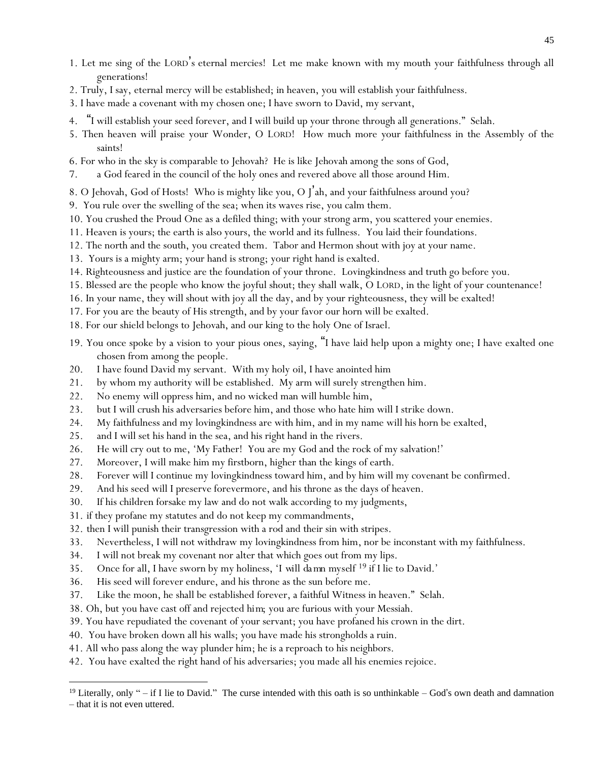- 1. Let me sing of the LORD's eternal mercies! Let me make known with my mouth your faithfulness through all generations!
- 2. Truly, I say, eternal mercy will be established; in heaven, you will establish your faithfulness.
- 3. I have made a covenant with my chosen one; I have sworn to David, my servant,
- 4. "I will establish your seed forever, and I will build up your throne through all generations." Selah.
- 5. Then heaven will praise your Wonder, O LORD! How much more your faithfulness in the Assembly of the saints!
- 6. For who in the sky is comparable to Jehovah? He is like Jehovah among the sons of God,
- 7. a God feared in the council of the holy ones and revered above all those around Him.
- 8. O Jehovah, God of Hosts! Who is mighty like you, O J'ah, and your faithfulness around you?
- 9. You rule over the swelling of the sea; when its waves rise, you calm them.
- 10. You crushed the Proud One as a defiled thing; with your strong arm, you scattered your enemies.
- 11. Heaven is yours; the earth is also yours, the world and its fullness. You laid their foundations.
- 12. The north and the south, you created them. Tabor and Hermon shout with joy at your name.
- 13. Yours is a mighty arm; your hand is strong; your right hand is exalted.
- 14. Righteousness and justice are the foundation of your throne. Lovingkindness and truth go before you.
- 15. Blessed are the people who know the joyful shout; they shall walk, O LORD, in the light of your countenance!
- 16. In your name, they will shout with joy all the day, and by your righteousness, they will be exalted!
- 17. For you are the beauty of His strength, and by your favor our horn will be exalted.
- 18. For our shield belongs to Jehovah, and our king to the holy One of Israel.
- 19. You once spoke by a vision to your pious ones, saying, "I have laid help upon a mighty one; I have exalted one chosen from among the people.
- 20. I have found David my servant. With my holy oil, I have anointed him
- 21. by whom my authority will be established. My arm will surely strengthen him.
- 22. No enemy will oppress him, and no wicked man will humble him,
- 23. but I will crush his adversaries before him, and those who hate him will I strike down.
- 24. My faithfulness and my lovingkindness are with him, and in my name will his horn be exalted,
- 25. and I will set his hand in the sea, and his right hand in the rivers.
- 26. He will cry out to me, 'My Father! You are my God and the rock of my salvation!'
- 27. Moreover, I will make him my firstborn, higher than the kings of earth.
- 28. Forever will I continue my lovingkindness toward him, and by him will my covenant be confirmed.
- 29. And his seed will I preserve forevermore, and his throne as the days of heaven.
- 30. If his children forsake my law and do not walk according to my judgments,
- 31. if they profane my statutes and do not keep my commandments,
- 32. then I will punish their transgression with a rod and their sin with stripes.
- 33. Nevertheless, I will not withdraw my lovingkindness from him, nor be inconstant with my faithfulness.
- 34. I will not break my covenant nor alter that which goes out from my lips.
- 35. Once for all, I have sworn by my holiness, '*I will damn myself* <sup>19</sup> if I lie to David.'
- 36. His seed will forever endure, and his throne as the sun before me.
- 37. Like the moon, he shall be established forever, a faithful Witness in heaven." Selah.
- 38. Oh, but you have cast off and rejected *him*; you are furious with your Messiah.
- 39. You have repudiated the covenant of your servant; you have profaned his crown in the dirt.
- 40. You have broken down all his walls; you have made his strongholds a ruin.
- 41. All who pass along the way plunder him; he is a reproach to his neighbors.
- 42. You have exalted the right hand of his adversaries; you made all his enemies rejoice.

 $19$  Literally, only " – if I lie to David." The curse intended with this oath is so unthinkable – God's own death and damnation – that it is not even uttered.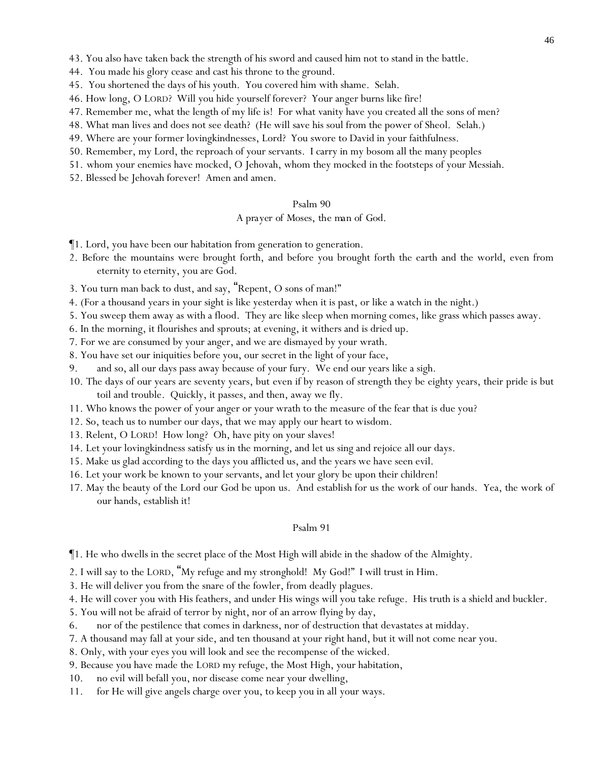43. You also have taken back the strength of his sword and caused him not to stand in the battle.

44. You made his glory cease and cast his throne to the ground.

- 45. You shortened the days of his youth. You covered him with shame. Selah.
- 46. How long, O LORD? Will you hide yourself forever? Your anger burns like fire!
- 47. Remember me, what the length of my life is! For what vanity have you created all the sons of men?
- 48. What man lives and does not see death? (He will save his soul from the power of Sheol. Selah.)
- 49. Where are your former lovingkindnesses, Lord? You swore to David in your faithfulness.
- 50. Remember, my Lord, the reproach of your servants. I carry in my bosom all the many peoples
- 51. whom your enemies have mocked, O Jehovah, whom they mocked *in* the footsteps of your Messiah.
- 52. Blessed be Jehovah forever! Amen and amen.

#### Psalm 90

## *A prayer of Moses, the man of God.*

- ¶1. Lord, you have been our habitation from generation to generation.
- 2. Before the mountains were brought forth, and before you brought forth the earth and the world, even from eternity to eternity, you are God.
- 3. You turn man back to dust, and say, "Repent, O sons of man!"
- 4. (For a thousand years in your sight is like yesterday when it is past, or like a watch in the night.)
- 5. You sweep them away as with a flood. They are like sleep when morning comes, like grass which passes away.
- 6. In the morning, it flourishes and sprouts; at evening, it withers and is dried up.
- 7. For we are consumed by your anger, and we are dismayed by your wrath.
- 8. You have set our iniquities before you, our secret in the light of your face,
- 9. and so, all our days pass away because of your fury. We end our years like a sigh.
- 10. The days of our years are seventy years, but even if by reason of strength they be eighty years, their pride is but toil and trouble. Quickly, it passes, and then, away we fly.
- 11. Who knows the power of your anger or your wrath to the measure of the fear that is due you?
- 12. So, teach us to number our days, that we may apply our heart to wisdom.
- 13. Relent, O LORD! How long? Oh, have pity on your slaves!
- 14. Let your lovingkindness satisfy us in the morning, and let us sing and rejoice all our days.
- 15. Make us glad according to the days you afflicted us, and the years we have seen evil.
- 16. Let your work be known to your servants, and let your glory be upon their children!
- 17. May the beauty of the Lord our God be upon us. And establish for us the work of our hands. Yea, the work of our hands, establish it!

- ¶1. He who dwells in the secret place of the Most High will abide in the shadow of the Almighty.
- 2. I will say to the LORD, "My refuge and my stronghold! My God!" I will trust in Him.
- 3. He will deliver you from the snare of the fowler, from deadly plagues.
- 4. He will cover you with His feathers, and under His wings will you take refuge. His truth is a shield and buckler.
- 5. You will not be afraid of terror by night, nor of an arrow flying by day,
- 6. nor of the pestilence that comes in darkness, nor of destruction that devastates at midday.
- 7. A thousand may fall at your side, and ten thousand at your right hand, but it will not come near you.
- 8. Only, with your eyes you will look and see the recompense of the wicked.
- 9. Because you have made the LORD my refuge, the Most High, your habitation,
- 10. no evil will befall you, nor disease come near your dwelling,
- 11. for He will give angels charge over you, to keep you in all your ways.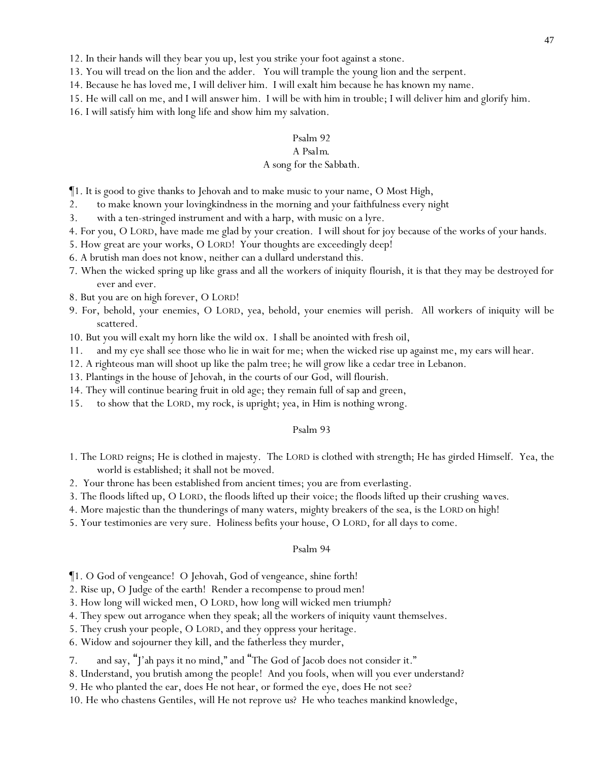- 12. In their hands will they bear you up, lest you strike your foot against a stone.
- 13. You will tread on the lion and the adder. You will trample the young lion and the serpent.
- 14. Because he has loved me, I will deliver him. I will exalt him because he has known my name.
- 15. He will call on me, and I will answer him. I will be with him in trouble; I will deliver him and glorify him.
- 16. I will satisfy him with long life and show him my salvation.

# *A Psalm.*

### *A song for the Sabbath.*

¶1. It is good to give thanks to Jehovah and to make music to your name, O Most High,

- 2. to make known your lovingkindness in the morning and your faithfulness every night
- 3. with a ten-stringed instrument and with a harp, with music on a lyre.
- 4. For you, O LORD, have made me glad by your creation. I will shout for joy because of the works of your hands.
- 5. How great are your works, O LORD! Your thoughts are exceedingly deep!
- 6. A brutish man does not know, neither can a dullard understand this.
- 7. When the wicked spring up like grass and all the workers of iniquity flourish, it is that they may be destroyed for ever and ever.
- 8. But you are on high forever, O LORD!
- 9. For, behold, your enemies, O LORD, yea, behold, your enemies will perish. All workers of iniquity will be scattered.
- 10. But you will exalt my horn like the wild ox. I shall be anointed with fresh oil,
- 11. and my eye shall see those who lie in wait for me; when the wicked rise up against me, my ears will hear.
- 12. A righteous man will shoot up like the palm tree; he will grow like a cedar tree in Lebanon.
- 13. Plantings in the house of Jehovah, in the courts of our God, will flourish.
- 14. They will continue bearing fruit in old age; they remain full of sap and green,
- 15. to show that the LORD, my rock, is upright; yea, in Him is nothing wrong.

### Psalm 93

- 1. The LORD reigns; He is clothed in majesty. The LORD is clothed with strength; He has girded Himself. Yea, the world is established; it shall not be moved.
- 2. Your throne has been established from ancient times; you are from everlasting.
- 3. The floods lifted up, O LORD, the floods lifted up their voice; the floods lifted up their crushing *waves*.
- 4. More majestic than the thunderings of many waters, mighty breakers of the sea, is the LORD on high!
- 5. Your testimonies are very sure. Holiness befits your house, O LORD, for all days to come.

- ¶1. O God of vengeance! O Jehovah, God of vengeance, shine forth!
- 2. Rise up, O Judge of the earth! Render a recompense to proud men!
- 3. How long will wicked men, O LORD, how long will wicked men triumph?
- 4. They spew out arrogance when they speak; all the workers of iniquity vaunt themselves.
- 5. They crush your people, O LORD, and they oppress your heritage.
- 6. Widow and sojourner they kill, and the fatherless they murder,
- 7. and say, "J'ah pays it no mind," and "The God of Jacob does not consider it."
- 8. Understand, *y*ou brutish among the people! And *y*ou fools, when will *y*ou ever understand?
- 9. He who planted the ear, does He not hear, or formed the eye, does He not see?
- 10. He who chastens Gentiles, will He not reprove *us*? He who teaches mankind knowledge,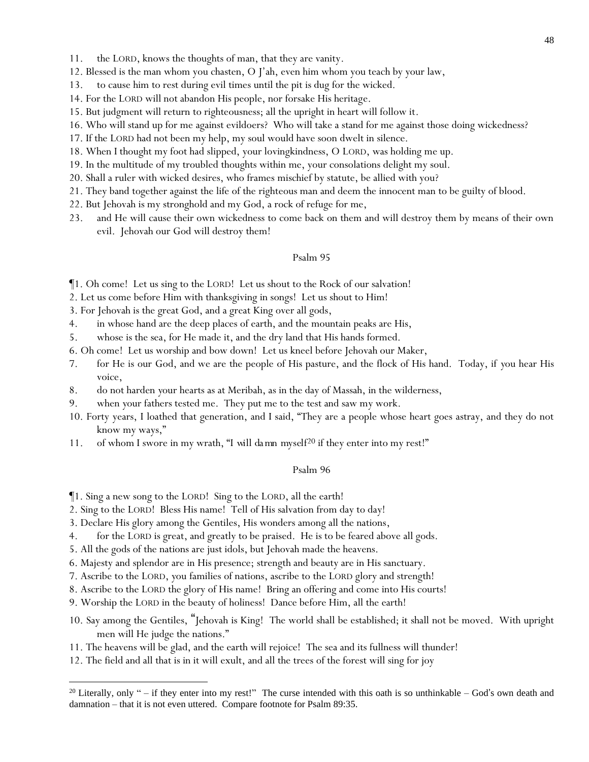- 11. the LORD, knows the thoughts of man, that they are vanity.
- 12. Blessed is the man whom you chasten, O J'ah, even him whom you teach by your law,
- 13. to cause him to rest during evil times until the pit is dug for the wicked.
- 14. For the LORD will not abandon His people, nor forsake His heritage.
- 15. But judgment will return to righteousness; all the upright in heart will follow it.
- 16. Who will stand up for me against evildoers? Who will take a stand for me against those doing wickedness?
- 17. If the LORD had not been my help, my soul would have soon dwelt in silence.
- 18. When I thought my foot had slipped, your lovingkindness, O LORD, was holding me up.
- 19. In the multitude of my troubled thoughts within me, your consolations delight my soul.
- 20. Shall a ruler with wicked desires, who frames mischief by statute, be allied with you?
- 21. They band together against the life of the righteous man and deem the innocent man to be guilty of blood.
- 22. But Jehovah is my stronghold and my God, a rock of refuge for me,
- 23. and He will cause their own wickedness to come back on them and will destroy them by means of their own evil. Jehovah our God will destroy them!

¶1. Oh come! Let us sing to the LORD! Let us shout to the Rock of our salvation!

- 2. Let us come before Him with thanksgiving in songs! Let us shout to Him!
- 3. For Jehovah is the great God, and a great King over all gods,
- 4. in whose hand are the deep places of earth, and the mountain peaks are His,
- 5. whose is the sea, for He made it, and the dry land that His hands formed.
- 6. Oh come! Let us worship and bow down! Let us kneel before Jehovah our Maker,
- 7. for He is our God, and we are the people of His pasture, and the flock of His hand. Today, if *y*ou hear His voice,
- 8. do not harden *y*our hearts as at Meribah, as in the day of Massah, in the wilderness,
- 9. when *y*our fathers tested me. They put me to the test and saw my work.
- 10. Forty years, I loathed that generation, and I said, "They are a people whose heart goes astray, and they do not know my ways,"
- 11. of whom I swore in my wrath, "*I will damn myself<sup>20</sup>* if they enter into my rest!"

- ¶1. Sing a new song to the LORD! Sing to the LORD, all the earth!
- 2. Sing to the LORD! Bless His name! Tell of His salvation from day to day!
- 3. Declare His glory among the Gentiles, His wonders among all the nations,
- 4. for the LORD is great, and greatly to be praised. He is to be feared above all gods.
- 5. All the gods of the nations are just idols, but Jehovah made the heavens.
- 6. Majesty and splendor are in His presence; strength and beauty are in His sanctuary.
- 7. Ascribe to the LORD, *y*ou families of nations, ascribe to the LORD glory and strength!
- 8. Ascribe to the LORD the glory of His name! Bring an offering and come into His courts!
- 9. Worship the LORD in the beauty of holiness! Dance before Him, all the earth!
- 10. Say among the Gentiles, "Jehovah is King! The world shall be established; it shall not be moved. With upright men will He judge the nations."
- 11. The heavens will be glad, and the earth will rejoice! The sea and its fullness will thunder!
- 12. The field and all that is in it will exult, and all the trees of the forest will sing for joy

<sup>&</sup>lt;sup>20</sup> Literally, only " – if they enter into my rest!" The curse intended with this oath is so unthinkable – God's own death and damnation – that it is not even uttered. Compare footnote for Psalm 89:35.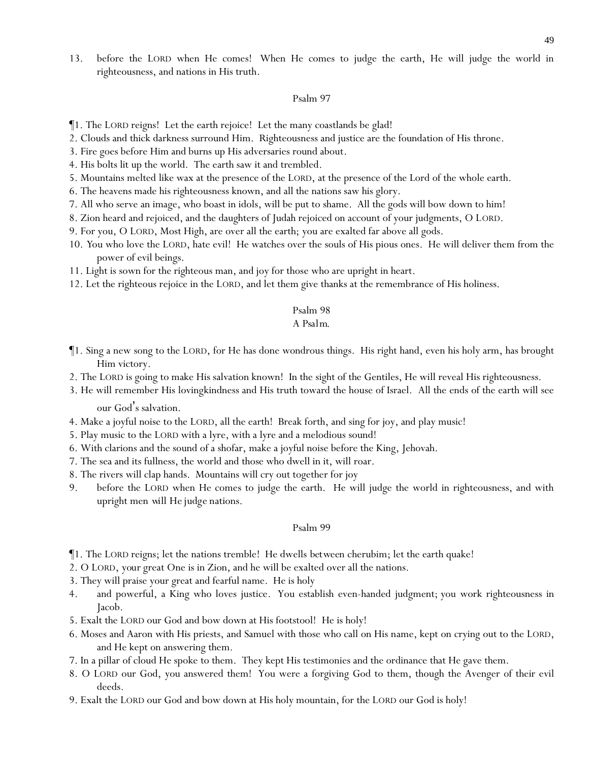13. before the LORD when He comes! When He comes to judge the earth, He will judge the world in righteousness, and nations in His truth.

#### Psalm 97

- ¶1. The LORD reigns! Let the earth rejoice! Let the many coastlands be glad!
- 2. Clouds and thick darkness surround Him. Righteousness and justice are the foundation of His throne.
- 3. Fire goes before Him and burns up His adversaries round about.
- 4. His bolts lit up the world. The earth saw it and trembled.
- 5. Mountains melted like wax at the presence of the LORD, at the presence of the Lord of the whole earth.
- 6. The heavens made his righteousness known, and all the nations saw his glory.
- 7. All who serve an image, who boast in idols, will be put to shame. All the gods will bow down to him!
- 8. Zion heard and rejoiced, and the daughters of Judah rejoiced on account of your judgments, O LORD.
- 9. For you, O LORD, Most High, are over all the earth; you are exalted far above all gods.
- 10. *Y*ou who love the LORD, hate evil! He watches over the souls of His pious ones. He will deliver them from the power of evil beings.
- 11. Light is sown for the righteous man, and joy for those who are upright in heart.
- 12. Let the righteous rejoice in the LORD, and let them give thanks at the remembrance of His holiness.

### Psalm 98

# *A Psalm.*

- ¶1. Sing a new song to the LORD, for He has done wondrous things. His right hand, even his holy arm, has brought Him victory.
- 2. The LORD is going to make His salvation known! In the sight of the Gentiles, He will reveal His righteousness.
- 3. He will remember His lovingkindness and His truth toward the house of Israel. All the ends of the earth will see our God's salvation.
- 4. Make a joyful noise to the LORD, all the earth! Break forth, and sing for joy, and play music!
- 5. Play music to the LORD with a lyre, with a lyre and a melodious sound!
- 6. With clarions and the sound of a shofar, make a joyful noise before the King, Jehovah.
- 7. The sea and its fullness, the world and those who dwell in it, will roar.
- 8. The rivers will clap hands. Mountains will cry out together for joy
- 9. before the LORD when He comes to judge the earth. He will judge the world in righteousness, and with upright men *will He judge* nations.

- ¶1. The LORD reigns; let the nations tremble! He dwells *between* cherubim; let the earth quake!
- 2. O LORD, *your* great One is in Zion, and he will be exalted over all the nations.
- 3. They will praise your great and fearful name. He is holy
- 4. and powerful, a King who loves justice. You establish even-handed judgment; you work righteousness in Jacob.
- 5. Exalt the LORD our God and bow down at His footstool! He is holy!
- 6. Moses and Aaron with His priests, and Samuel with those who call on His name, kept on crying out to the LORD, and He kept on answering them.
- 7. In a pillar of cloud He spoke to them. They kept His testimonies and the ordinance that He gave them.
- 8. O LORD our God, you answered them! You were a forgiving God to them, though the Avenger of their evil deeds.
- 9. Exalt the LORD our God and bow down at His holy mountain, for the LORD our God is holy!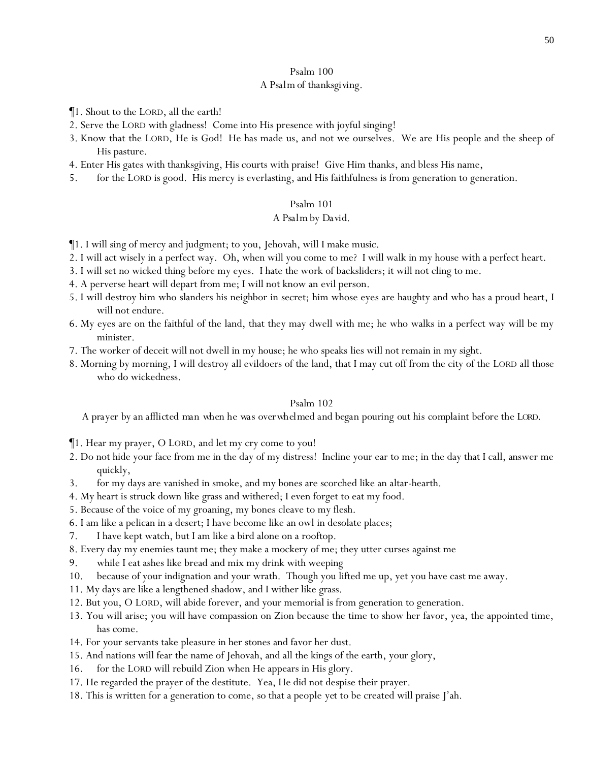# *A Psalm of thanksgiving.*

- ¶1. Shout to the LORD, all the earth!
- 2. Serve the LORD with gladness! Come into His presence with joyful singing!
- 3. Know that the LORD, He is God! He has made us, and not we ourselves. We are His people and the sheep of His pasture.
- 4. Enter His gates with thanksgiving, His courts with praise! Give Him thanks, and bless His name,
- 5. for the LORD is good. His mercy is everlasting, and His faithfulness is from generation to generation.

# Psalm 101

# *A Psalm by David.*

- ¶1. I will sing of mercy and judgment; to you, Jehovah, will I make music.
- 2. I will act wisely in a perfect way. Oh, when will you come to me? I will walk in my house with a perfect heart.
- 3. I will set no wicked thing before my eyes. I hate the work of backsliders; it will not cling to me.
- 4. A perverse heart will depart from me; I will not know an evil person.
- 5. I will destroy him who slanders his neighbor in secret; him whose eyes are haughty and who has a proud heart, I will not endure.
- 6. My eyes are on the faithful of the land, that they may dwell with me; he who walks in a perfect way will be my minister.
- 7. The worker of deceit will not dwell in my house; he who speaks lies will not remain in my sight.
- 8. Morning by morning, I will destroy all evildoers of the land, that I may cut off from the city of the LORD all those who do wickedness.

# Psalm 102

*A prayer by an afflicted man when he was overwhelmed and began pouring out his complaint before the LORD*.

¶1. Hear my prayer, O LORD, and let my cry come to you!

- 2. Do not hide your face from me in the day of my distress! Incline your ear to me; in the day that I call, answer me quickly,
- 3. for my days are vanished in smoke, and my bones are scorched like an altar-hearth.
- 4. My heart is struck down like grass and withered; I even forget to eat my food.
- 5. Because of the voice of my groaning, my bones cleave to my flesh.
- 6. I am like a pelican in a desert; I have become like an owl in desolate places;
- 7. I have kept watch, but I am like a bird alone on a rooftop.
- 8. Every day my enemies taunt me; they make a mockery of me; they utter curses against me
- 9. while I eat ashes like bread and mix my drink with weeping
- 10. because of your indignation and your wrath. Though you lifted me up, yet you have cast me away.
- 11. My days are like a lengthened shadow, and I wither like grass.
- 12. But you, O LORD, will abide forever, and your memorial is from generation to generation.
- 13. You will arise; you will have compassion on Zion because the time to show her favor, yea, the appointed time, has come.
- 14. For your servants take pleasure in her stones and favor her dust.
- 15. And nations will fear the name of Jehovah, and all the kings of the earth, your glory,
- 16. for the LORD will rebuild Zion when He appears in His glory.
- 17. He regarded the prayer of the destitute. Yea, He did not despise their prayer.
- 18. This is written for a generation to come, so that a people *yet* to be created will praise J'ah.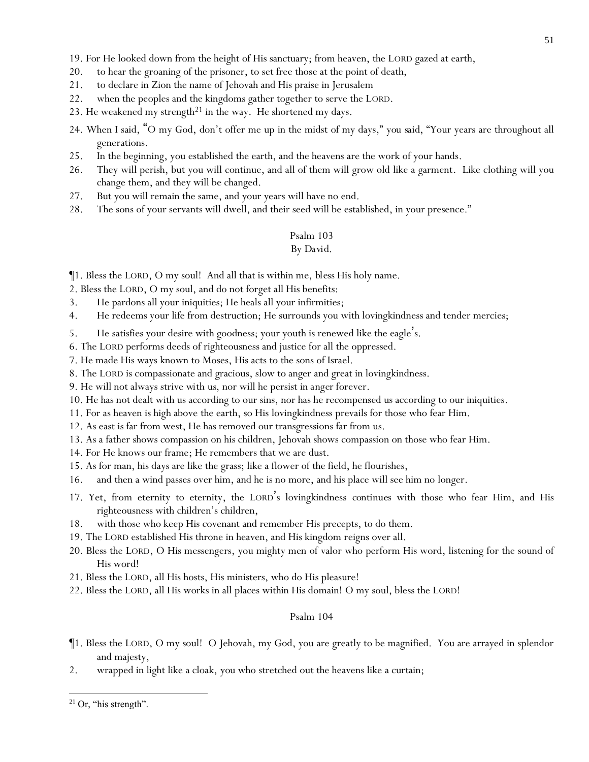19. For He looked down from the height of His sanctuary; from heaven, the LORD gazed at earth,

- 20. to hear the groaning of the prisoner, to set free those at the point of death,
- 21. to declare in Zion the name of Jehovah and His praise in Jerusalem
- 22. when the peoples and the kingdoms gather together to serve the LORD.
- 23. He weakened my strength<sup>21</sup> in the way. He shortened my days.
- 24. When I said, "O my God, don't offer me up in the midst of my days," *you said,* "Your years are throughout all generations.
- 25. In the beginning, you established the earth, and the heavens are the work of your hands.
- 26. They will perish, but you will continue, and all of them will grow old like a garment. Like clothing will you change them, and they will be changed.
- 27. But you will remain the same, and your years will have no end.
- 28. The sons of your servants will dwell, and their seed will be established, in your presence."

# Psalm 103

# *By David.*

¶1. Bless the LORD, O my soul! And all that is within me, *bless* His holy name.

2. Bless the LORD, O my soul, and do not forget all His benefits:

- 3. He pardons all your iniquities; He heals all your infirmities;
- 4. He redeems your life from destruction; He surrounds you with lovingkindness and tender mercies;
- 5. He satisfies your desire with goodness; your youth is renewed like the eagle's.
- 6. The LORD performs deeds of righteousness and justice for all the oppressed.
- 7. He made His ways known to Moses, His acts to the sons of Israel.
- 8. The LORD is compassionate and gracious, slow to anger and great in lovingkindness.
- 9. He will not always strive *with us*, nor will he persist *in anger* forever.
- 10. He has not dealt with us according to our sins, nor has he recompensed us according to our iniquities.
- 11. For as heaven is high above the earth, so His lovingkindness prevails for those who fear Him.
- 12. As east is far from west, He has removed our transgressions far from us.
- 13. As a father shows compassion on his children, Jehovah shows compassion on those who fear Him.
- 14. For He knows our frame; He remembers that we are dust.
- 15. As for man, his days are like the grass; like a flower of the field, he flourishes,
- 16. and then a wind passes over him, and he is no more, and his place will see him no longer.
- 17. Yet, from eternity to eternity, the LORD's lovingkindness *continues* with those who fear Him, and His righteousness with children's children,
- 18. with those who keep His covenant and remember His precepts, to do them.
- 19. The LORD established His throne in heaven, and His kingdom reigns over all.
- 20. Bless the LORD, O His messengers, you mighty men of valor who perform His word, listening for the sound of His word!
- 21. Bless the LORD, all His hosts, His ministers, who do His pleasure!
- 22. Bless the LORD, all His works in all places within His domain! O my soul, bless the LORD!

- ¶1. Bless the LORD, O my soul! O Jehovah, my God, you are greatly to be magnified. You are arrayed in splendor and majesty,
- 2. wrapped in light like a cloak, *you* who stretched out the heavens like a curtain;

 $21$  Or, "his strength".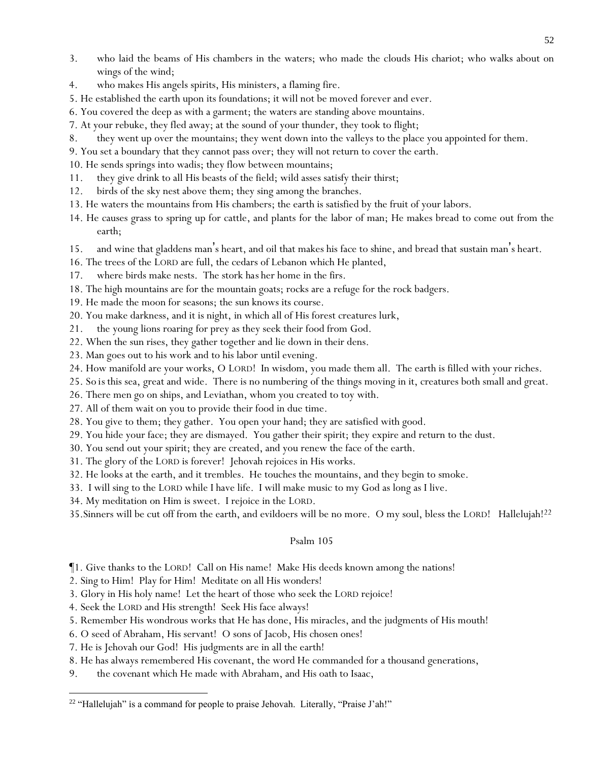- 3. who laid the beams of His chambers in the waters; who made the clouds His chariot; who walks about on wings of the wind;
- 4. who makes His angels spirits, His ministers, a flaming fire.
- 5. He established the earth upon its foundations; it will not be moved forever and ever.
- 6. You covered the deep as with a garment; the waters are standing above mountains.
- 7. At your rebuke, they fled away; at the sound of your thunder, they took to flight;
- 8. they went up over the mountains; they went down into the valleys to the place you appointed for them.
- 9. You set a boundary that they cannot pass over; they will not return to cover the earth.
- 10. He sends springs into wadis; they flow between mountains;
- 11. they give drink to all His beasts of the field; wild asses satisfy their thirst;
- 12. birds of the sky nest above them; they sing among the branches.
- 13. He waters the mountains from His chambers; the earth is satisfied by the fruit of your labors.
- 14. He causes grass to spring up for cattle, and plants for the labor of man; He makes bread to come out from the earth;
- 15. and wine that gladdens man's heart, and oil that makes his face to shine, and bread that sustain man's heart.
- 16. The trees of the LORD are full, the cedars of Lebanon which He planted,
- 17. where birds make nests. The stork *has* her home in the firs.
- 18. The high mountains are for the mountain goats; rocks are a refuge for the rock badgers.
- 19. He made the moon for seasons; the sun knows its course.
- 20. You make darkness, and it is night, in which all of His forest creatures lurk,
- 21. the young lions roaring for prey as they seek their food from God.
- 22. When the sun rises, they gather together and lie down in their dens.
- 23. Man goes out to his work and to his labor until evening.
- 24. How manifold are your works, O LORD! In wisdom, you made them all. The earth is filled with your riches.
- 25. *So is* this sea, great and wide. There is no numbering of the things moving in it, creatures both small and great.
- 26. There men go on ships, *and* Leviathan, whom you created to toy with.
- 27. All of them wait on you to provide their food in due time.
- 28. You give to them; they gather. You open your hand; they are satisfied with good.
- 29. You hide your face; they are dismayed. You gather their spirit; they expire and return to the dust.
- 30. You send out your spirit; they are created, and you renew the face of the earth.
- 31. The glory of the LORD is forever! Jehovah rejoices in His works.
- 32. He looks at the earth, and it trembles. He touches the mountains, and they begin to smoke.
- 33. I will sing to the LORD while I have life. I will make music to my God as long as I live.
- 34. My meditation on Him is sweet. I rejoice in the LORD.
- 35.Sinners will be cut off from the earth, and evildoers will be no more. O my soul, bless the LORD! Hallelujah!<sup>22</sup>

- ¶1. Give thanks to the LORD! Call on His name! Make His deeds known among the nations!
- 2. Sing to Him! Play for Him! Meditate on all His wonders!
- 3. Glory in His holy name! Let the heart of those who seek the LORD rejoice!
- 4. Seek the LORD and His strength! Seek His face always!
- 5. Remember His wondrous works that He has done, His miracles, and the judgments of His mouth!
- 6. O seed of Abraham, His servant! O sons of Jacob, His chosen ones!
- 7. He is Jehovah our God! His judgments are in all the earth!
- 8. He has always remembered His covenant, the word He commanded for a thousand generations,
- 9. *the covenant* which He made with Abraham, and His oath to Isaac,

<sup>&</sup>lt;sup>22</sup> "Hallelujah" is a command for people to praise Jehovah. Literally, "Praise J'ah!"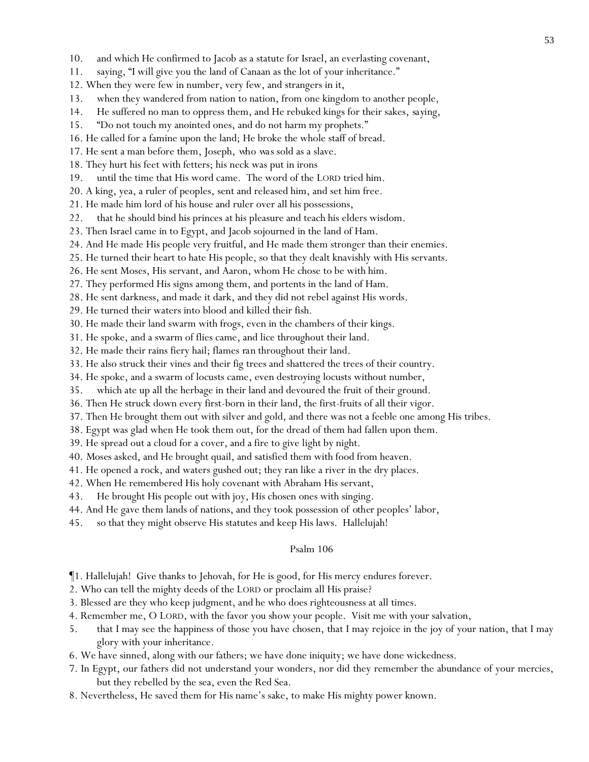- 10. and which He confirmed to Jacob as a statute for Israel, an everlasting covenant,
- 11. saying, "I will give you the land of Canaan as the lot of *y*our inheritance."
- 12. When they were few in number, very few, and strangers in it,
- 13. when they wandered from nation to nation, from one kingdom to another people,
- 14. He suffered no man to oppress them, and He rebuked kings for their sakes, *saying,*
- 15. "Do not touch my anointed ones, and do not harm my prophets."
- 16. He called for a famine upon the land; He broke the whole staff of bread.
- 17. He sent a man before them, Joseph, *who was* sold as a slave.
- 18. They hurt his feet with fetters; his neck was put in irons
- 19. until the time that His word came. The word of the LORD tried him.
- 20. A king, yea, a ruler of peoples, sent and released him, and set him free.
- 21. He made him lord of his house and ruler over all his possessions,
- 22. that he should bind his princes at his pleasure and teach his elders wisdom.
- 23. Then Israel came in to Egypt, and Jacob sojourned in the land of Ham.
- 24. And He made His people very fruitful, and He made them stronger than their enemies.
- 25. He turned their heart to hate His people, so that they dealt knavishly with His servants.
- 26. He sent Moses, His servant, and Aaron, whom He chose to be with him.
- 27. They performed His signs among them, and portents in the land of Ham.
- 28. He sent darkness, and made it dark, and they did not rebel against His words.
- 29. He turned their waters into blood and killed their fish.
- 30. He made their land swarm with frogs, even in the chambers of their kings.
- 31. He spoke, and a swarm of flies came, and lice throughout their land.
- 32. He made their rains fiery hail; flames *ran* throughout their land.
- 33. He also struck their vines and their fig trees and shattered the trees of their country.
- 34. He spoke, and a swarm of locusts came, even destroying locusts without number,
- 35. which ate up all the herbage in their land and devoured the fruit of their ground.
- 36. Then He struck down every first-born in their land, the first-fruits of all their vigor.
- 37. Then He brought them out with silver and gold, and there was not a feeble one among His tribes.
- 38. Egypt was glad when He took them out, for the dread of them had fallen upon them.
- 39. He spread out a cloud for a cover, and a fire to give light by night.
- 40. *Moses* asked, and He brought quail, and satisfied them with food from heaven.
- 41. He opened a rock, and waters gushed out; they ran like a river in the dry places.
- 42. When He remembered His holy covenant with Abraham His servant,
- 43. He brought His people out with joy, His chosen ones with singing.
- 44. And He gave them lands of nations, and they took possession of *other* peoples' labor,
- 45. so that they might observe His statutes and keep His laws. Hallelujah!

- ¶1. Hallelujah! Give thanks to Jehovah, for He is good, for His mercy endures forever.
- 2. Who can tell the mighty deeds of the LORD or proclaim all His praise?
- 3. Blessed are they who keep judgment, *and* he who does righteousness at all times.
- 4. Remember me, O LORD, with the favor *you show*your people. Visit me with your salvation,
- 5. that I may see the happiness of those you have chosen, that I may rejoice in the joy of your nation, that I may glory with your inheritance.
- 6. We have sinned, along with our fathers; we have done iniquity; we have done wickedness.
- 7. In Egypt, our fathers did not understand your wonders, nor did they remember the abundance of your mercies, but they rebelled by the sea, even the Red Sea.
- 8. Nevertheless, He saved them for His name's sake, to make His mighty power known.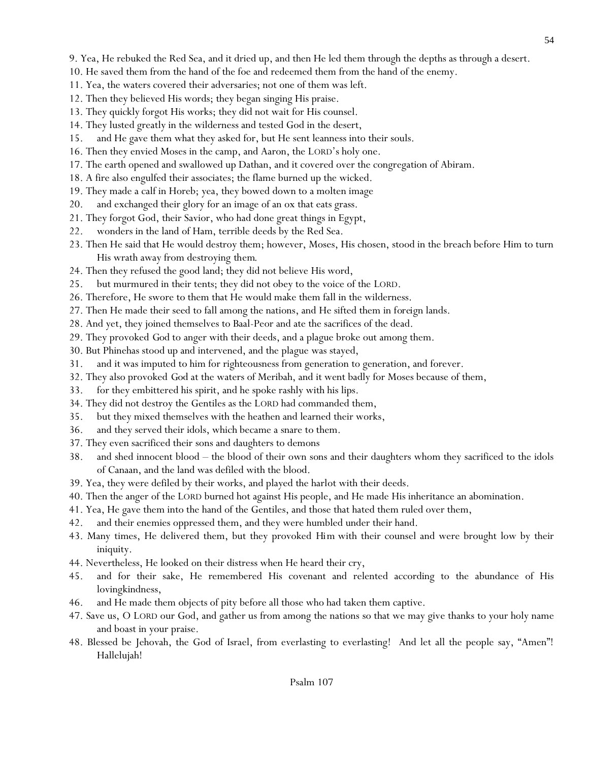- 10. He saved them from the hand of the foe and redeemed them from the hand of the enemy.
- 11. Yea, the waters covered their adversaries; not one of them was left.
- 12. Then they believed His words; they began singing His praise.
- 13. They quickly forgot His works; they did not wait for His counsel.
- 14. They lusted greatly in the wilderness and tested God in the desert,
- 15. and He gave them what they asked for, but He sent leanness into their souls.
- 16. Then they envied Moses in the camp, and Aaron, the LORD's holy one.
- 17. The earth opened and swallowed up Dathan, and it covered over the congregation of Abiram.
- 18. A fire also engulfed their associates; the flame burned up the wicked.
- 19. They made a calf in Horeb; yea, they bowed down to a molten image
- 20. and exchanged their glory for an image of an ox that eats grass.
- 21. They forgot God, their Savior, who had done great things in Egypt,
- 22. wonders in the land of Ham, terrible deeds by the Red Sea.
- 23. Then He said that He would destroy them; however, Moses, His chosen, stood in the breach before Him to turn His wrath away from destroying *them*.
- 24. Then they refused the good land; they did not believe His word,
- 25. but murmured in their tents; they did not obey to the voice of the LORD.
- 26. Therefore, He swore to them that He would make them fall in the wilderness.
- 27. Then He made their seed to fall among the nations, and He sifted them in *foreign* lands.
- 28. And yet, they joined themselves to Baal-Peor and ate the sacrifices of the dead.
- 29. They provoked *God* to anger with their deeds, and a plague broke out among them.
- 30. But Phinehas stood up and intervened, and the plague was stayed,
- 31. and it was imputed to him for righteousness from generation to generation, and forever.
- 32. They also provoked *God* at the waters of Meribah, and it went badly for Moses because of them,
- 33. for they embittered his spirit, and he spoke rashly with his lips.
- 34. They did not destroy the Gentiles as the LORD had commanded them,
- 35. but they mixed themselves with the heathen and learned their works,
- 36. and they served their idols, which became a snare to them.
- 37. They even sacrificed their sons and daughters to demons
- 38. and shed innocent blood the blood of their own sons and their daughters whom they sacrificed to the idols of Canaan, and the land was defiled with the blood.
- 39. Yea, they were defiled by their works, and played the harlot with their deeds.
- 40. Then the anger of the LORD burned hot against His people, and He made His inheritance an abomination.
- 41. Yea, He gave them into the hand of the Gentiles, and those that hated them ruled over them,
- 42. and their enemies oppressed them, and they were humbled under their hand.
- 43. Many times, He delivered them, but they provoked *Him* with their counsel and were brought low by their iniquity.
- 44. Nevertheless, He looked on their distress when He heard their cry,
- 45. and for their sake, He remembered His covenant and relented according to the abundance of His lovingkindness,
- 46. and He made them objects of pity before all those who had taken them captive.
- 47. Save us, O LORD our God, and gather us from among the nations so that we may give thanks to your holy name and boast in your praise.
- 48. Blessed be Jehovah, the God of Israel, from everlasting to everlasting! And let all the people say, "Amen"! Hallelujah!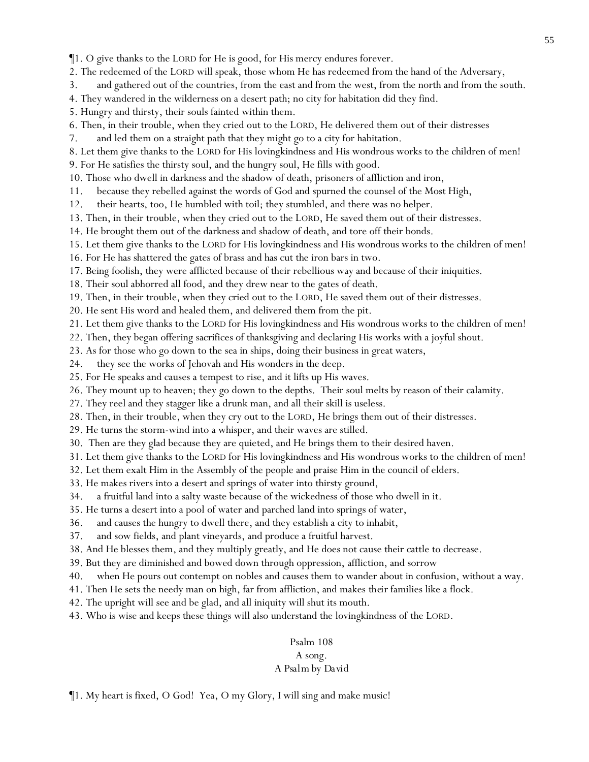¶1. O give thanks to the LORD for He is good, for His mercy endures forever.

2. The redeemed of the LORD will speak, those whom He has redeemed from the hand of the Adversary,

3. and gathered out of the countries, from the east and from the west, from the north and from the south.

- 4. They wandered in the wilderness on a desert path; no city for habitation did they find.
- 5. Hungry and thirsty, their souls fainted within them.
- 6. Then, in their trouble, when they cried out to the LORD, He delivered them out of their distresses
- 7. and led them on a straight path that they might go to a city for habitation.
- 8. Let them give thanks to the LORD for His lovingkindness and His wondrous works to the children of men!
- 9. For He satisfies the thirsty soul, and the hungry soul, He fills with good.
- 10. Those who dwell in darkness and the shadow of death, prisoners of affliction and iron,
- 11. because they rebelled against the words of God and spurned the counsel of the Most High,
- 12. their hearts, too, He humbled with toil; they stumbled, and there was no helper.
- 13. Then, in their trouble, when they cried out to the LORD, He saved them out of their distresses.
- 14. He brought them out of the darkness and shadow of death, and tore off their bonds.
- 15. Let them give thanks to the LORD for His lovingkindness and His wondrous works to the children of men!
- 16. For He has shattered the gates of brass and has cut the iron bars in two.
- 17. Being foolish, they were afflicted because of their rebellious way and because of their iniquities.
- 18. Their soul abhorred all food, and they drew near to the gates of death.
- 19. Then, in their trouble, when they cried out to the LORD, He saved them out of their distresses.
- 20. He sent His word and healed them, and delivered them from the pit.
- 21. Let them give thanks to the LORD for His lovingkindness and His wondrous works to the children of men!
- 22. Then, they began offering sacrifices of thanksgiving and declaring His works with a joyful shout.
- 23. As for those who go down to the sea in ships, doing their business in great waters,
- 24. they see the works of Jehovah and His wonders in the deep.
- 25. For He speaks and causes a tempest to rise, and it lifts up His waves.
- 26. They mount up to heaven; they go down to the depths. Their soul melts by reason of their calamity.
- 27. They reel and they stagger like a drunk man, and all their skill is useless.
- 28. Then, in their trouble, when they cry out to the LORD, He brings them out of their distresses.
- 29. He turns the storm-wind into a whisper, and their waves are stilled.
- 30. Then are they glad because they are quieted, and He brings them to their desired haven.
- 31. Let them give thanks to the LORD for His lovingkindness and His wondrous works to the children of men!
- 32. Let them exalt Him in the Assembly of the people and praise Him in the council of elders.
- 33. He makes rivers into a desert and springs of water into thirsty ground,
- 34. a fruitful land into a salty waste because of the wickedness of those who dwell in it.
- 35. He turns a desert into a pool of water and parched land into springs of water,
- 36. and causes the hungry to dwell there, and they establish a city to inhabit,
- 37. and sow fields, and plant vineyards, and produce a fruitful harvest.
- 38. And He blesses them, and they multiply greatly, and He does not cause their cattle to decrease.
- 39. But they are diminished and bowed down through oppression, affliction, and sorrow
- 40. when He pours out contempt on nobles and causes them to wander about in confusion, without a way.
- 41. Then He sets the needy man on high, far from affliction, and makes *their* families like a flock.
- 42. The upright will see and be glad, and all iniquity will shut its mouth.
- 43. Who is wise and keeps these things will also understand the lovingkindness of the LORD.

# Psalm 108 *A song. A Psalm by David*

¶1. My heart is fixed, O God! Yea, O my Glory, I will sing and make music!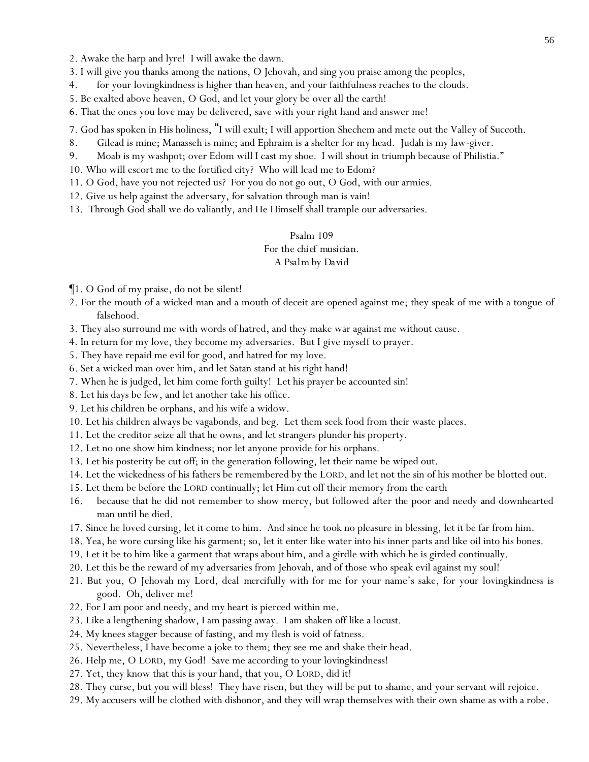- 3. I will give you thanks among the nations, O Jehovah, and sing you praise among the peoples,
- 4. for your lovingkindness is higher than heaven, and your faithfulness reaches to the clouds.
- 5. Be exalted above heaven, O God, and let your glory be over all the earth!
- 6. That the ones you love may be delivered, save with your right hand and answer me!

7. God has spoken in His holiness, "I will exult; I will apportion Shechem and mete out the Valley of Succoth.

- 8. Gilead is mine; Manasseh is mine; and Ephraim is a shelter for my head. Judah is my law-giver.
- 9. Moab is my washpot; over Edom will I cast my shoe. I will shout in triumph because of Philistia."
- 10. Who will escort me to the fortified city? Who will lead me to Edom?
- 11. O God, have you not rejected us? For you do not go out, O God, with our armies.
- 12. Give us help against the adversary, for salvation through man is vain!
- 13. Through God shall we do valiantly, and He Himself shall trample our adversaries.

# Psalm 109 *For the chief musician. A Psalm by David*

¶1. O God of my praise, do not be silent!

- 2. For the mouth of a wicked man and a mouth of deceit are opened against me; they speak of me with a tongue of falsehood.
- 3. They also surround me with words of hatred, and they make war against me without cause.
- 4. In return for my love, they become my adversaries. But I *give myself to* prayer.
- 5. They have repaid me evil for good, and hatred for my love.
- 6. Set a wicked man over him, and let Satan stand at his right hand!
- 7. When he is judged, let him come forth guilty! Let his prayer be accounted sin!
- 8. Let his days be few, and let another take his office.
- 9. Let his children be orphans, and his wife a widow.
- 10. Let his children always be vagabonds, and beg. Let them seek food from their waste places.
- 11. Let the creditor seize all that he owns, and let strangers plunder his property.
- 12. Let no one show him kindness; nor let anyone provide for his orphans.
- 13. Let his posterity be cut off; in the generation following, let their name be wiped out.
- 14. Let the wickedness of his fathers be remembered by the LORD, and let not the sin of his mother be blotted out.
- 15. Let them be before the LORD continually; let Him cut off their memory from the earth
- 16. because that he did not remember to show mercy, but followed after the poor and needy and downhearted man until he died.
- 17. Since he loved cursing, let it come to him. And since he took no pleasure in blessing, let it be far from him.
- 18. Yea, he wore cursing like his garment; so, let it enter like water into his inner parts and like oil into his bones.
- 19. Let it be to him like a garment that wraps about him, and a girdle with which he is girded continually.
- 20. Let this be the reward of my adversaries from Jehovah, and of those who speak evil against my soul!
- 21. But you, O Jehovah my Lord, deal *mercifully* with for me for your name's sake, for your lovingkindness is good. Oh, deliver me!
- 22. For I am poor and needy, and my heart is pierced within me.
- 23. Like a lengthening shadow, I am passing away. I am shaken off like a locust.
- 24. My knees stagger because of fasting, and my flesh is void of fatness.
- 25. Nevertheless, I have become a joke to them; they see me and shake their head.
- 26. Help me, O LORD, my God! Save me according to your lovingkindness!
- 27. Yet, they know that this is your hand, that you, O LORD, did it!
- 28. They curse, but you will bless! They have risen, but they will be put to shame, and your servant will rejoice.
- 29. My accusers will be clothed with dishonor, and they will wrap themselves with their own shame as with a robe.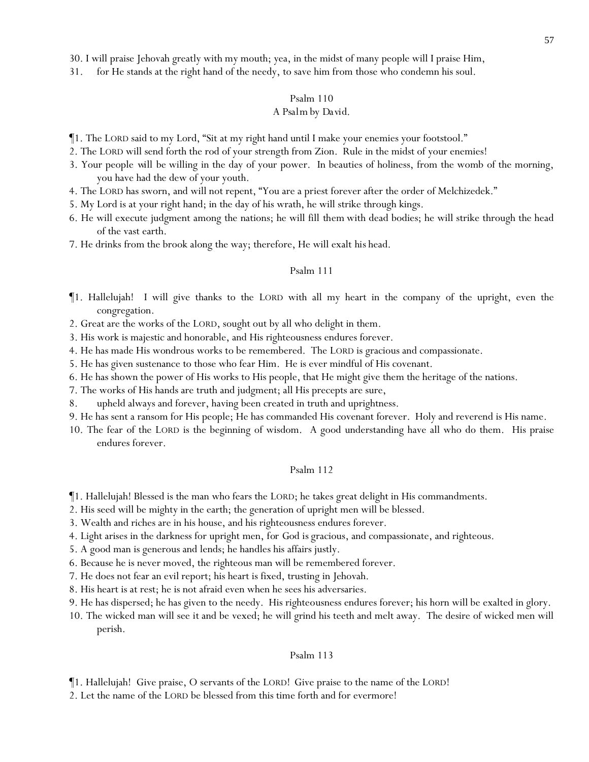31. for He stands at the right hand of the needy, to save him from those who condemn his soul.

#### Psalm 110

#### *A Psalm by David.*

- ¶1. The LORD said to my Lord, "Sit at my right hand until I make your enemies your footstool."
- 2. The LORD will send forth the rod of your strength from Zion. Rule in the midst of your enemies!
- 3. Your people *will be* willing in the day of your power. In beauties of holiness, from the womb of the morning, you have had the dew of your youth.
- 4. The LORD has sworn, and will not repent, "You are a priest forever after the order of Melchizedek."
- 5. My Lord is at your right hand; in the day of his wrath, he will strike through kings.
- 6. He will execute judgment among the nations; he will fill *them* with dead bodies; he will strike through the head of the vast earth.
- 7. He drinks from the brook along the way; therefore, He will exalt *his* head.

# Psalm 111

- ¶1. Hallelujah! I will give thanks to the LORD with all my heart in the company of the upright, even the congregation.
- 2. Great are the works of the LORD, sought out by all who delight in them.
- 3. His work is majestic and honorable, and His righteousness endures forever.
- 4. He has made His wondrous works to be remembered. The LORD is gracious and compassionate.
- 5. He has given sustenance to those who fear Him. He is ever mindful of His covenant.
- 6. He has shown the power of His works to His people, that He might give them the heritage of the nations.
- 7. The works of His hands are truth and judgment; all His precepts are sure,
- 8. upheld always and forever, having been created in truth and uprightness.
- 9. He has sent a ransom for His people; He has commanded His covenant forever. Holy and reverend is His name.
- 10. The fear of the LORD is the beginning of wisdom. A good understanding have all who do them. His praise endures forever.

# Psalm 112

- ¶1. Hallelujah! Blessed is the man who fears the LORD; he takes great delight in His commandments.
- 2. His seed will be mighty in the earth; the generation of upright men will be blessed.
- 3. Wealth and riches are in his house, and his righteousness endures forever.
- 4. Light arises in the darkness for upright men, *for God is* gracious, and compassionate, and righteous.
- 5. A good man is generous and lends; he handles his affairs justly.
- 6. Because he is never moved, the righteous man will be remembered forever.
- 7. He does not fear an evil report; his heart is fixed, trusting in Jehovah.
- 8. His heart is at rest; he is not afraid even when he sees his adversaries.
- 9. He has dispersed; he has given to the needy. His righteousness endures forever; his horn will be exalted in glory.
- 10. The wicked man will see *it* and be vexed; he will grind his teeth and melt away. The desire of wicked men will perish.

#### Psalm 113

¶1. Hallelujah! Give praise, O servants of the LORD! Give praise to the name of the LORD!

2. Let the name of the LORD be blessed from this time forth and for evermore!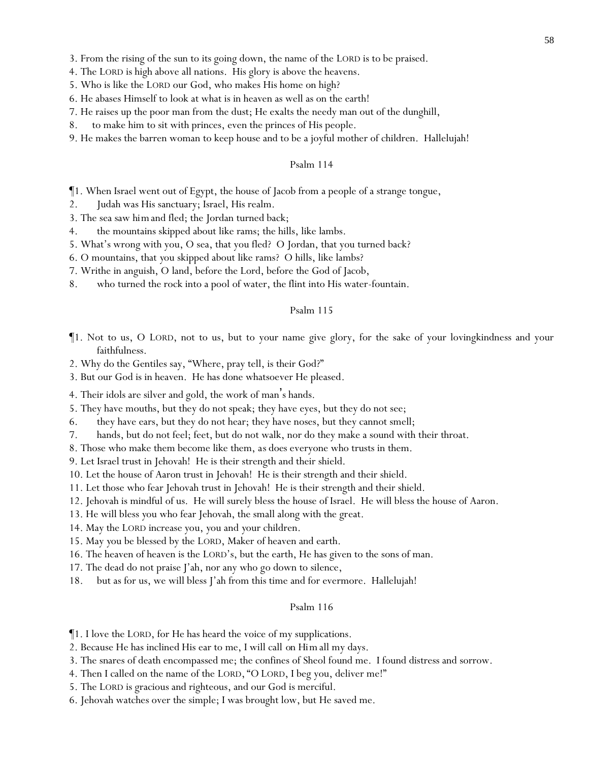3. From the rising of the sun to its going down, the name of the LORD is to be praised.

4. The LORD is high above all nations. His glory is above the heavens.

5. Who is like the LORD our God, who makes His home on high?

- 6. He abases Himself to look at what is in heaven as well as on the earth!
- 7. He raises up the poor man from the dust; He exalts the needy man out of the dunghill,
- 8. to make him to sit with princes, even the princes of His people.
- 9. He makes the barren woman to keep house and to be a joyful mother of children. Hallelujah!

#### Psalm 114

¶1. When Israel went out of Egypt, the house of Jacob from a people of a strange tongue,

- 2. Judah was His sanctuary; Israel, His realm.
- 3. The sea saw *him*and fled; the Jordan turned back;
- 4. the mountains skipped about like rams; the hills, like lambs.
- 5. What's wrong with you, O sea, that you fled? O Jordan, that you turned back?
- 6. O mountains, that *y*ou skipped about like rams? O hills, like lambs?
- 7. Writhe in anguish, O land, before the Lord, before the God of Jacob,
- 8. who turned the rock into a pool of water, the flint into His water-fountain.

#### Psalm 115

- ¶1. Not to us, O LORD, not to us, but to your name give glory, for the sake of your lovingkindness and your faithfulness.
- 2. Why do the Gentiles say, "Where, pray tell, is their God?"
- 3. But our God is in heaven. He has done whatsoever He pleased.
- 4. Their idols are silver and gold, the work of man's hands.
- 5. They have mouths, but they do not speak; they have eyes, but they do not see;
- 6. they have ears, but they do not hear; they have noses, but they cannot smell;
- 7. hands, but do not feel; feet, but do not walk, nor do they make a sound with their throat.
- 8. Those who make them become like them, *as does* everyone who trusts in them.

9. Let Israel trust in Jehovah! He is their strength and their shield.

- 10. Let the house of Aaron trust in Jehovah! He is their strength and their shield.
- 11. Let those who fear Jehovah trust in Jehovah! He is their strength and their shield.
- 12. Jehovah is mindful of us. He will surely bless the house of Israel. He will bless the house of Aaron.
- 13. He will bless *y*ou who fear Jehovah, the small along with the great.
- 14. May the LORD increase *y*ou, *y*ou and *y*our children.
- 15. May *y*ou be blessed by the LORD, Maker of heaven and earth.
- 16. The heaven of heaven is the LORD's, but the earth, He has given to the sons of man.
- 17. The dead do not praise J'ah, nor any who go down to silence,
- 18. but as for us, we will bless J'ah from this time and for evermore. Hallelujah!

- ¶1. I love the LORD, for He has heard the voice of my supplications.
- 2. Because He has inclined His ear to me, I will call *on Him* all my days.
- 3. The snares of death encompassed me; the confines of Sheol found me. I found distress and sorrow.
- 4. Then I called on the name of the LORD, "O LORD, I beg you, deliver me!"
- 5. The LORD is gracious and righteous, and our God is merciful.
- 6. Jehovah watches over the simple; I was brought low, but He saved me.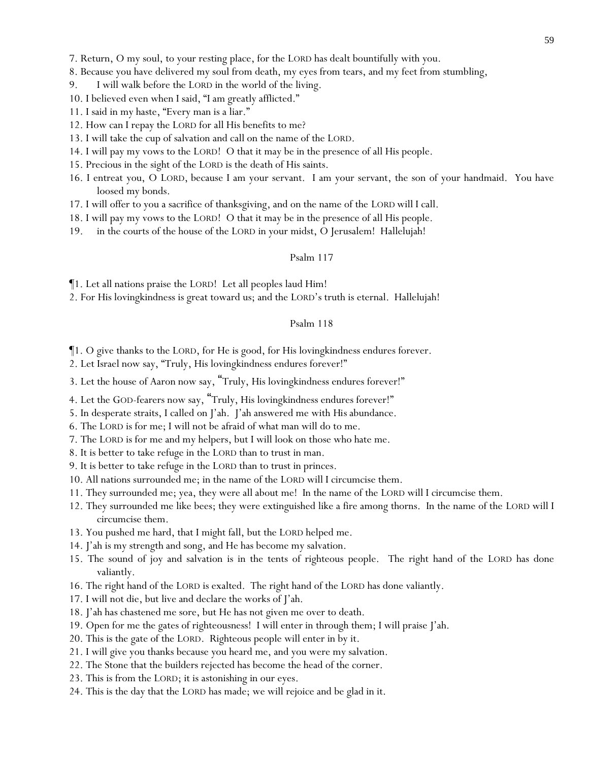7. Return, O my soul, to your resting place, for the LORD has dealt bountifully with you.

- 8. Because you have delivered my soul from death, my eyes from tears, and my feet from stumbling,
- 9. I will walk before the LORD in the world of the living.
- 10. I believed even when I said, "I am greatly afflicted."
- 11. I said in my haste, "Every man is a liar."
- 12. How can I repay the LORD for all His benefits to me?
- 13. I will take the cup of salvation and call on the name of the LORD.
- 14. I will pay my vows to the LORD! O that it may be in the presence of all His people.
- 15. Precious in the sight of the LORD is the death of His saints.
- 16. I entreat you, O LORD, because I am your servant. I am your servant, the son of your handmaid. You have loosed my bonds.
- 17. I will offer to you a sacrifice of thanksgiving, and on the name of the LORD will I call.
- 18. I will pay my vows to the LORD! O that it may be in the presence of all His people.
- 19. in the courts of the house of the LORD in your midst, O Jerusalem! Hallelujah!

#### Psalm 117

¶1. Let all nations praise the LORD! Let all peoples laud Him!

2. For His lovingkindness is great toward us; and the LORD's truth is eternal. Hallelujah!

# Psalm 118

¶1. O give thanks to the LORD, for He is good, for His lovingkindness endures forever.

2. Let Israel now say, "Truly, His lovingkindness endures forever!"

3. Let the house of Aaron now say, "Truly, His lovingkindness endures forever!"

- 4. Let the GOD-fearers now say, "Truly, His lovingkindness endures forever!"
- 5. In desperate straits, I called on J'ah. J'ah answered me with *His* abundance.
- 6. The LORD is for me; I will not be afraid of what man will do to me.
- 7. The LORD is for me and my helpers, but I will look on those who hate me.
- 8. It is better to take refuge in the LORD than to trust in man.
- 9. It is better to take refuge in the LORD than to trust in princes.
- 10. All nations surrounded me; in the name of the LORD will I circumcise them.
- 11. They surrounded me; yea, they were all about me! In the name of the LORD will I circumcise them.
- 12. They surrounded me like bees; they were extinguished like a fire among thorns. In the name of the LORD will I circumcise them.
- 13. You pushed me hard, that I might fall, but the LORD helped me.
- 14. J'ah is my strength and song, and He has become my salvation.
- 15. The sound of joy and salvation is in the tents of righteous people. The right hand of the LORD has done valiantly.
- 16. The right hand of the LORD is exalted. The right hand of the LORD has done valiantly.
- 17. I will not die, but live and declare the works of J'ah.
- 18. J'ah has chastened me sore, but He has not given me over to death.
- 19. Open for me the gates of righteousness! I will enter in through them; I will praise J'ah.
- 20. This is the gate of the LORD. Righteous people will enter in by it.
- 21. I will give you thanks because you heard me, and you were my salvation.
- 22. The Stone that the builders rejected has become the head of the corner.
- 23. This is from the LORD; it is astonishing in our eyes.
- 24. This is the day that the LORD has made; we will rejoice and be glad in it.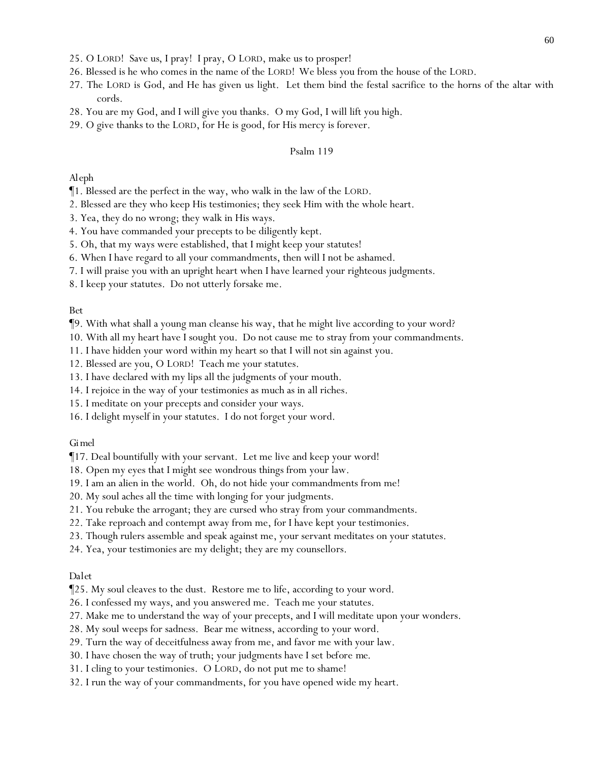- 25. O LORD! Save *us*, I pray! I pray, O LORD, make *us* to prosper!
- 26. Blessed is he who comes in the name of the LORD! We bless *y*ou from the house of the LORD.
- 27. The LORD is God, and He has given us light. Let them bind the festal sacrifice to the horns of the altar with cords.
- 28. You are my God, and I will give you thanks. O my God, I will lift you high.
- 29. O give thanks to the LORD, for He is good, for His mercy is forever.

#### *Aleph*

- ¶1. Blessed are the perfect in the way, who walk in the law of the LORD.
- 2. Blessed are they who keep His testimonies; they seek Him with the whole heart.
- 3. Yea, they do no wrong; they walk in His ways.
- 4. You have commanded your precepts to be diligently kept.
- 5. Oh, that my ways were established, that I might keep your statutes!
- 6. When I have regard to all your commandments, then will I not be ashamed.
- 7. I will praise you with an upright heart when I have learned your righteous judgments.
- 8. I keep your statutes. Do not utterly forsake me.

#### *Bet*

- ¶9. With what shall a young man cleanse his way, that he might live according to your word?
- 10. With all my heart have I sought you. Do not cause me to stray from your commandments.
- 11. I have hidden your word within my heart so that I will not sin against you.
- 12. Blessed are you, O LORD! Teach me your statutes.
- 13. I have declared with my lips all the judgments of your mouth.
- 14. I rejoice in the way of your testimonies as much as in all riches.
- 15. I meditate on your precepts and consider your ways.
- 16. I delight myself in your statutes. I do not forget your word.

#### *Gimel*

¶17. Deal bountifully with your servant. Let me live and keep your word!

- 18. Open my eyes that I might see wondrous things from your law.
- 19. I am an alien in the world. Oh, do not hide your commandments from me!
- 20. My soul aches all the time with longing for your judgments.
- 21. You rebuke the arrogant; they are cursed who stray from your commandments.
- 22. Take reproach and contempt away from me, for I have kept your testimonies.
- 23. Though rulers assemble and speak against me, your servant meditates on your statutes.
- 24. Yea, your testimonies are my delight; they are my counsellors.

#### *Dalet*

¶25. My soul cleaves to the dust. Restore me to life, according to your word.

- 26. I confessed my ways, and you answered me. Teach me your statutes.
- 27. Make me to understand the way of your precepts, and I will meditate upon your wonders.
- 28. My soul weeps for sadness. Bear me witness, according to your word.
- 29. Turn the way of deceitfulness away from me, and favor me with your law.
- 30. I have chosen the way of truth; your judgments have I set *before me*.
- 31. I cling to your testimonies. O LORD, do not put me to shame!
- 32. I run the way of your commandments, for you have opened wide my heart.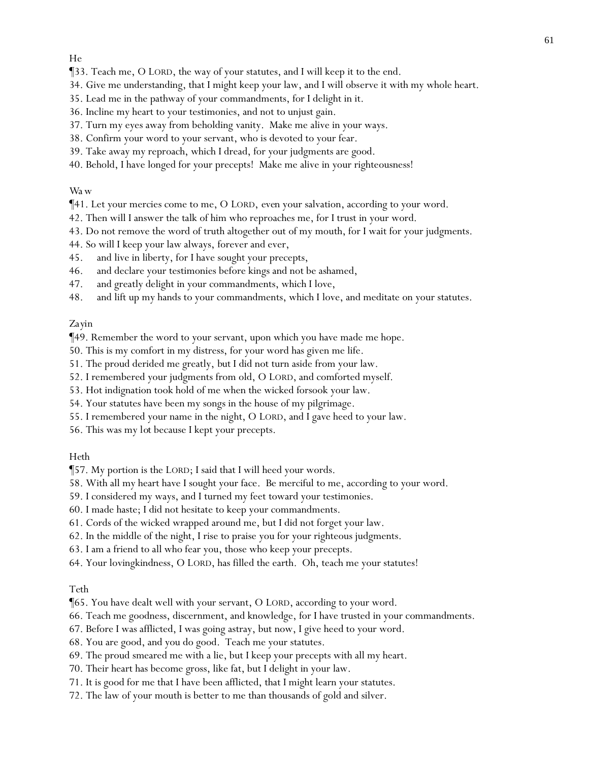- ¶33. Teach me, O LORD, the way of your statutes, and I will keep it to the end.
- 34. Give me understanding, that I might keep your law, and I will observe it with my whole heart.
- 35. Lead me in the pathway of your commandments, for I delight in it.
- 36. Incline my heart to your testimonies, and not to unjust gain.
- 37. Turn my eyes away from beholding vanity. Make me alive in your ways.
- 38. Confirm your word to your servant, who is devoted to your fear.
- 39. Take away my reproach, which I dread, for your judgments are good.
- 40. Behold, I have longed for your precepts! Make me alive in your righteousness!

# *Wa w*

- ¶41. Let your mercies come to me, O LORD, *even* your salvation, according to your word.
- 42. Then will I answer the talk of him who reproaches me, for I trust in your word.
- 43. Do not remove the word of truth altogether out of my mouth, for I wait for your judgments.
- 44. So will I keep your law always, forever and ever,
- 45. and live in liberty, for I have sought your precepts,
- 46. and declare your testimonies before kings and not be ashamed,
- 47. and greatly delight in your commandments, which I love,
- 48. and lift up my hands to your commandments, which I love, and meditate on your statutes.

# *Zayin*

¶49. Remember the word to your servant, upon which you have made me hope.

- 50. This is my comfort in my distress, for your word has given me life.
- 51. The proud derided me greatly, *but* I did not turn aside from your law.
- 52. I remembered your judgments from old, O LORD, and comforted myself.
- 53. Hot indignation took hold of me when the wicked forsook your law.
- 54. Your statutes have been my songs in the house of my pilgrimage.
- 55. I remembered your name in the night, O LORD, and I gave heed to your law.
- 56. This was my *lot* because I kept your precepts.

#### *Heth*

¶57. My portion is the LORD; I said that I will heed your words.

- 58. With all my heart have I sought your face. Be merciful to me, according to your word.
- 59. I considered my ways, and I turned my feet toward your testimonies.
- 60. I made haste; I did not hesitate to keep your commandments.
- 61. Cords of the wicked wrapped around me, but I did not forget your law.
- 62. In the middle of the night, I rise to praise you for your righteous judgments.
- 63. I am a friend to all who fear you, those who keep your precepts.
- 64. Your lovingkindness, O LORD, has filled the earth. Oh, teach me your statutes!

#### *Teth*

- ¶65. You have dealt well with your servant, O LORD, according to your word.
- 66. Teach me goodness, discernment, and knowledge, for I have trusted in your commandments.
- 67. Before I was afflicted, I was going astray, but now, I give heed to your word.
- 68. You are good, and you do good. Teach me your statutes.
- 69. The proud smeared me with a lie, but I keep your precepts with all my heart.
- 70. Their heart has become gross, like fat, but I delight in your law.
- 71. It is good for me that I have been afflicted, that I might learn your statutes.
- 72. The law of your mouth is better to me than thousands of gold and silver.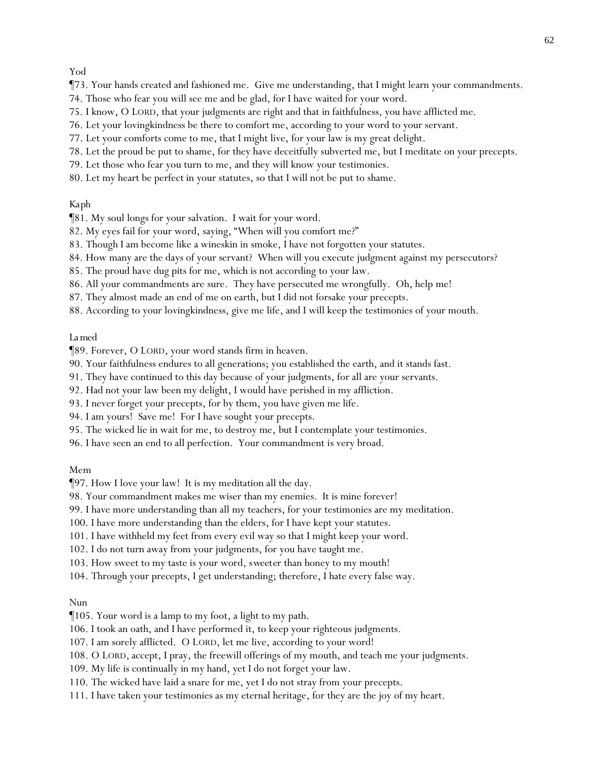# *Yod*

- ¶73. Your hands created and fashioned me. Give me understanding, that I might learn your commandments.
- 74. Those who fear you will see me and be glad, for I have waited for your word.
- 75. I know, O LORD, that your judgments are right and that in faithfulness, you have afflicted me.
- 76. Let your lovingkindness be there to comfort me, according to your word to your servant.
- 77. Let your comforts come to me, that I might live, for your law is my great delight.
- 78. Let the proud be put to shame, for they have deceitfully subverted me, but I meditate on your precepts.
- 79. Let those who fear you turn to me, and they will know your testimonies.
- 80. Let my heart be perfect in your statutes, so that I will not be put to shame.

#### *Kaph*

- ¶81. My soul longs for your salvation. I wait for your word.
- 82. My eyes fail for your word, saying, "When will you comfort me?"
- 83. Though I am become like a wineskin in smoke, I have not forgotten your statutes.
- 84. How many are the days of your servant? When will you execute judgment against my persecutors?
- 85. The proud have dug pits for me, which is not according to your law.
- 86. All your commandments are sure. They have persecuted me wrongfully. Oh, help me!
- 87. They almost made an end of me on earth, but I did not forsake your precepts.
- 88. According to your lovingkindness, give me life, and I will keep the testimonies of your mouth.

### *La med*

¶89. Forever, O LORD, your word stands firm in heaven.

- 90. Your faithfulness endures to all generations; you established the earth, and it stands fast.
- 91. They have continued to this day because of your judgments, for all are your servants.
- 92. Had not your law been my delight, I would have perished in my affliction.
- 93. I never forget your precepts, for by them, you have given me life.
- 94. I am yours! Save me! For I have sought your precepts.
- 95. The wicked lie in wait for me, to destroy me, *but* I contemplate your testimonies.
- 96. I have seen an end to all perfection. Your commandment is very broad.

#### *Mem*

¶97. How I love your law! It is my meditation all the day.

- 98. Your commandment makes me wiser than my enemies. It is mine forever!
- 99. I have more understanding than all my teachers, for your testimonies are my meditation.
- 100. I have more understanding than the elders, for I have kept your statutes.
- 101. I have withheld my feet from every evil way so that I might keep your word.
- 102. I do not turn away from your judgments, for you have taught me.
- 103. How sweet to my taste is your word, s*weeter* than honey to my mouth!
- 104. Through your precepts, I get understanding; therefore, I hate every false way.

#### *Nun*

¶105. Your word is a lamp to my foot, a light to my path.

- 106. I took an oath, and I have performed it, to keep your righteous judgments.
- 107. I am sorely afflicted. O LORD, let me live, according to your word!
- 108. O LORD, accept, I pray, the freewill offerings of my mouth, and teach me your judgments.
- 109. My life is continually in my hand, yet I do not forget your law.
- 110. The wicked have laid a snare for me, yet I do not stray from your precepts.
- 111. I have taken your testimonies as my eternal heritage, for they are the joy of my heart.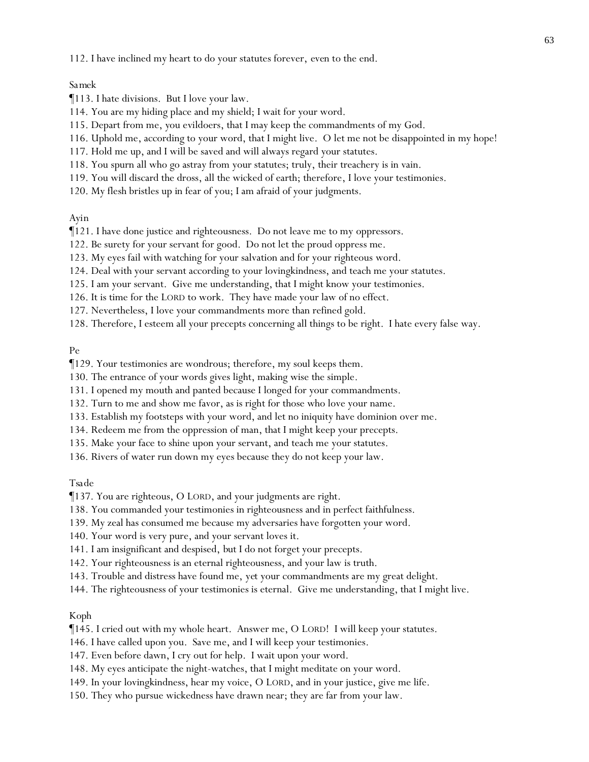112. I have inclined my heart to do your statutes forever, *even* to the end.

#### *Samek*

¶113. I hate divisions. But I love your law.

- 114. You are my hiding place and my shield; I wait for your word.
- 115. Depart from me, *y*ou evildoers, that I may keep the commandments of my God.
- 116. Uphold me, according to your word, that I might live. O let me not be disappointed in my hope!
- 117. Hold me up, and I will be saved and will always regard your statutes.
- 118. You spurn all who go astray from your statutes; truly, their treachery is in vain.
- 119. You will discard the dross, all the wicked of earth; therefore, I love your testimonies.
- 120. My flesh bristles up in fear of you; I am afraid of your judgments.

*Ayin*

¶121. I have done justice and righteousness. Do not leave me to my oppressors.

- 122. Be surety for your servant for good. Do not let the proud oppress me.
- 123. My eyes fail with watching for your salvation and for your righteous word.
- 124. Deal with your servant according to your lovingkindness, and teach me your statutes.
- 125. I am your servant. Give me understanding, that I might know your testimonies.
- 126. It is time for the LORD to work. They have made your law of no effect.
- 127. Nevertheless, I love your commandments more than refined gold.
- 128. Therefore, I esteem all your precepts concerning all things to be right. I hate every false way.

*Pe*

¶129. Your testimonies are wondrous; therefore, my soul keeps them.

130. The entrance of your words gives light, making wise the simple.

- 131. I opened my mouth and panted because I longed for your commandments.
- 132. Turn to me and show me favor, as is right for those who love your name.
- 133. Establish my footsteps with your word, and let no iniquity have dominion over me.
- 134. Redeem me from the oppression of man, that I might keep your precepts.
- 135. Make your face to shine upon your servant, and teach me your statutes.
- 136. Rivers of water run down my eyes because they do not keep your law.

*Tsade*

¶137. You are righteous, O LORD, and your judgments are right.

- 138. You commanded your testimonies in righteousness and in perfect faithfulness.
- 139. My zeal has consumed me because my adversaries have forgotten your word.
- 140. Your word is very pure, and your servant loves it.
- 141. I am insignificant and despised, *but* I do not forget your precepts.
- 142. Your righteousness is an eternal righteousness, and your law is truth.
- 143. Trouble and distress have found me, *yet* your commandments are my great delight.
- 144. The righteousness of your testimonies is eternal. Give me understanding, that I might live.

#### *Koph*

- ¶145. I cried out with my whole heart. Answer me, O LORD! I will keep your statutes.
- 146. I have called upon you. Save me, and I will keep your testimonies.
- 147. Even before dawn, I cry out for help. I wait upon your word.
- 148. My eyes anticipate the night-watches, that I might meditate on your word.
- 149. In your lovingkindness, hear my voice, O LORD, and in your justice, give me life.
- 150. They who pursue wickedness have drawn near; they are far from your law.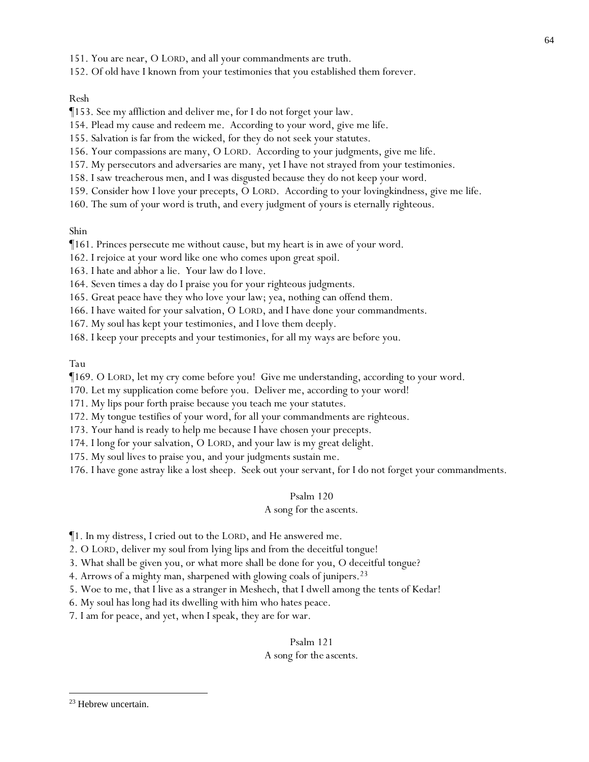- 151. You are near, O LORD, and all your commandments are truth.
- 152. Of old have I known from your testimonies that you established them forever.

#### *Resh*

- ¶153. See my affliction and deliver me, for I do not forget your law.
- 154. Plead my cause and redeem me. According to your word, give me life.
- 155. Salvation is far from the wicked, for they do not seek your statutes.
- 156. Your compassions are many, O LORD. According to your judgments, give me life.
- 157. My persecutors and adversaries are many, *yet* I have not strayed from your testimonies.
- 158. I saw treacherous men, and I was disgusted because they do not keep your word.
- 159. Consider how I love your precepts, O LORD. According to your lovingkindness, give me life.
- 160. The sum of your word is truth, and every judgment of yours is eternally righteous.

*Shin*

- ¶161. Princes persecute me without cause, but my heart is in awe of your word.
- 162. I rejoice at your word like one who comes upon great spoil.
- 163. I hate and abhor a lie. Your law do I love.
- 164. Seven times a day do I praise you for your righteous judgments.
- 165. Great peace have they who love your law; yea, nothing can offend them.
- 166. I have waited for your salvation, O LORD, and I have done your commandments.
- 167. My soul has kept your testimonies, and I love them deeply.
- 168. I keep your precepts and your testimonies, for all my ways are before you.

*Tau*

¶169. O LORD, let my cry come before you! Give me understanding, according to your word.

- 170. Let my supplication come before you. Deliver me, according to your word!
- 171. My lips pour forth praise because you teach me your statutes.
- 172. My tongue testifies of your word, for all your commandments are righteous.
- 173. Your hand is ready to help me because I have chosen your precepts.
- 174. I long for your salvation, O LORD, and your law is my great delight.
- 175. My soul lives to praise you, and your judgments sustain me.
- 176. I have gone astray like a lost sheep. Seek out your servant, for I do not forget your commandments.

#### Psalm 120

#### *A song for the ascents.*

- ¶1. In my distress, I cried out to the LORD, and He answered me.
- 2. O LORD, deliver my soul from lying lips and from the deceitful tongue!
- 3. What shall be given you, or what more shall be done for you, O deceitful tongue?
- 4. Arrows of a mighty man, sharpened with glowing coals of junipers.<sup>23</sup>
- 5. Woe to me, that I live as a stranger in Meshech, that I dwell among the tents of Kedar!
- 6. My soul has long had its dwelling with him who hates peace.
- 7. I am for peace, and yet, when I speak, they are for war.

# Psalm 121 *A song for the ascents.*

<sup>23</sup> Hebrew uncertain.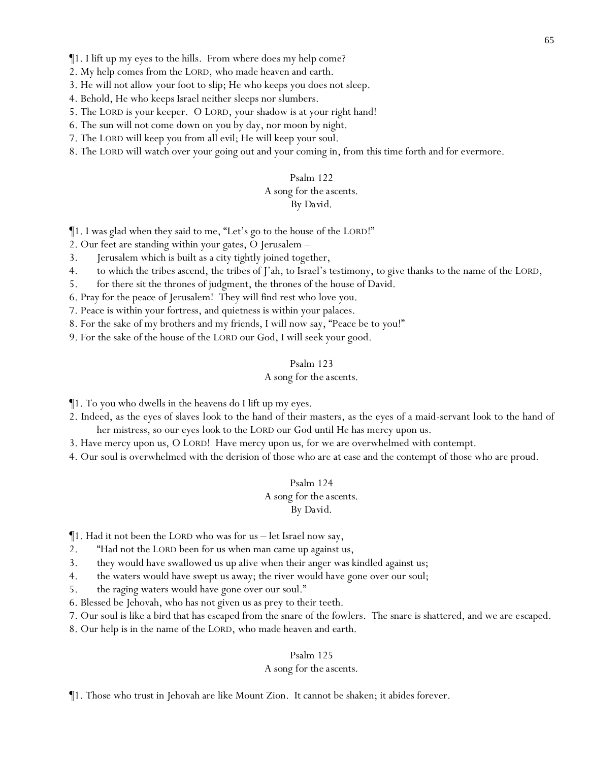- 2. My help comes from the LORD, who made heaven and earth.
- 3. He will not allow your foot to slip; He who keeps you does not sleep.
- 4. Behold, He who keeps Israel neither sleeps nor slumbers.
- 5. The LORD is your keeper. O LORD, your shadow is at your right hand!
- 6. The sun will not come down on you by day, nor moon by night.
- 7. The LORD will keep you from all evil; He will keep your soul.
- 8. The LORD will watch over your going out and your coming in, from this time forth and for evermore.

#### *A song for the ascents.*

### *By David.*

¶1. I was glad when they said to me, "Let's go to the house of the LORD!"

- 2. Our feet are standing within your gates, O Jerusalem –
- 3. Jerusalem which is built as a city tightly joined together,
- 4. to which the tribes ascend, the tribes of J'ah, to Israel's testimony, to give thanks to the name of the LORD,
- 5. for there sit the thrones of judgment, the thrones of the house of David.
- 6. Pray for the peace of Jerusalem! They will find rest who love you.
- 7. Peace is within your fortress, and quietness is within your palaces.

8. For the sake of my brothers and my friends, I will now say, "Peace be to you!"

9. For the sake of the house of the LORD our God, I will seek your good.

#### Psalm 123

### *A song for the ascents.*

¶1. To you who dwells in the heavens do I lift up my eyes.

- 2. Indeed, as the eyes of slaves *look* to the hand of their masters, as the eyes of a maid-servant *look* to the hand of her mistress, so our eyes *look* to the LORD our God until He has mercy upon us.
- 3. Have mercy upon us, O LORD! Have mercy upon us, for we are overwhelmed with contempt.
- 4. Our soul is overwhelmed with the derision of those who are at ease and the contempt of those who are proud.

#### Psalm 124

*A song for the ascents.*

*By David.*

- ¶1. Had it not been the LORD who was for us let Israel now say,
- 2. "Had not the LORD been for us when man came up against us,
- 3. they would have swallowed us up alive when their anger was kindled against us;
- 4. the waters would have swept us away; the river would have gone over our soul;
- 5. the raging waters would have gone over our soul."
- 6. Blessed be Jehovah, who has not given us as prey to their teeth.
- 7. Our soul is like a bird that has escaped from the snare of the fowlers. The snare is shattered, and we are escaped.
- 8. Our help is in the name of the LORD, who made heaven and earth.

#### Psalm 125

#### *A song for the ascents.*

¶1. Those who trust in Jehovah are like Mount Zion. It cannot be shaken; it abides forever.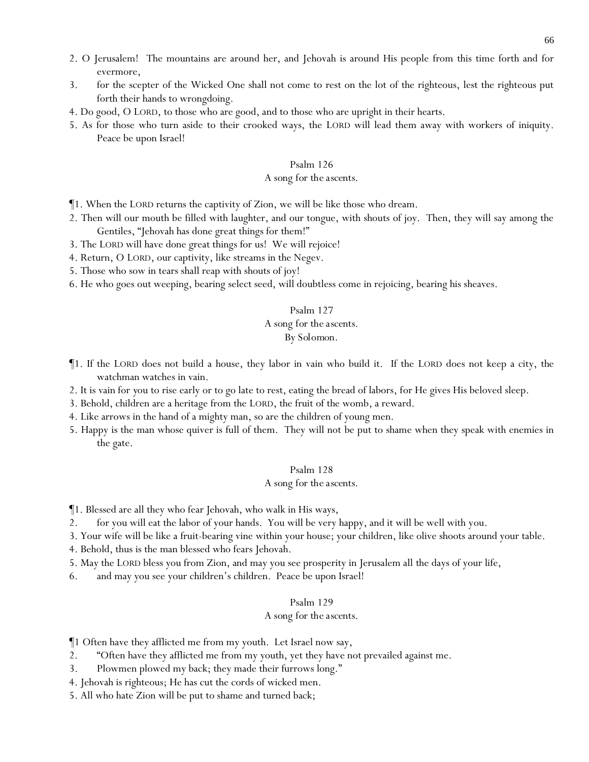- 2. O Jerusalem! The mountains are around her, and Jehovah is around His people from this time forth and for evermore,
- 3. for the scepter of the Wicked One shall not come to rest on the lot of the righteous, lest the righteous put forth their hands to wrongdoing.
- 4. Do good, O LORD, to those who are good, and to those who are upright in their hearts.
- 5. As for those who turn aside to their crooked ways, the LORD will lead them away with workers of iniquity. Peace be upon Israel!

#### *A song for the ascents.*

- ¶1. When the LORD returns the captivity of Zion, we will be like those who dream.
- 2. Then will our mouth be filled with laughter, and our tongue, with shouts of joy. Then, they will say among the Gentiles, "Jehovah has done great things for them!"
- 3. The LORD will have done great things for us! We will rejoice!
- 4. Return, O LORD, our captivity, like streams in the Negev.
- 5. Those who sow in tears shall reap with shouts of joy!
- 6. He who goes out weeping, bearing select seed, will doubtless come in rejoicing, bearing his sheaves.

#### Psalm 127

# *A song for the ascents.*

# *By Solomon.*

- ¶1. If the LORD does not build a house, they labor in vain who build it. If the LORD does not keep a city, the watchman watches in vain.
- 2. It is vain for *y*ou to rise early or to go late to rest, eating the bread of labors, for He gives His beloved sleep.
- 3. Behold, children are a heritage from the LORD, the fruit of the womb, a reward.
- 4. Like arrows in the hand of a mighty man, so are the children of young men.
- 5. Happy is the man whose quiver is full of them. They will not be put to shame when they speak with enemies in the gate.

#### Psalm 128

#### *A song for the ascents.*

- ¶1. Blessed are all they who fear Jehovah, who walk in His ways,
- 2. for you will eat the labor of your hands. You will be very happy, and it will be well with you.
- 3. Your wife will be like a fruit-bearing vine within your house; your children, like olive shoots around your table.
- 4. Behold, thus is the man blessed who fears Jehovah.
- 5. May the LORD bless you from Zion, and may you see prosperity in Jerusalem all the days of your life,
- 6. and may you see your children's children. Peace be upon Israel!

#### Psalm 129

#### *A song for the ascents.*

¶1 Often have they afflicted me from my youth. Let Israel now say,

- 2. "Often have they afflicted me from my youth, yet they have not prevailed against me.
- 3. Plowmen plowed my back; they made their furrows long."
- 4. Jehovah is righteous; He has cut the cords of wicked men.
- 5. All who hate Zion will be put to shame and turned back;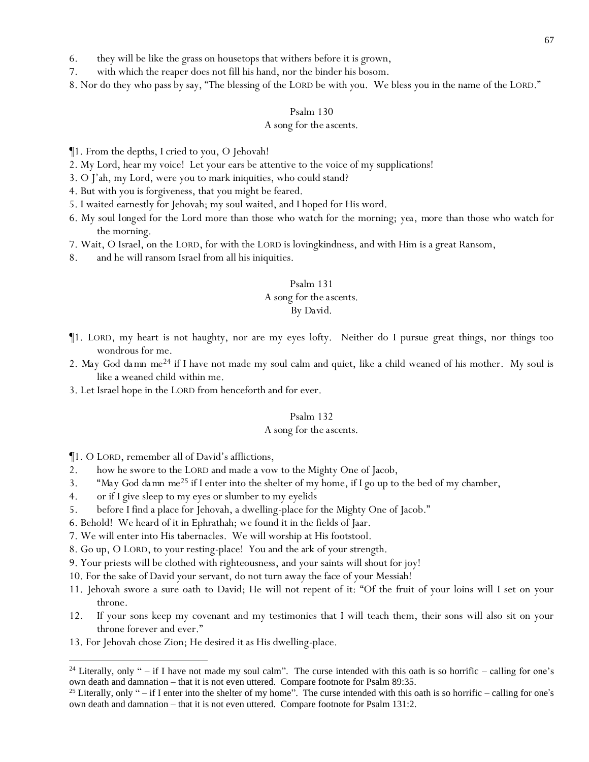6. they will be like the grass on housetops that withers before it is grown,

7. with which the reaper does not fill his hand, nor the binder his bosom.

8. Nor do they who pass by say, "The blessing of the LORD be with *y*ou. We bless *y*ou in the name of the LORD."

#### Psalm 130

#### *A song for the ascents.*

¶1. From the depths, I cried to you, O Jehovah!

- 2. My Lord, hear my voice! Let your ears be attentive to the voice of my supplications!
- 3. O J'ah, my Lord, were you to mark iniquities, who could stand?
- 4. But with you is forgiveness, that you might be feared.
- 5. I waited earnestly for Jehovah; my soul waited, and I hoped for His word.
- 6. My soul *longed* for the Lord more than those who watch for the morning; *yea, more than* those who watch for the morning.
- 7. Wait, O Israel, on the LORD, for with the LORD is lovingkindness, and with Him is a great Ransom,
- 8. and he will ransom Israel from all his iniquities.

#### Psalm 131

# *A song for the ascents.*

#### *By David.*

- ¶1. LORD, my heart is not haughty, nor are my eyes lofty. Neither do I pursue great things, nor things too wondrous for me.
- 2. *May God da mn me<sup>24</sup>* if I have not made my soul calm and quiet, like a child weaned of his mother. My soul is like a weaned child within me.
- 3. Let Israel hope in the LORD from henceforth and for ever.

#### Psalm 132

#### *A song for the ascents.*

¶1. O LORD, remember all of David's afflictions,

- 2. how he swore to the LORD and made a vow to the Mighty One of Jacob,
- 3. "*May God da mn me<sup>25</sup>* if I enter into the shelter of my home, if I go up to the bed of my chamber,
- 4. or if I give sleep to my eyes or slumber to my eyelids
- 5. before I find a place for Jehovah, a dwelling-place for the Mighty One of Jacob."
- 6. Behold! We heard of it in Ephrathah; we found it in the fields of Jaar.
- 7. We will enter into His tabernacles. We will worship at His footstool.
- 8. Go up, O LORD, to your resting-place! You and the ark of your strength.
- 9. Your priests will be clothed with righteousness, and your saints will shout for joy!
- 10. For the sake of David your servant, do not turn away the face of your Messiah!
- 11. Jehovah swore a sure oath to David; He will not repent of it: "Of the fruit of your loins will I set on your throne.
- 12. If your sons keep my covenant and my testimonies that I will teach them, their sons will also sit on your throne forever and ever."
- 13. For Jehovah chose Zion; He desired it as His dwelling-place.

<sup>&</sup>lt;sup>24</sup> Literally, only " – if I have not made my soul calm". The curse intended with this oath is so horrific – calling for one's own death and damnation – that it is not even uttered. Compare footnote for Psalm 89:35.

<sup>&</sup>lt;sup>25</sup> Literally, only " $-$  if I enter into the shelter of my home". The curse intended with this oath is so horrific  $-$  calling for one's own death and damnation – that it is not even uttered. Compare footnote for Psalm 131:2.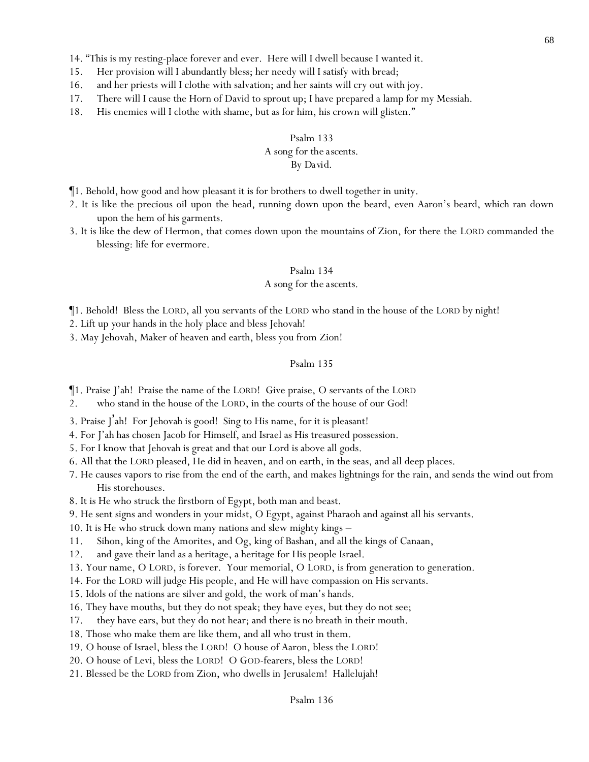- 14. "This is my resting-place forever and ever. Here will I dwell because I wanted it.
- 15. Her provision will I abundantly bless; her needy will I satisfy with bread;
- 16. and her priests will I clothe with salvation; and her saints will cry out with joy.
- 17. There will I cause the Horn of David to sprout up; I have prepared a lamp for my Messiah.
- 18. His enemies will I clothe with shame, but as for him, his crown will glisten."

# Psalm 133 *A song for the ascents.*

# *By David.*

- ¶1. Behold, how good and how pleasant it is for brothers to dwell together in unity.
- 2. It is like the precious oil upon the head, running down upon the beard, even Aaron's beard, which ran down upon the hem of his garments.
- 3. It is like the dew of Hermon, that comes down upon the mountains of Zion, for there the LORD commanded the blessing: life for evermore.

#### Psalm 134

#### *A song for the ascents.*

¶1. Behold! Bless the LORD, all *y*ou servants of the LORD who stand in the house of the LORD by night!

2. Lift up *y*our hands in the holy place and bless Jehovah!

3. May Jehovah, Maker of heaven and earth, bless you from Zion!

# Psalm 135

¶1. Praise J'ah! Praise the name of the LORD! Give praise, O servants of the LORD

2. who stand in the house of the LORD, in the courts of the house of our God!

3. Praise J 'ah! For Jehovah is good! Sing to His name, for it is pleasant!

4. For J'ah has chosen Jacob for Himself, and Israel as His treasured possession.

5. For I know that Jehovah is great and that our Lord is above all gods.

6. All that the LORD pleased, He did in heaven, and on earth, in the seas, and all deep places.

- 7. He causes vapors to rise from the end of the earth, and makes lightnings for the rain, and sends the wind out from His storehouses.
- 8. It is He who struck the firstborn of Egypt, both man and beast.
- 9. He sent signs and wonders in your midst, O Egypt, against Pharaoh and against all his servants.

10. It is He who struck down many nations and slew mighty kings –

- 11. Sihon, king of the Amorites, and Og, king of Bashan, and all the kings of Canaan,
- 12. and gave their land as a heritage, a heritage for His people Israel.

13. Your name, O LORD, is forever. Your memorial, O LORD, is from generation to generation.

14. For the LORD will judge His people, and He will have compassion on His servants.

- 15. Idols of the nations are silver and gold, the work of man's hands.
- 16. They have mouths, but they do not speak; they have eyes, but they do not see;
- 17. they have ears, but they do not hear; and there is no breath in their mouth.
- 18. Those who make them are like them, and all who trust in them.
- 19. O house of Israel, bless the LORD! O house of Aaron, bless the LORD!
- 20. O house of Levi, bless the LORD! O GOD-fearers, bless the LORD!
- 21. Blessed be the LORD from Zion, who dwells in Jerusalem! Hallelujah!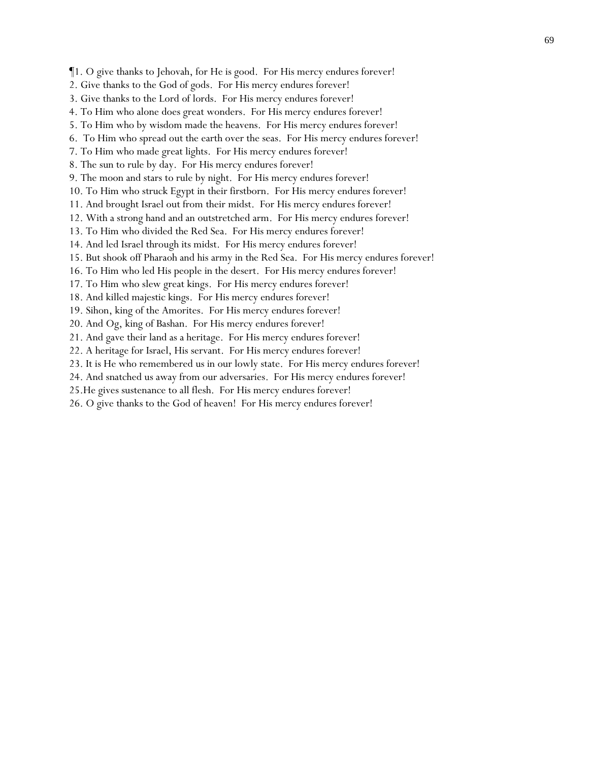¶1. O give thanks to Jehovah, for He is good. For His mercy endures forever!

- 2. Give thanks to the God of gods. For His mercy endures forever!
- 3. Give thanks to the Lord of lords. For His mercy endures forever!
- 4. To Him who alone does great wonders. For His mercy endures forever!
- 5. To Him who by wisdom made the heavens. For His mercy endures forever!
- 6. To Him who spread out the earth over the seas. For His mercy endures forever!
- 7. To Him who made great lights. For His mercy endures forever!
- 8. The sun to rule by day. For His mercy endures forever!

9. The moon and stars to rule by night. For His mercy endures forever!

10. To Him who struck Egypt in their firstborn. For His mercy endures forever!

11. And brought Israel out from their midst. For His mercy endures forever!

12. With a strong hand and an outstretched arm. For His mercy endures forever!

13. To Him who divided the Red Sea. For His mercy endures forever!

14. And led Israel through its midst. For His mercy endures forever!

15. But shook off Pharaoh and his army in the Red Sea. For His mercy endures forever!

- 16. To Him who led His people in the desert. For His mercy endures forever!
- 17. To Him who slew great kings. For His mercy endures forever!
- 18. And killed majestic kings. For His mercy endures forever!

19. Sihon, king of the Amorites. For His mercy endures forever!

20. And Og, king of Bashan. For His mercy endures forever!

21. And gave their land as a heritage. For His mercy endures forever!

22. A heritage for Israel, His servant. For His mercy endures forever!

23. It is He who remembered us in our lowly state. For His mercy endures forever!

24. And snatched us away from our adversaries. For His mercy endures forever!

25.He gives sustenance to all flesh. For His mercy endures forever!

26. O give thanks to the God of heaven! For His mercy endures forever!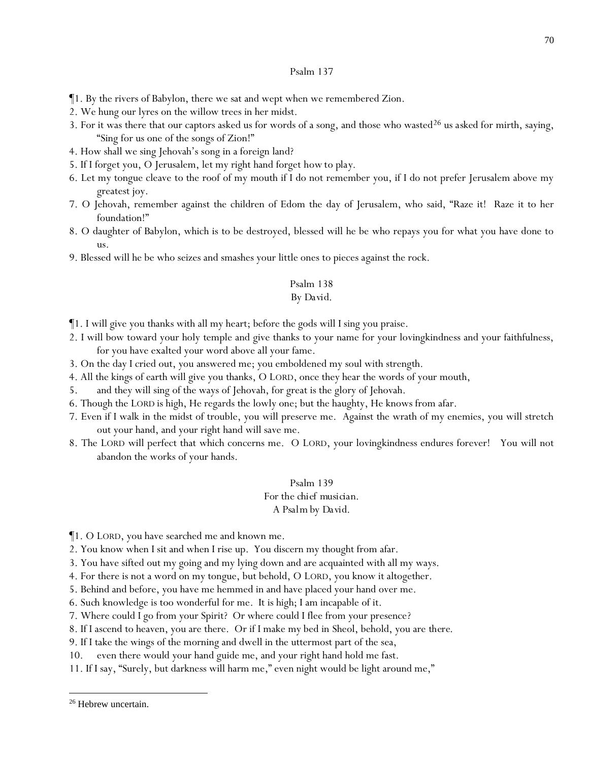¶1. By the rivers of Babylon, there we sat and wept when we remembered Zion.

- 2. We hung our lyres on the willow trees in her midst.
- 3. For it was there that our captors asked us for words of a song, and those who wasted<sup>26</sup> us asked for mirth, saying, "Sing for us one of the songs of Zion!"
- 4. How shall we sing Jehovah's song in a foreign land?
- 5. If I forget you, O Jerusalem, let my right hand forget *how to play*.
- 6. Let my tongue cleave to the roof of my mouth if I do not remember you, if I do not prefer Jerusalem above my greatest joy.
- 7. O Jehovah, remember against the children of Edom the day of Jerusalem, who said, "Raze it! Raze it to her foundation!"
- 8. O daughter of Babylon, which is to be destroyed, blessed will he be who repays you for what you have done to us.
- 9. Blessed will he be who seizes and smashes your little ones to pieces against the rock.

# Psalm 138

#### *By David.*

- $\P$ 1. I will give you thanks with all my heart; before the gods will I sing you praise.
- 2. I will bow toward your holy temple and give thanks to your name for your lovingkindness and your faithfulness, for you have exalted your word above all your fame.
- 3. On the day I cried out, you answered me; you emboldened my soul with strength.
- 4. All the kings of earth will give you thanks, O LORD, once they hear the words of your mouth,
- 5. and they will sing of the ways of Jehovah, for great is the glory of Jehovah.
- 6. Though the LORD is high, He regards the lowly one; but the haughty, He knows from afar.
- 7. Even if I walk in the midst of trouble, you will preserve me. Against the wrath of my enemies, you will stretch out your hand, and your right hand will save me.
- 8. The LORD will perfect that which concerns me. O LORD, your lovingkindness endures forever! You will not abandon the works of your hands.

# Psalm 139

# *For the chief musician.*

#### *A Psalm by David.*

¶1. O LORD, you have searched me and known me.

- 2. You know when I sit and when I rise up. You discern my thought from afar.
- 3. You have sifted out my going and my lying down and are acquainted with all my ways.
- 4. For there is not a word on my tongue, but behold, O LORD, you know it altogether.

5. Behind and before, you have me hemmed in and have placed your hand over me.

- 6. *Such* knowledge is too wonderful for me. It is high; I am incapable of it.
- 7. Where could I go from your Spirit? Or where could I flee from your presence?
- 8. If I ascend to heaven, you are there. Or if I make my bed in Sheol, behold, you are *there*.
- 9. If I take the wings of the morning and dwell in the uttermost part of the sea,
- 10. even there would your hand guide me, and your right hand hold me fast.
- 11. If I say, "Surely, but darkness will harm me," even night would be light around me,"

<sup>&</sup>lt;sup>26</sup> Hebrew uncertain.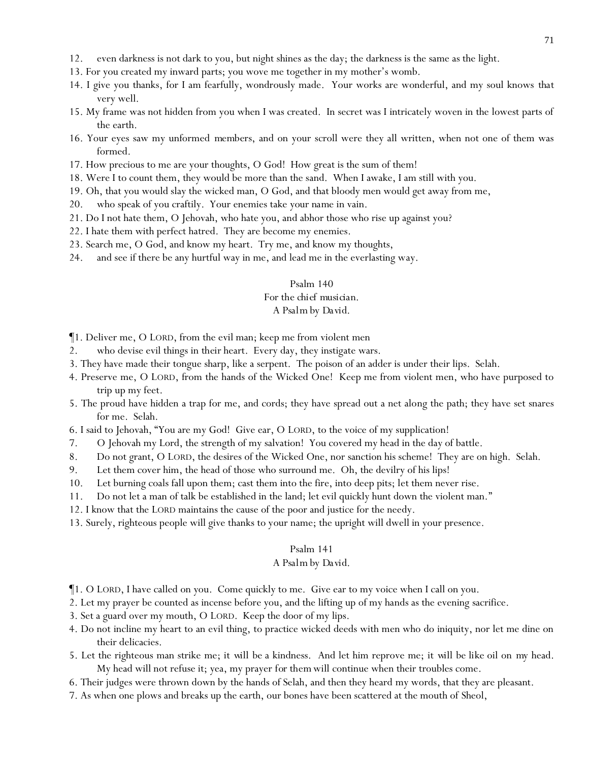- 12. even darkness is not dark to you, but night shines as the day; the darkness is the same as the light.
- 13. For you created my inward parts; you wove me together in my mother's womb.
- 14. I give you thanks, for I am fearfully, wondrously made. Your works are wonderful, and my soul knows *that* very well.
- 15. My frame was not hidden from you when I was created. In secret was I intricately woven in the lowest parts of the earth.
- 16. Your eyes saw my unformed *members*, and on your scroll were they all written, when not one of them was formed.
- 17. How precious to me are your thoughts, O God! How great is the sum of them!
- 18. Were I to count them, they would be more than the sand. When I awake, I am still with you.
- 19. Oh, that you would slay the wicked man, O God, and that bloody men would get away from me,
- 20. who speak of you craftily. Your enemies take *your name* in vain.
- 21. Do I not hate them, O Jehovah, who hate you, and abhor those who rise up against you?
- 22. I hate them with perfect hatred. They are become my enemies.
- 23. Search me, O God, and know my heart. Try me, and know my thoughts,
- 24. and see if there be any hurtful way in me, and lead me in the everlasting way.

# *For the chief musician.*

# *A Psalm by David.*

- ¶1. Deliver me, O LORD, from the evil man; keep me from violent men
- 2. who devise evil things in *their* heart. Every day, they instigate wars.
- 3. They have made their tongue sharp, like a serpent. The poison of an adder is under their lips. Selah.
- 4. Preserve me, O LORD, from the hands of the Wicked One! Keep me from violent men, who have purposed to trip up my feet.
- 5. The proud have hidden a trap for me, and cords; they have spread out a net along the path; they have set snares for me. Selah.
- 6. I said to Jehovah, "You are my God! Give ear, O LORD, to the voice of my supplication!
- 7. O Jehovah my Lord, the strength of my salvation! You covered my head in the day of battle.
- 8. Do not grant, O LORD, the desires of the Wicked One, nor sanction his scheme! They are on high. Selah.
- 9. Let them cover him, the head of those who surround me. Oh, the devilry of his lips!
- 10. Let burning coals fall upon them; cast them into the fire, into deep pits; let them never rise.
- 11. Do not let a man of talk be established in the land; let evil quickly hunt down the violent man."
- 12. I know that the LORD maintains the cause of the poor and justice for the needy.
- 13. Surely, righteous people will give thanks to your name; the upright will dwell in your presence.

#### Psalm 141

#### *A Psalm by David.*

- ¶1. O LORD, I have called on you. Come quickly to me. Give ear to my voice when I call on you.
- 2. Let my prayer be counted as incense before you, and the lifting up of my hands as the evening sacrifice.
- 3. Set a guard over my mouth, O LORD. Keep the door of my lips.
- 4. Do not incline my heart to an evil thing, to practice wicked deeds with men who do iniquity, nor let me dine on their delicacies.
- 5. Let the righteous man strike me; *it will be* a kindness. And let him reprove me; *it will be like* oil on *my* head. My head will not refuse it; yea, my prayer *for them* will continue when their troubles come.
- 6. Their judges were thrown down by the hands of Selah, and then they heard my words, that they are pleasant.
- 7. As when one plows and breaks up the earth, our bones have been scattered at the mouth of Sheol,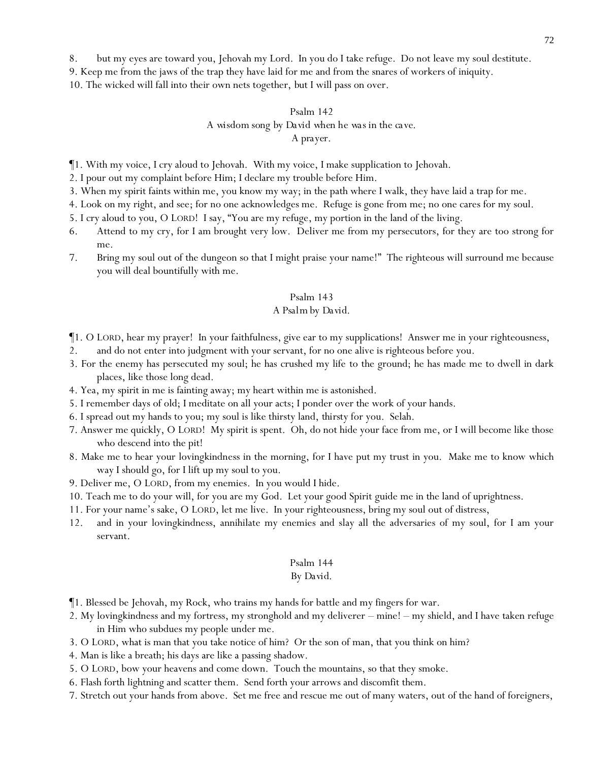8. but my eyes are toward you, Jehovah my Lord. In you do I take refuge. Do not leave my soul destitute.

9. Keep me from the jaws of the trap they have laid for me and from the snares of workers of iniquity.

10. The wicked will fall into their own nets together, *but* I will pass on over.

# Psalm 142 *A wisdom song by David when he was in the cave. A prayer.*

¶1. With my voice, I cry aloud to Jehovah. With my voice, I make supplication to Jehovah.

2. I pour out my complaint before Him; I declare my trouble before Him.

- 3. When my spirit faints within me, you know my way; in the path where I walk, they have laid a trap for me.
- 4. Look on my right, and see; for no one acknowledges me. Refuge is gone from me; no one cares for my soul.
- 5. I cry aloud to you, O LORD! I say, "You are my refuge, my portion in the land of the living.
- 6. Attend to my cry, for I am brought very low. Deliver me from my persecutors, for they are too strong for me.
- 7. Bring my soul out of the dungeon so that I might praise your name!" The righteous will surround me because you will deal bountifully with me.

#### Psalm 143

#### *A Psalm by David.*

¶1. O LORD, hear my prayer! In your faithfulness, give ear to my supplications! Answer me in your righteousness,

- 2. and do not enter into judgment with your servant, for no one alive is righteous before you.
- 3. For the enemy has persecuted my soul; he has crushed my life to the ground; he has made me to dwell in dark places, like those long dead.
- 4. Yea, my spirit in me is fainting away; my heart within me is astonished.
- 5. I remember days of old; I meditate on all your acts; I ponder over the work of your hands.
- 6. I spread out my hands to you; my soul is like thirsty land, *thirsty* for you. Selah.
- 7. Answer me quickly, O LORD! My spirit is spent. Oh, do not hide your face from me, or I will become like those who descend into the pit!
- 8. Make me to hear your lovingkindness in the morning, for I have put my trust in you. Make me to know which way I should go, for I lift up my soul to you.
- 9. Deliver me, O LORD, from my enemies. In you would I hide.
- 10. Teach me to do your will, for you are my God. Let your good Spirit guide me in the land of uprightness.
- 11. For your name's sake, O LORD, let me live. In your righteousness, bring my soul out of distress,
- 12. and in your lovingkindness, annihilate my enemies and slay all the adversaries of my soul, for I am your servant.

#### Psalm 144

#### *By David.*

- ¶1. Blessed be Jehovah, my Rock, who trains my hands for battle and my fingers for war.
- 2. My lovingkindness and my fortress, my stronghold and my deliverer mine! my shield, and I have taken refuge in Him who subdues my people under me.
- 3. O LORD, what is man that you take notice of him? Or the son of man, that you think on him?
- 4. Man is like a breath; his days are like a passing shadow.
- 5. O LORD, bow your heavens and come down. Touch the mountains, so that they smoke.
- 6. Flash forth lightning and scatter them. Send forth your arrows and discomfit them.
- 7. Stretch out your hands from above. Set me free and rescue me out of many waters, out of the hand of foreigners,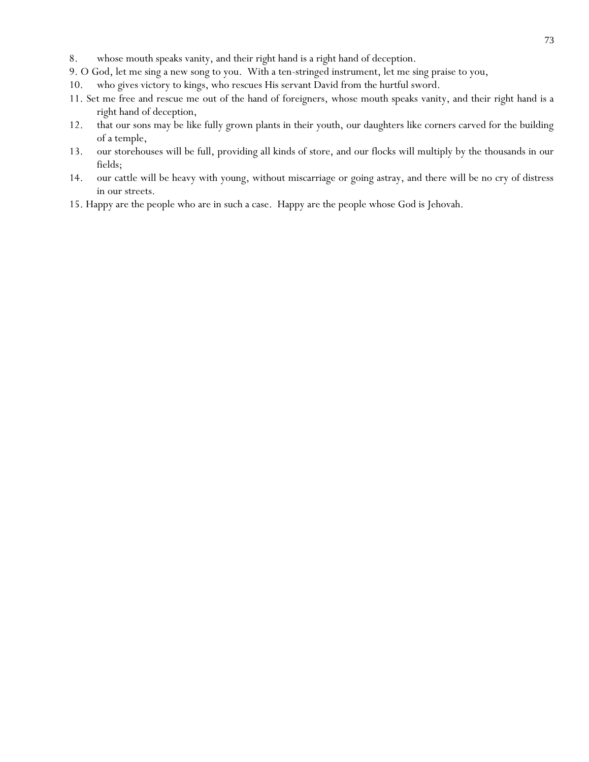- 8. whose mouth speaks vanity, and their right hand is a right hand of deception.
- 9. O God, let me sing a new song to you. With a ten-stringed instrument, let me sing praise to you,
- 10. who gives victory to kings, who rescues His servant David from the hurtful sword.
- 11. Set me free and rescue me out of the hand of foreigners, whose mouth speaks vanity, and their right hand is a right hand of deception,
- 12. that our sons may be like fully grown plants in their youth, our daughters like corners carved for the building of a temple,
- 13. our storehouses will be full, providing all kinds of store, and our flocks will multiply by the thousands in our fields;
- 14. our cattle will be heavy with young, without miscarriage or going astray, and there will be no cry of distress in our streets.
- 15. Happy are the people who are in such a case. Happy are the people whose God is Jehovah.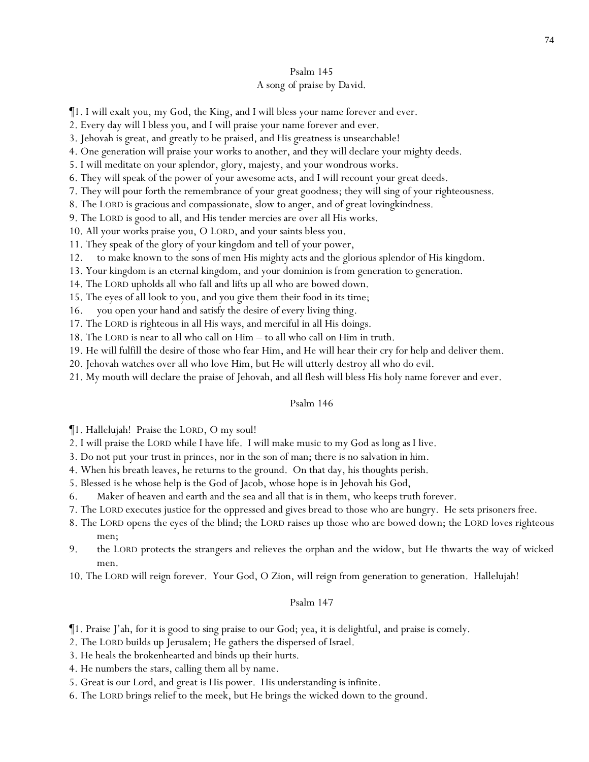# Psalm 145 *A song of praise by David.*

¶1. I will exalt you, my God, the King, and I will bless your name forever and ever.

2. Every day will I bless you, and I will praise your name forever and ever.

- 3. Jehovah is great, and greatly to be praised, and His greatness is unsearchable!
- 4. One generation will praise your works to another, and they will declare your mighty deeds.

5. I will meditate on your splendor, glory, majesty, and your wondrous works.

6. They will speak of the power of your awesome acts, and I will recount your great deeds.

7. They will pour forth the remembrance of your great goodness; they will sing of your righteousness.

8. The LORD is gracious and compassionate, slow to anger, and of great lovingkindness.

9. The LORD is good to all, and His tender mercies are over all His works.

10. All your works praise you, O LORD, and your saints bless you.

11. They speak of the glory of your kingdom and tell of your power,

12. to make known to the sons of men His mighty acts and the glorious splendor of His kingdom.

13. Your kingdom is an eternal kingdom, and your dominion is from generation to generation.

14. The LORD upholds all who fall and lifts up all who are bowed down.

15. The eyes of all look to you, and you give them their food in its time;

16. you open your hand and satisfy the desire of every living thing.

17. The LORD is righteous in all His ways, and merciful in all His doings.

18. The LORD is near to all who call on Him – to all who call on Him in truth.

19. He will fulfill the desire of those who fear Him, and He will hear their cry for help and deliver them.

20. Jehovah watches over all who love Him, but He will utterly destroy all who do evil.

21. My mouth will declare the praise of Jehovah, and all flesh will bless His holy name forever and ever.

## Psalm 146

¶1. Hallelujah! Praise the LORD, O my soul!

2. I will praise the LORD while I have life. I will make music to my God as long as I live.

- 3. Do not put *y*our trust in princes, nor in the son of man; there is no salvation in him.
- 4. When his breath leaves, he returns to the ground. On that day, his thoughts perish.

5. Blessed is he whose help is the God of Jacob, whose hope is in Jehovah his God,

6. Maker of heaven and earth and the sea and all that is in them, who keeps truth forever.

7. The LORD executes justice for the oppressed and gives bread to those who are hungry. He sets prisoners free.

8. The LORD opens *the eyes* of the blind; the LORD raises up those who are bowed down; the LORD loves righteous men;

9. the LORD protects the strangers and relieves the orphan and the widow, but He thwarts the way of wicked men.

10. The LORD will reign forever. Your God, O Zion, *will reign* from generation to generation. Hallelujah!

## Psalm 147

¶1. Praise J'ah, for it is good to sing praise to our God; yea, it is delightful, and praise is comely.

2. The LORD builds up Jerusalem; He gathers the dispersed of Israel.

3. He heals the brokenhearted and binds up their hurts.

4. He numbers the stars, calling them all by name.

5. Great is our Lord, and great is His power. His understanding is infinite.

6. The LORD brings relief to the meek, but He brings the wicked down to the ground.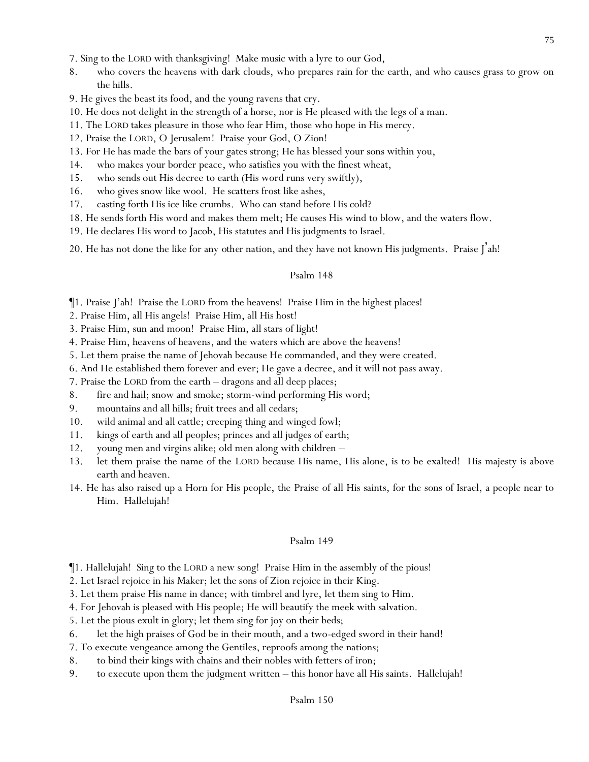- 7. Sing to the LORD with thanksgiving! Make music with a lyre to our God,
- 8. who covers the heavens with dark clouds, who prepares rain for the earth, and who causes grass to grow on the hills.

9. He gives the beast its food, and the young ravens that cry.

- 10. He does not delight in the strength of a horse, nor is He pleased with the legs of a man.
- 11. The LORD takes pleasure in those who fear Him, those who hope in His mercy.
- 12. Praise the LORD, O Jerusalem! Praise your God, O Zion!
- 13. For He has made the bars of your gates strong; He has blessed your sons within you,
- 14. who makes your border peace, who satisfies you with the finest wheat,
- 15. who sends out His decree to earth (His word runs very swiftly),
- 16. who gives snow like wool. He scatters frost like ashes,
- 17. casting forth His ice like crumbs. Who can stand before His cold?
- 18. He sends forth His word and makes them melt; He causes His wind to blow, and the waters flow.
- 19. He declares His word to Jacob, His statutes and His judgments to Israel.
- 20. He has not done the like for any *other* nation, and they have not known His judgments. Praise J'ah!

## Psalm 148

- ¶1. Praise J'ah! Praise the LORD from the heavens! Praise Him in the highest places!
- 2. Praise Him, all His angels! Praise Him, all His host!
- 3. Praise Him, sun and moon! Praise Him, all stars of light!
- 4. Praise Him, heavens of heavens, and the waters which are above the heavens!
- 5. Let them praise the name of Jehovah because He commanded, and they were created.
- 6. And He established them forever and ever; He gave a decree, and it will not pass away.
- 7. Praise the LORD from the earth dragons and all deep places;
- 8. fire and hail; snow and smoke; storm-wind performing His word;
- 9. mountains and all hills; fruit trees and all cedars;
- 10. wild animal and all cattle; creeping thing and winged fowl;
- 11. kings of earth and all peoples; princes and all judges of earth;
- 12. young men and virgins alike; old men along with children –
- 13. let them praise the name of the LORD because His name, His alone, is to be exalted! His majesty is above earth and heaven.
- 14. He has also raised up a Horn for His people, the Praise of all His saints, for the sons of Israel, a people near to Him. Hallelujah!

## Psalm 149

- ¶1. Hallelujah! Sing to the LORD a new song! Praise Him in the assembly of the pious!
- 2. Let Israel rejoice in his Maker; let the sons of Zion rejoice in their King.
- 3. Let them praise His name in dance; with timbrel and lyre, let them sing to Him.
- 4. For Jehovah is pleased with His people; He will beautify the meek with salvation.
- 5. Let the pious exult in glory; let them sing for joy on their beds;
- 6. let the high praises of God be in their mouth, and a two-edged sword in their hand!
- 7. To execute vengeance among the Gentiles, reproofs among the nations;
- 8. to bind their kings with chains and their nobles with fetters of iron;
- 9. to execute upon them the judgment written this honor have all His saints. Hallelujah!

75